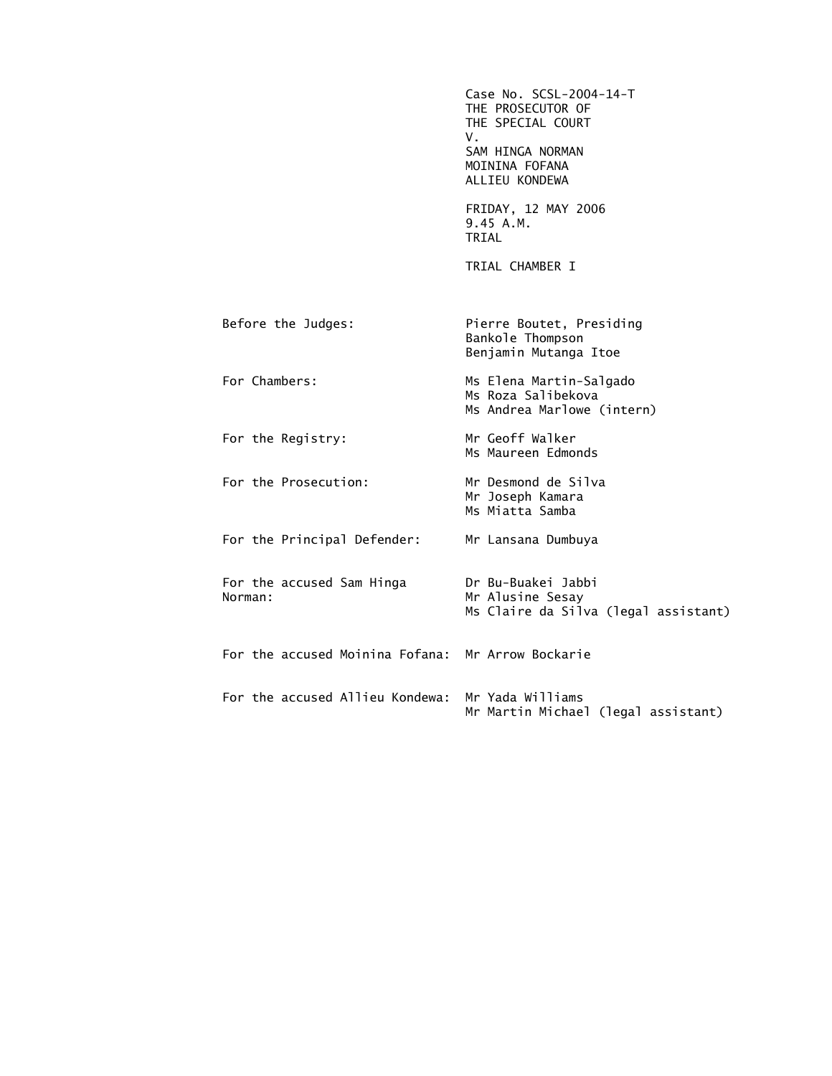Case No. SCSL-2004-14-T THE PROSECUTOR OF THE SPECIAL COURT V. SAM HINGA NORMAN MOININA FOFANA ALLIEU KONDEWA FRIDAY, 12 MAY 2006 9.45 A.M. TRIAL TRIAL CHAMBER I Before the Judges: Pierre Boutet, Presiding Bankole Thompson Benjamin Mutanga Itoe For Chambers: Ms Elena Martin-Salgado Ms Roza Salibekova Ms Andrea Marlowe (intern) For the Registry: Mr Geoff Walker Ms Maureen Edmonds For the Prosecution: Mr Desmond de Silva Mr Joseph Kamara Ms Miatta Samba For the Principal Defender: Mr Lansana Dumbuya For the accused Sam Hinga Dr Bu-Buakei Jabbi Mr Alusine Sesay Ms Claire da Silva (legal assistant) For the accused Moinina Fofana: Mr Arrow Bockarie For the accused Allieu Kondewa: Mr Yada Williams Mr Martin Michael (legal assistant)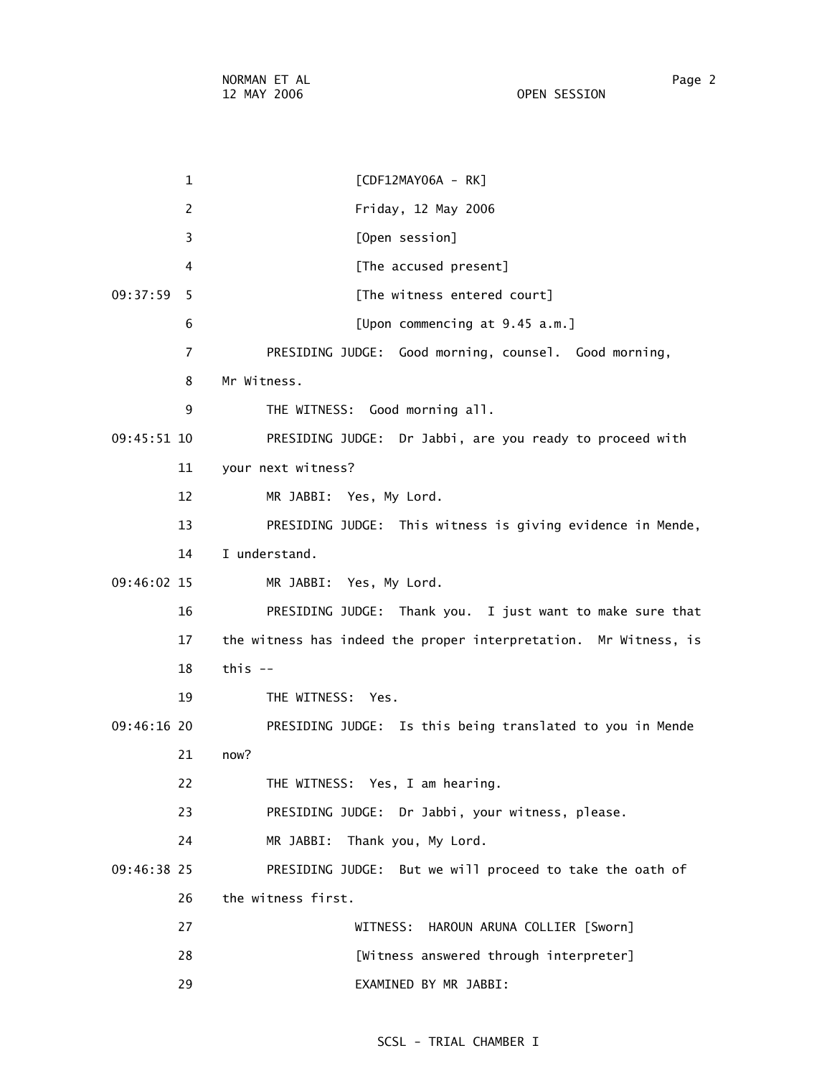NORMAN ET AL Page 2 12 MAY 2006 OPEN SESSION

 1 [CDF12MAY06A - RK] 2 Friday, 12 May 2006 3 [Open session] 4 **A [The accused present]** 09:37:59 5 [The witness entered court] 6 [Upon commencing at 9.45 a.m.] 7 PRESIDING JUDGE: Good morning, counsel. Good morning, 8 Mr Witness. 9 THE WITNESS: Good morning all. 09:45:51 10 PRESIDING JUDGE: Dr Jabbi, are you ready to proceed with 11 your next witness? 12 MR JABBI: Yes, My Lord. 13 PRESIDING JUDGE: This witness is giving evidence in Mende, 14 I understand. 09:46:02 15 MR JABBI: Yes, My Lord. 16 PRESIDING JUDGE: Thank you. I just want to make sure that 17 the witness has indeed the proper interpretation. Mr Witness, is 18 this -- 19 THE WITNESS: Yes. 09:46:16 20 PRESIDING JUDGE: Is this being translated to you in Mende 21 now? 22 THE WITNESS: Yes, I am hearing. 23 PRESIDING JUDGE: Dr Jabbi, your witness, please. 24 MR JABBI: Thank you, My Lord. 09:46:38 25 PRESIDING JUDGE: But we will proceed to take the oath of 26 the witness first. 27 WITNESS: HAROUN ARUNA COLLIER [Sworn] 28 [Witness answered through interpreter] 29 EXAMINED BY MR JABBI: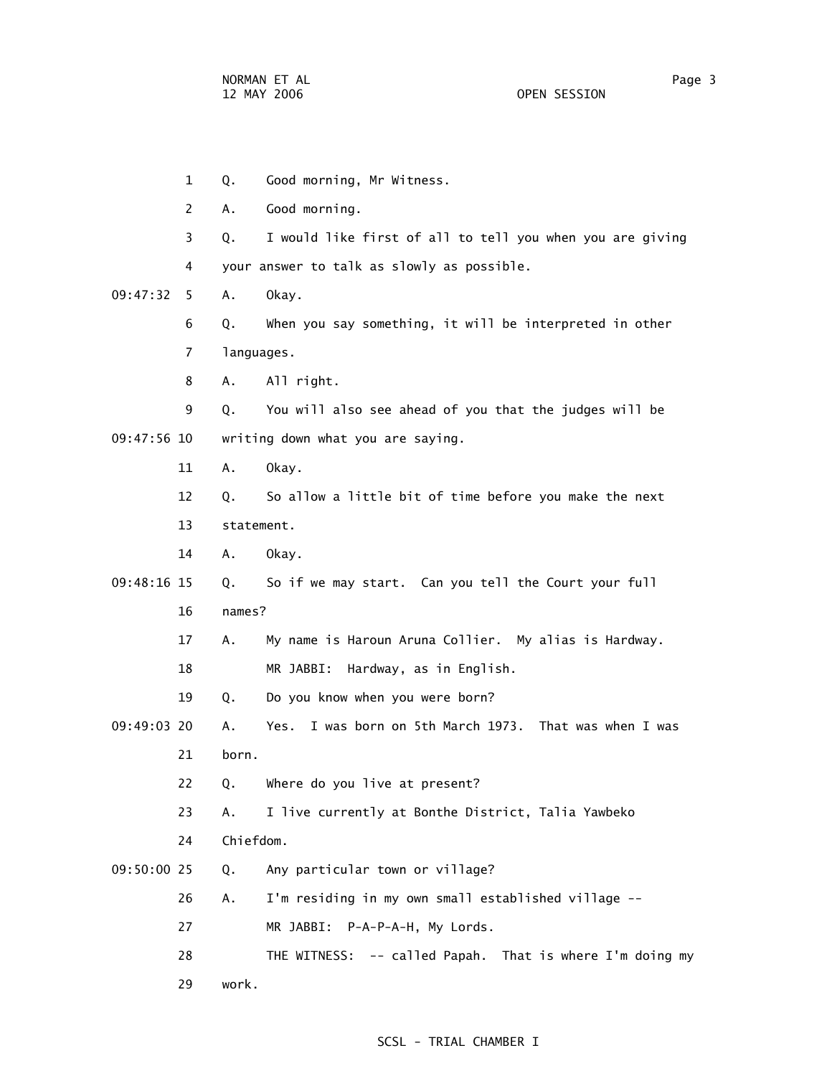1 Q. Good morning, Mr Witness. 2 A. Good morning. 3 Q. I would like first of all to tell you when you are giving 4 your answer to talk as slowly as possible. 09:47:32 5 A. Okay. 6 Q. When you say something, it will be interpreted in other 7 languages. 8 A. All right. 9 Q. You will also see ahead of you that the judges will be 09:47:56 10 writing down what you are saying. 11 A. Okay. 12 Q. So allow a little bit of time before you make the next 13 statement. 14 A. Okay. 09:48:16 15 Q. So if we may start. Can you tell the Court your full 16 names? 17 A. My name is Haroun Aruna Collier. My alias is Hardway. 18 MR JABBI: Hardway, as in English. 19 Q. Do you know when you were born? 09:49:03 20 A. Yes. I was born on 5th March 1973. That was when I was 21 born. 22 Q. Where do you live at present? 23 A. I live currently at Bonthe District, Talia Yawbeko 24 Chiefdom. 09:50:00 25 Q. Any particular town or village? 26 A. I'm residing in my own small established village -- 27 MR JABBI: P-A-P-A-H, My Lords. 28 THE WITNESS: -- called Papah. That is where I'm doing my 29 work.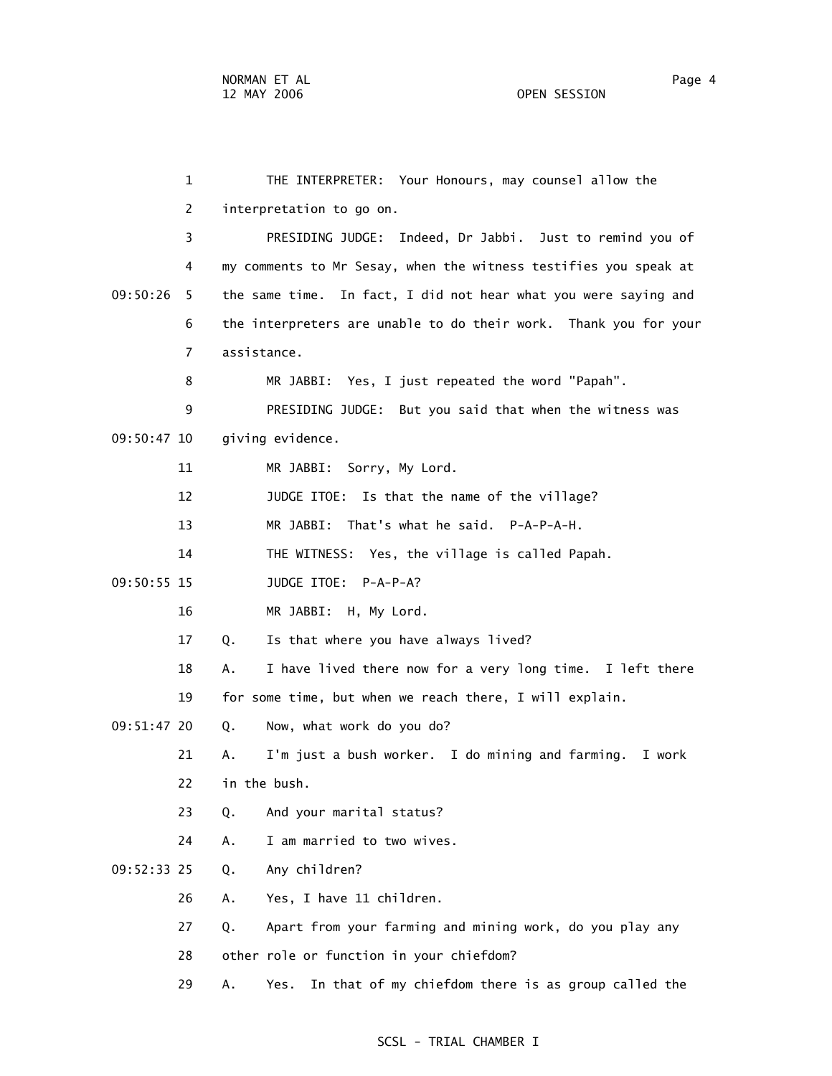1 THE INTERPRETER: Your Honours, may counsel allow the 2 interpretation to go on. 3 PRESIDING JUDGE: Indeed, Dr Jabbi. Just to remind you of 4 my comments to Mr Sesay, when the witness testifies you speak at 09:50:26 5 the same time. In fact, I did not hear what you were saying and 6 the interpreters are unable to do their work. Thank you for your 7 assistance. 8 MR JABBI: Yes, I just repeated the word "Papah". 9 PRESIDING JUDGE: But you said that when the witness was 09:50:47 10 giving evidence. 11 MR JABBI: Sorry, My Lord. 12 JUDGE ITOE: Is that the name of the village? 13 MR JABBI: That's what he said. P-A-P-A-H. 14 THE WITNESS: Yes, the village is called Papah. 09:50:55 15 JUDGE ITOE: P-A-P-A? 16 MR JABBI: H, My Lord. 17 Q. Is that where you have always lived? 18 A. I have lived there now for a very long time. I left there 19 for some time, but when we reach there, I will explain. 09:51:47 20 Q. Now, what work do you do? 21 A. I'm just a bush worker. I do mining and farming. I work 22 in the bush. 23 Q. And your marital status? 24 A. I am married to two wives. 09:52:33 25 Q. Any children? 26 A. Yes, I have 11 children. 27 Q. Apart from your farming and mining work, do you play any 28 other role or function in your chiefdom? 29 A. Yes. In that of my chiefdom there is as group called the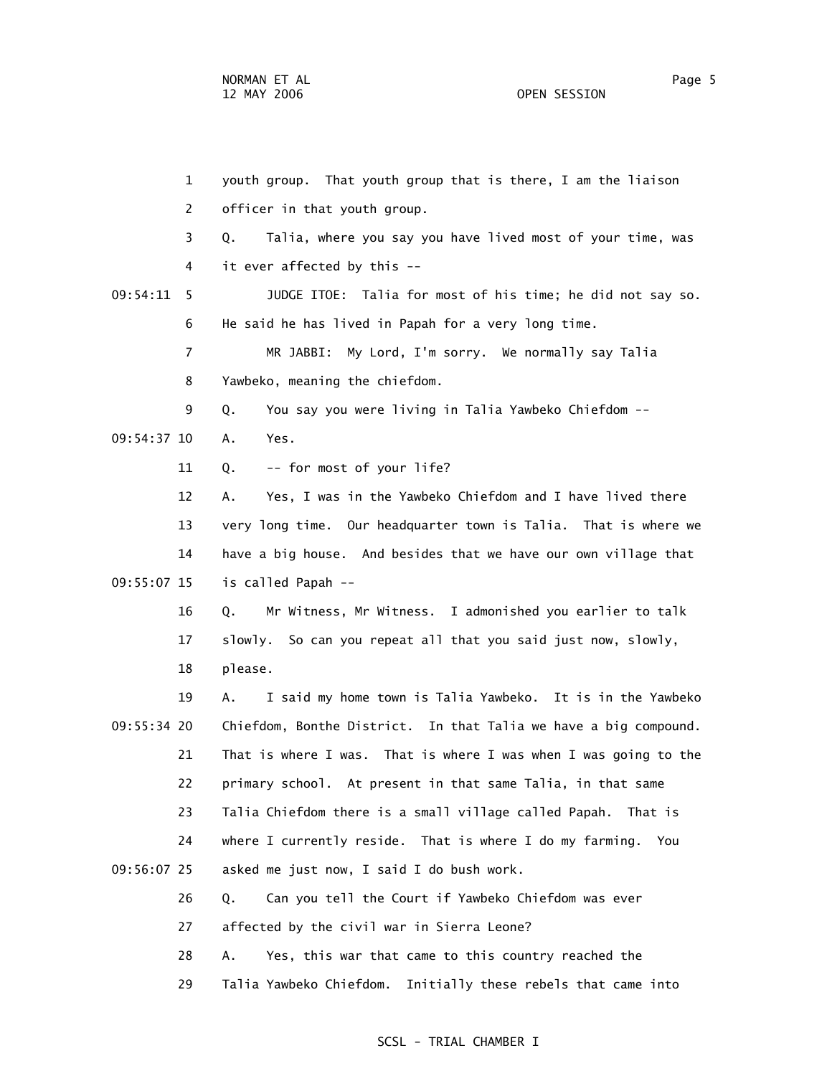1 youth group. That youth group that is there, I am the liaison 2 officer in that youth group. 3 Q. Talia, where you say you have lived most of your time, was 4 it ever affected by this -- 09:54:11 5 JUDGE ITOE: Talia for most of his time; he did not say so. 6 He said he has lived in Papah for a very long time. 7 MR JABBI: My Lord, I'm sorry. We normally say Talia 8 Yawbeko, meaning the chiefdom. 9 Q. You say you were living in Talia Yawbeko Chiefdom -- 09:54:37 10 A. Yes. 11 Q. -- for most of your life? 12 A. Yes, I was in the Yawbeko Chiefdom and I have lived there 13 very long time. Our headquarter town is Talia. That is where we 14 have a big house. And besides that we have our own village that 09:55:07 15 is called Papah -- 16 Q. Mr Witness, Mr Witness. I admonished you earlier to talk 17 slowly. So can you repeat all that you said just now, slowly, 18 please. 19 A. I said my home town is Talia Yawbeko. It is in the Yawbeko 09:55:34 20 Chiefdom, Bonthe District. In that Talia we have a big compound. 21 That is where I was. That is where I was when I was going to the 22 primary school. At present in that same Talia, in that same 23 Talia Chiefdom there is a small village called Papah. That is 24 where I currently reside. That is where I do my farming. You 09:56:07 25 asked me just now, I said I do bush work. 26 Q. Can you tell the Court if Yawbeko Chiefdom was ever 27 affected by the civil war in Sierra Leone? 28 A. Yes, this war that came to this country reached the

#### SCSL - TRIAL CHAMBER I

29 Talia Yawbeko Chiefdom. Initially these rebels that came into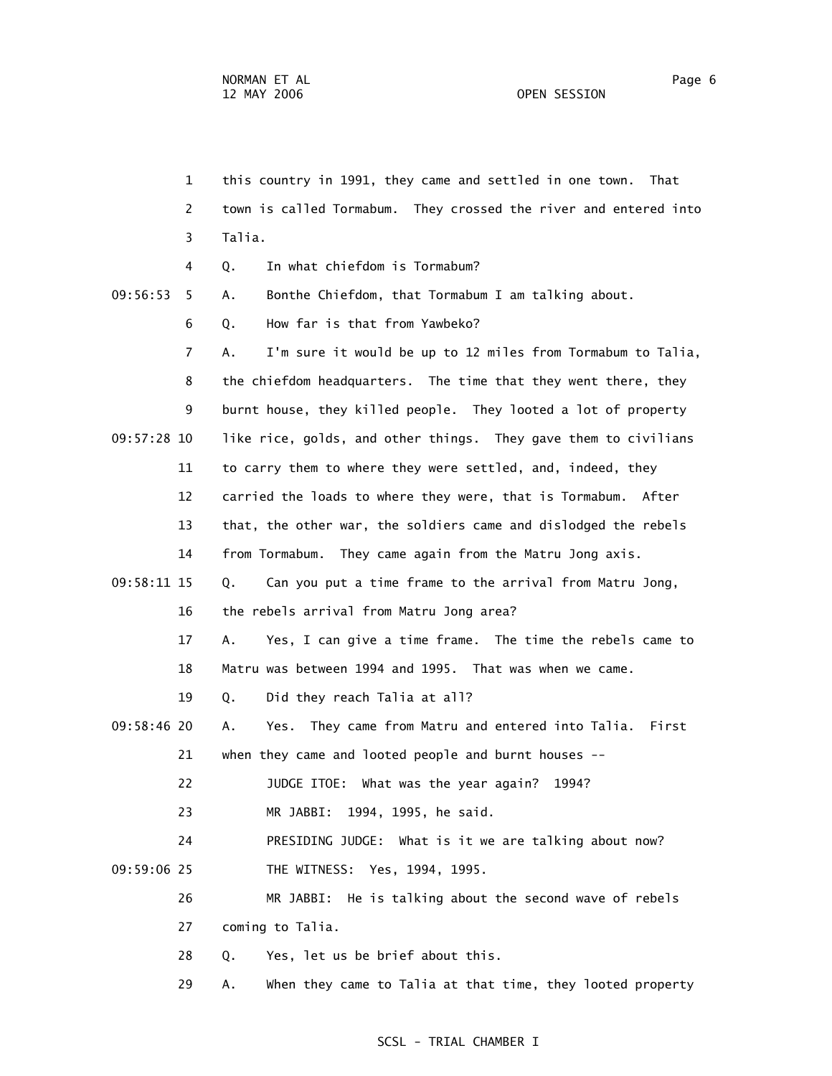1 this country in 1991, they came and settled in one town. That 2 town is called Tormabum. They crossed the river and entered into 3 Talia. 4 Q. In what chiefdom is Tormabum? 09:56:53 5 A. Bonthe Chiefdom, that Tormabum I am talking about. 6 Q. How far is that from Yawbeko? 7 A. I'm sure it would be up to 12 miles from Tormabum to Talia, 8 the chiefdom headquarters. The time that they went there, they 9 burnt house, they killed people. They looted a lot of property 09:57:28 10 like rice, golds, and other things. They gave them to civilians 11 to carry them to where they were settled, and, indeed, they 12 carried the loads to where they were, that is Tormabum. After 13 that, the other war, the soldiers came and dislodged the rebels 14 from Tormabum. They came again from the Matru Jong axis. 09:58:11 15 Q. Can you put a time frame to the arrival from Matru Jong, 16 the rebels arrival from Matru Jong area? 17 A. Yes, I can give a time frame. The time the rebels came to 18 Matru was between 1994 and 1995. That was when we came. 19 Q. Did they reach Talia at all? 09:58:46 20 A. Yes. They came from Matru and entered into Talia. First 21 when they came and looted people and burnt houses -- 22 JUDGE ITOE: What was the year again? 1994? 23 MR JABBI: 1994, 1995, he said. 24 PRESIDING JUDGE: What is it we are talking about now? 09:59:06 25 THE WITNESS: Yes, 1994, 1995. 26 MR JABBI: He is talking about the second wave of rebels 27 coming to Talia. 28 Q. Yes, let us be brief about this.

29 A. When they came to Talia at that time, they looted property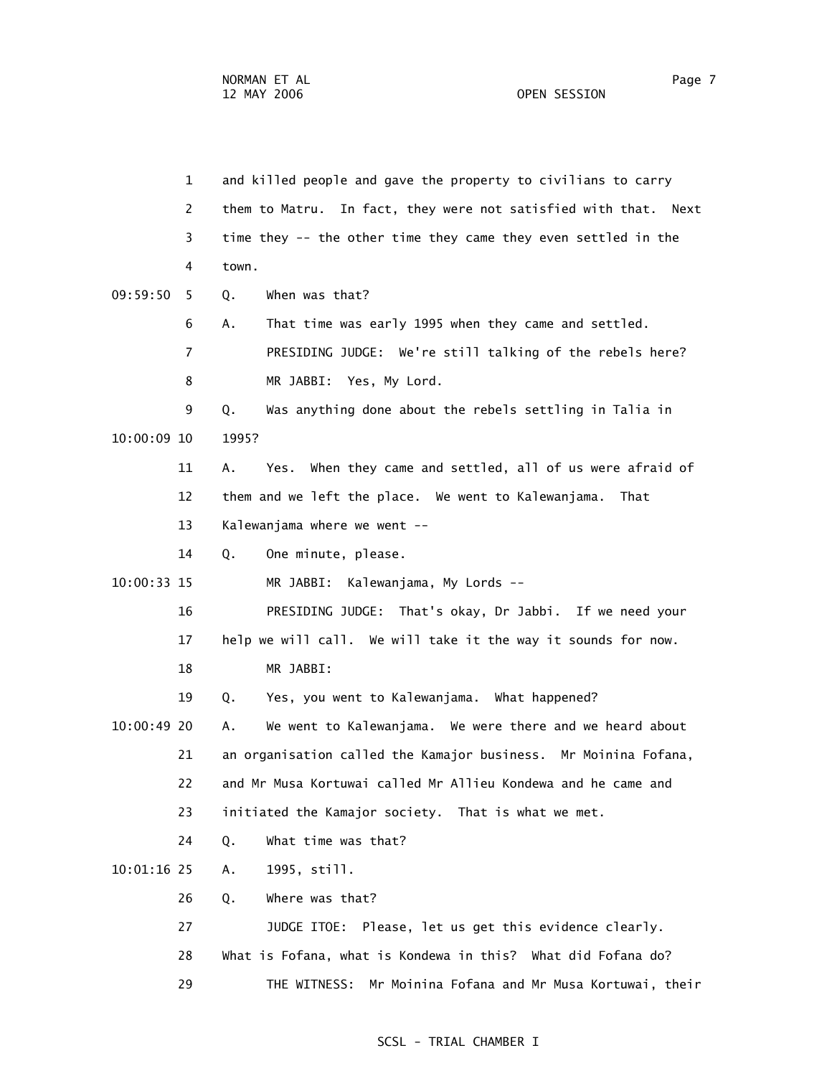1 and killed people and gave the property to civilians to carry 2 them to Matru. In fact, they were not satisfied with that. Next 3 time they -- the other time they came they even settled in the 4 town. 09:59:50 5 Q. When was that? 6 A. That time was early 1995 when they came and settled. 7 PRESIDING JUDGE: We're still talking of the rebels here? 8 MR JABBI: Yes, My Lord. 9 Q. Was anything done about the rebels settling in Talia in 10:00:09 10 1995? 11 A. Yes. When they came and settled, all of us were afraid of 12 them and we left the place. We went to Kalewanjama. That 13 Kalewanjama where we went -- 14 Q. One minute, please. 10:00:33 15 MR JABBI: Kalewanjama, My Lords -- 16 PRESIDING JUDGE: That's okay, Dr Jabbi. If we need your 17 help we will call. We will take it the way it sounds for now. 18 MR JABBI: 19 Q. Yes, you went to Kalewanjama. What happened? 10:00:49 20 A. We went to Kalewanjama. We were there and we heard about 21 an organisation called the Kamajor business. Mr Moinina Fofana, 22 and Mr Musa Kortuwai called Mr Allieu Kondewa and he came and 23 initiated the Kamajor society. That is what we met. 24 Q. What time was that? 10:01:16 25 A. 1995, still. 26 Q. Where was that? 27 JUDGE ITOE: Please, let us get this evidence clearly. 28 What is Fofana, what is Kondewa in this? What did Fofana do? 29 THE WITNESS: Mr Moinina Fofana and Mr Musa Kortuwai, their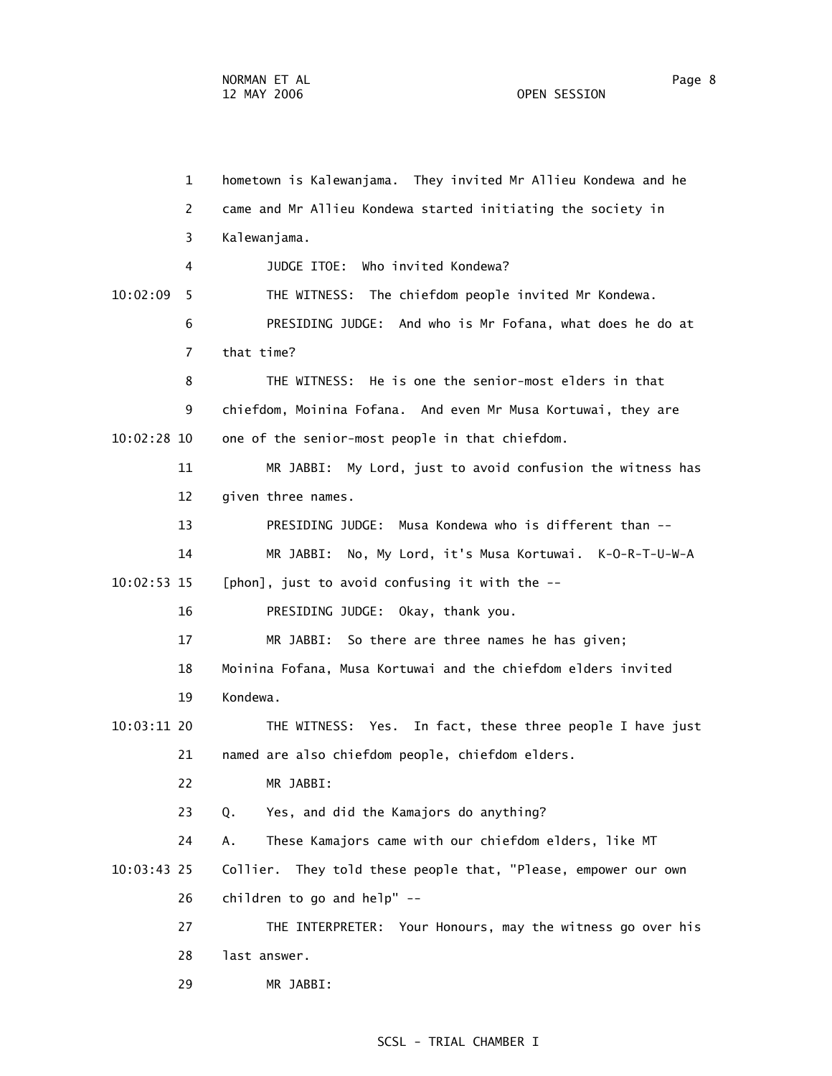1 hometown is Kalewanjama. They invited Mr Allieu Kondewa and he 2 came and Mr Allieu Kondewa started initiating the society in 3 Kalewanjama. 4 JUDGE ITOE: Who invited Kondewa? 10:02:09 5 THE WITNESS: The chiefdom people invited Mr Kondewa. 6 PRESIDING JUDGE: And who is Mr Fofana, what does he do at 7 that time? 8 THE WITNESS: He is one the senior-most elders in that 9 chiefdom, Moinina Fofana. And even Mr Musa Kortuwai, they are 10:02:28 10 one of the senior-most people in that chiefdom. 11 MR JABBI: My Lord, just to avoid confusion the witness has 12 given three names. 13 PRESIDING JUDGE: Musa Kondewa who is different than -- 14 MR JABBI: No, My Lord, it's Musa Kortuwai. K-O-R-T-U-W-A 10:02:53 15 [phon], just to avoid confusing it with the -- 16 PRESIDING JUDGE: Okay, thank you. 17 MR JABBI: So there are three names he has given; 18 Moinina Fofana, Musa Kortuwai and the chiefdom elders invited 19 Kondewa. 10:03:11 20 THE WITNESS: Yes. In fact, these three people I have just 21 named are also chiefdom people, chiefdom elders. 22 MR JABBI: 23 Q. Yes, and did the Kamajors do anything? 24 A. These Kamajors came with our chiefdom elders, like MT 10:03:43 25 Collier. They told these people that, "Please, empower our own 26 children to go and help" -- 27 THE INTERPRETER: Your Honours, may the witness go over his 28 last answer. 29 MR JABBI: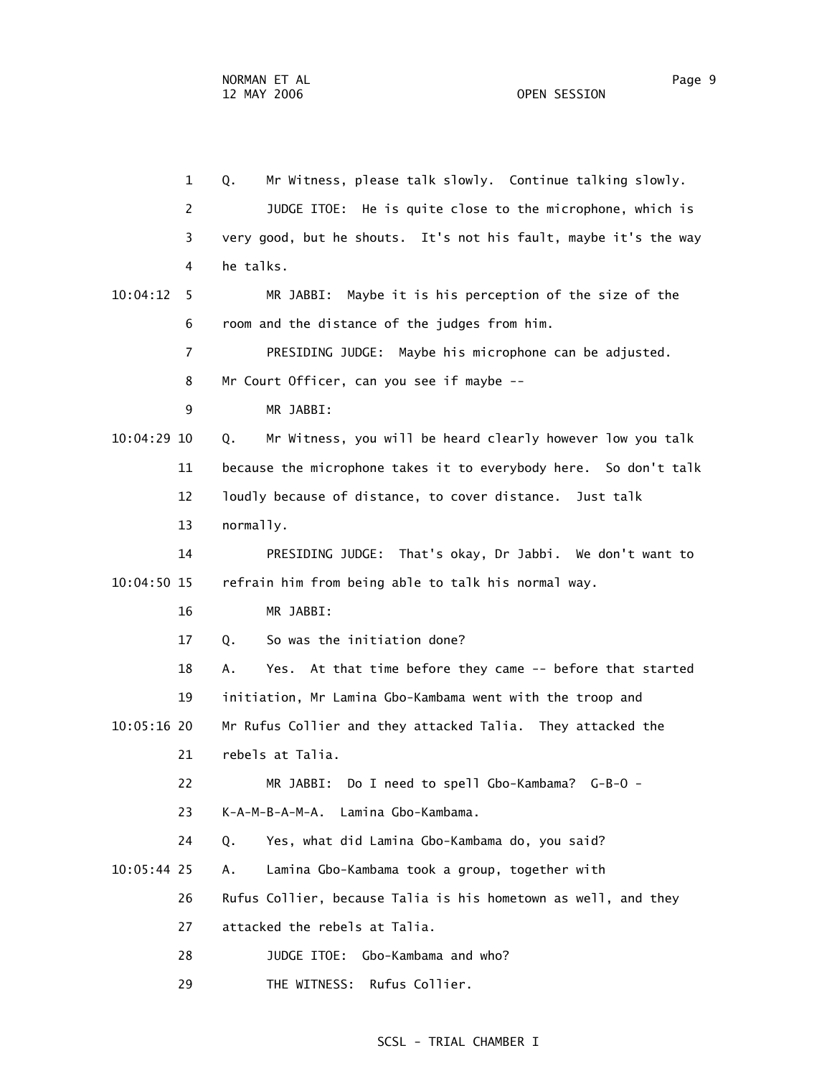1 Q. Mr Witness, please talk slowly. Continue talking slowly. 2 JUDGE ITOE: He is quite close to the microphone, which is 3 very good, but he shouts. It's not his fault, maybe it's the way 4 he talks. 10:04:12 5 MR JABBI: Maybe it is his perception of the size of the 6 room and the distance of the judges from him. 7 PRESIDING JUDGE: Maybe his microphone can be adjusted. 8 Mr Court Officer, can you see if maybe -- 9 MR JABBI: 10:04:29 10 Q. Mr Witness, you will be heard clearly however low you talk 11 because the microphone takes it to everybody here. So don't talk 12 loudly because of distance, to cover distance. Just talk 13 normally. 14 PRESIDING JUDGE: That's okay, Dr Jabbi. We don't want to 10:04:50 15 refrain him from being able to talk his normal way. 16 MR JABBI: 17 Q. So was the initiation done? 18 A. Yes. At that time before they came -- before that started 19 initiation, Mr Lamina Gbo-Kambama went with the troop and 10:05:16 20 Mr Rufus Collier and they attacked Talia. They attacked the 21 rebels at Talia. 22 MR JABBI: Do I need to spell Gbo-Kambama? G-B-O - 23 K-A-M-B-A-M-A. Lamina Gbo-Kambama. 24 Q. Yes, what did Lamina Gbo-Kambama do, you said? 10:05:44 25 A. Lamina Gbo-Kambama took a group, together with 26 Rufus Collier, because Talia is his hometown as well, and they 27 attacked the rebels at Talia. 28 JUDGE ITOE: Gbo-Kambama and who? 29 THE WITNESS: Rufus Collier.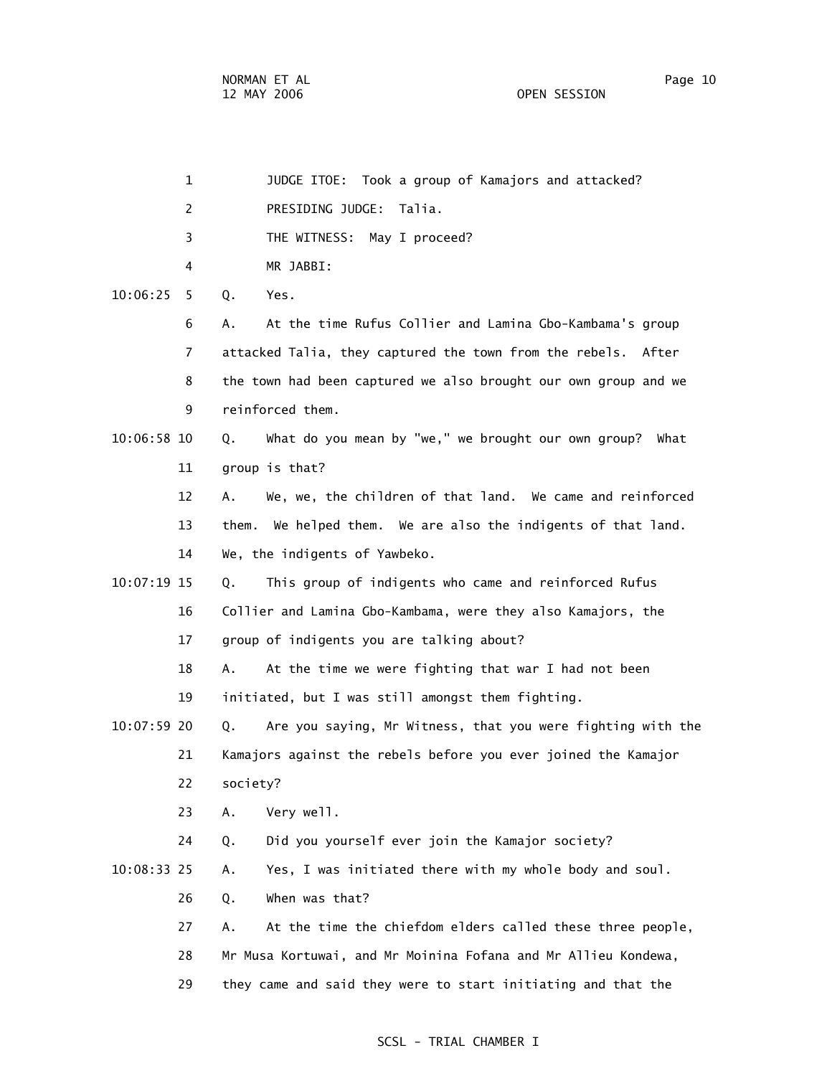|             | $\mathbf{1}$ | JUDGE ITOE: Took a group of Kamajors and attacked?              |
|-------------|--------------|-----------------------------------------------------------------|
|             | 2            | PRESIDING JUDGE: Talia.                                         |
|             | 3            | THE WITNESS: May I proceed?                                     |
|             | 4            | MR JABBI:                                                       |
| 10:06:25    | Q.<br>5      | Yes.                                                            |
|             | 6<br>А.      | At the time Rufus Collier and Lamina Gbo-Kambama's group        |
|             | 7            | attacked Talia, they captured the town from the rebels. After   |
|             | 8            | the town had been captured we also brought our own group and we |
|             | 9            | reinforced them.                                                |
| 10:06:58 10 | Q.           | What do you mean by "we," we brought our own group? What        |
| 11          |              | group is that?                                                  |
| 12          | А.           | We, we, the children of that land. We came and reinforced       |
| 13          | them.        | We helped them. We are also the indigents of that land.         |
| 14          |              | We, the indigents of Yawbeko.                                   |
| 10:07:19 15 | Q.           | This group of indigents who came and reinforced Rufus           |
| 16          |              | Collier and Lamina Gbo-Kambama, were they also Kamajors, the    |
| 17          |              | group of indigents you are talking about?                       |
| 18          | Α.           | At the time we were fighting that war I had not been            |
| 19          |              | initiated, but I was still amongst them fighting.               |
| 10:07:59 20 | Q.           | Are you saying, Mr Witness, that you were fighting with the     |
| 21          |              | Kamajors against the rebels before you ever joined the Kamajor  |
| 22          | society?     |                                                                 |
| 23          | Α.           | Very well.                                                      |
| 24          | Q.           | Did you yourself ever join the Kamajor society?                 |
| 10:08:33 25 | Α.           | Yes, I was initiated there with my whole body and soul.         |
| 26          | Q.           | When was that?                                                  |
| 27          | Α.           | At the time the chiefdom elders called these three people,      |
| 28          |              | Mr Musa Kortuwai, and Mr Moinina Fofana and Mr Allieu Kondewa,  |
| 29          |              | they came and said they were to start initiating and that the   |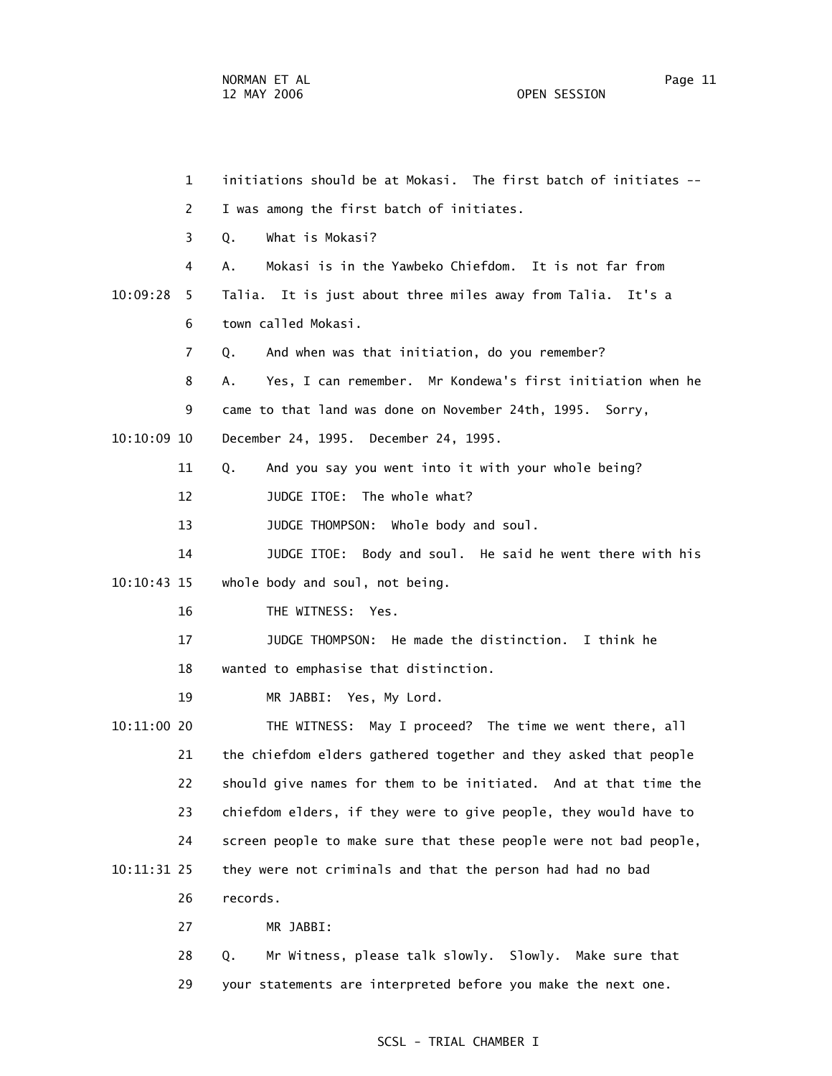1 initiations should be at Mokasi. The first batch of initiates -- 2 I was among the first batch of initiates. 3 Q. What is Mokasi? 4 A. Mokasi is in the Yawbeko Chiefdom. It is not far from 10:09:28 5 Talia. It is just about three miles away from Talia. It's a 6 town called Mokasi. 7 Q. And when was that initiation, do you remember? 8 A. Yes, I can remember. Mr Kondewa's first initiation when he 9 came to that land was done on November 24th, 1995. Sorry, 10:10:09 10 December 24, 1995. December 24, 1995. 11 Q. And you say you went into it with your whole being? 12 JUDGE ITOE: The whole what? 13 JUDGE THOMPSON: Whole body and soul. 14 JUDGE ITOE: Body and soul. He said he went there with his 10:10:43 15 whole body and soul, not being. 16 THE WITNESS: Yes. 17 JUDGE THOMPSON: He made the distinction. I think he 18 wanted to emphasise that distinction. 19 MR JABBI: Yes, My Lord. 10:11:00 20 THE WITNESS: May I proceed? The time we went there, all 21 the chiefdom elders gathered together and they asked that people 22 should give names for them to be initiated. And at that time the 23 chiefdom elders, if they were to give people, they would have to 24 screen people to make sure that these people were not bad people, 10:11:31 25 they were not criminals and that the person had had no bad 26 records. 27 MR JABBI: 28 Q. Mr Witness, please talk slowly. Slowly. Make sure that

29 your statements are interpreted before you make the next one.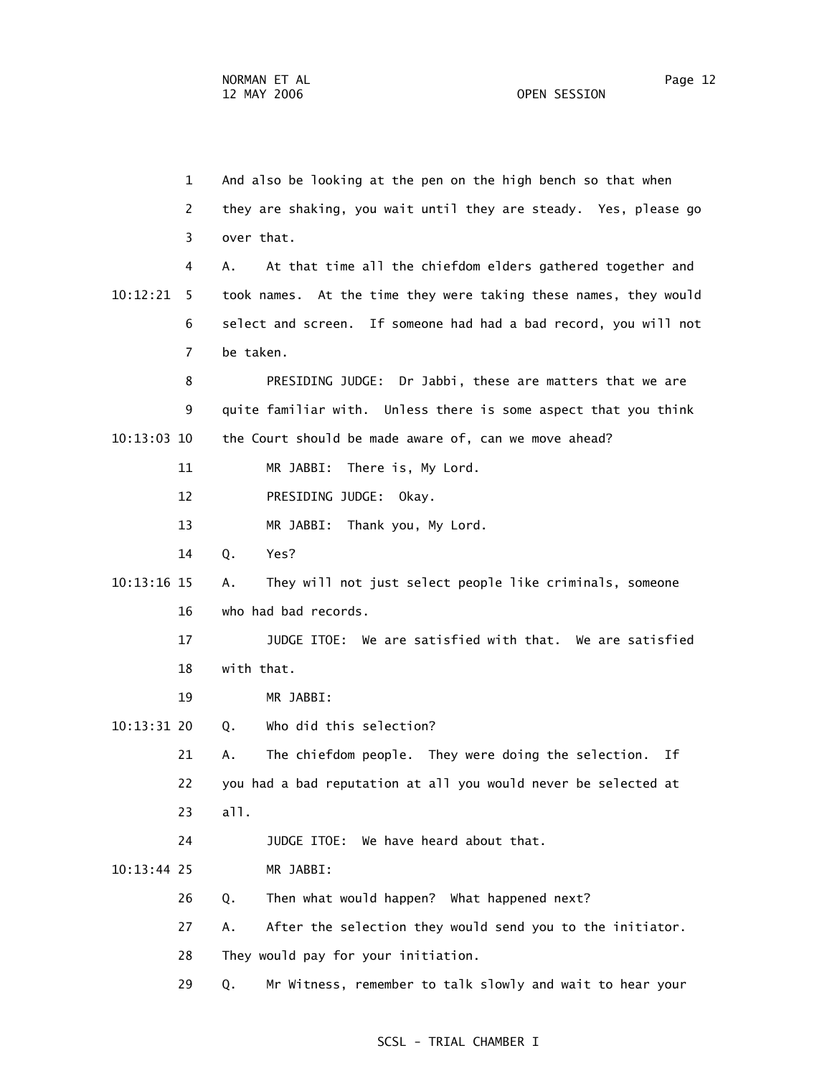1 And also be looking at the pen on the high bench so that when 2 they are shaking, you wait until they are steady. Yes, please go 3 over that. 4 A. At that time all the chiefdom elders gathered together and 10:12:21 5 took names. At the time they were taking these names, they would 6 select and screen. If someone had had a bad record, you will not 7 be taken. 8 PRESIDING JUDGE: Dr Jabbi, these are matters that we are 9 quite familiar with. Unless there is some aspect that you think 10:13:03 10 the Court should be made aware of, can we move ahead? 11 MR JABBI: There is, My Lord. 12 PRESIDING JUDGE: Okay. 13 MR JABBI: Thank you, My Lord. 14 Q. Yes? 10:13:16 15 A. They will not just select people like criminals, someone 16 who had bad records. 17 JUDGE ITOE: We are satisfied with that. We are satisfied 18 with that. 19 MR JABBI: 10:13:31 20 Q. Who did this selection? 21 A. The chiefdom people. They were doing the selection. If 22 you had a bad reputation at all you would never be selected at 23 all. 24 JUDGE ITOE: We have heard about that. 10:13:44 25 MR JABBI: 26 Q. Then what would happen? What happened next? 27 A. After the selection they would send you to the initiator. 28 They would pay for your initiation. 29 Q. Mr Witness, remember to talk slowly and wait to hear your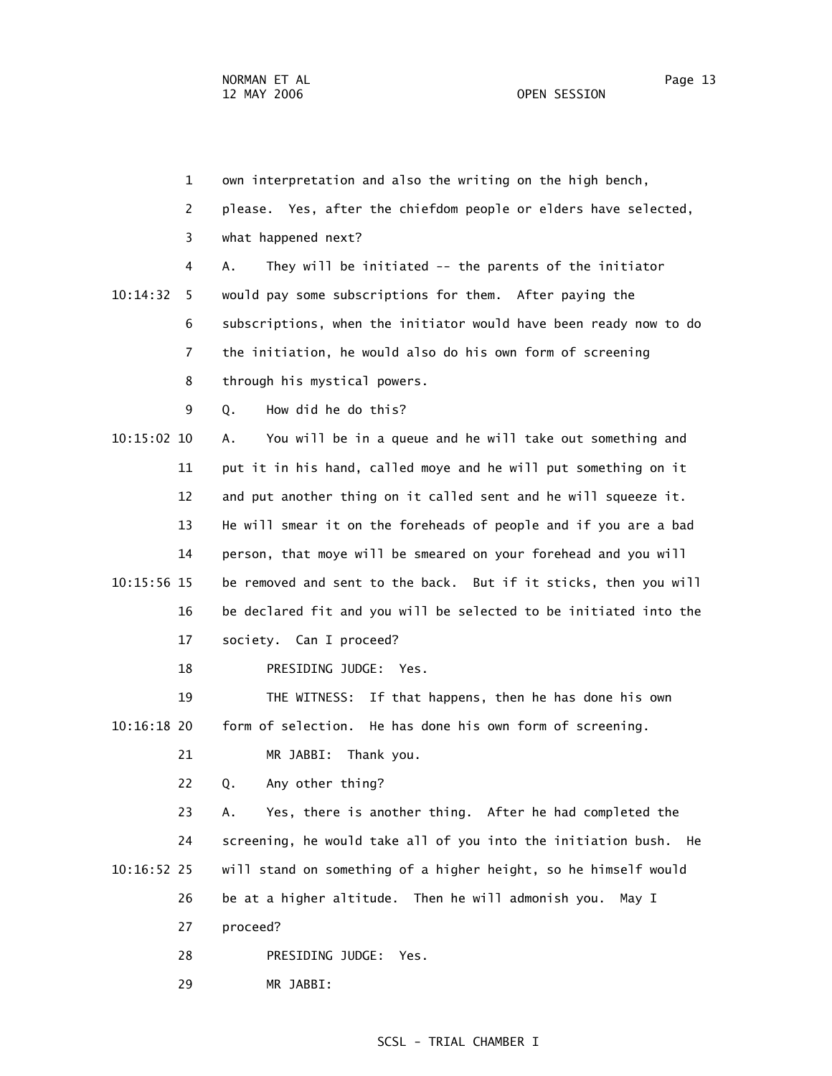29 MR JABBI:

 1 own interpretation and also the writing on the high bench, 2 please. Yes, after the chiefdom people or elders have selected, 3 what happened next? 4 A. They will be initiated -- the parents of the initiator 10:14:32 5 would pay some subscriptions for them. After paying the 6 subscriptions, when the initiator would have been ready now to do 7 the initiation, he would also do his own form of screening 8 through his mystical powers. 9 Q. How did he do this? 10:15:02 10 A. You will be in a queue and he will take out something and 11 put it in his hand, called moye and he will put something on it 12 and put another thing on it called sent and he will squeeze it. 13 He will smear it on the foreheads of people and if you are a bad 14 person, that moye will be smeared on your forehead and you will 10:15:56 15 be removed and sent to the back. But if it sticks, then you will 16 be declared fit and you will be selected to be initiated into the 17 society. Can I proceed? 18 PRESIDING JUDGE: Yes. 19 THE WITNESS: If that happens, then he has done his own 10:16:18 20 form of selection. He has done his own form of screening. 21 MR JABBI: Thank you. 22 Q. Any other thing? 23 A. Yes, there is another thing. After he had completed the 24 screening, he would take all of you into the initiation bush. He 10:16:52 25 will stand on something of a higher height, so he himself would 26 be at a higher altitude. Then he will admonish you. May I 27 proceed? 28 PRESIDING JUDGE: Yes.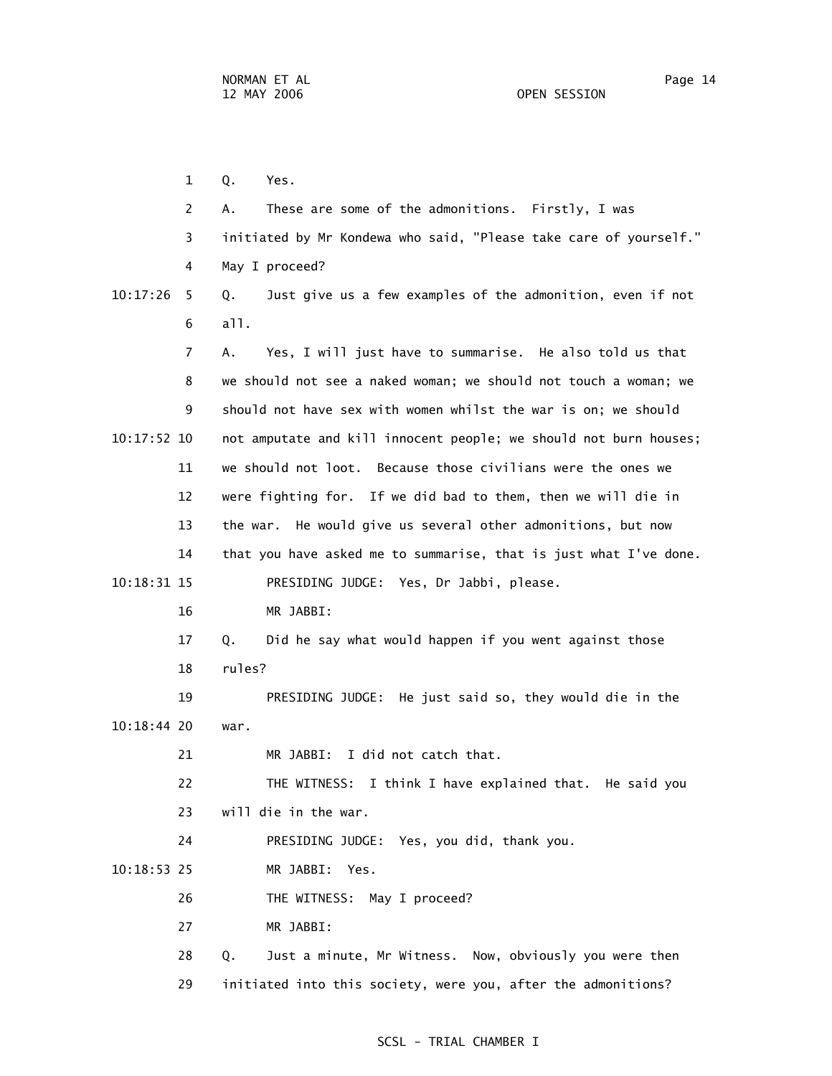1 Q. Yes. 2 A. These are some of the admonitions. Firstly, I was 3 initiated by Mr Kondewa who said, "Please take care of yourself." 4 May I proceed? 10:17:26 5 Q. Just give us a few examples of the admonition, even if not 6 all. 7 A. Yes, I will just have to summarise. He also told us that 8 we should not see a naked woman; we should not touch a woman; we 9 should not have sex with women whilst the war is on; we should 10:17:52 10 not amputate and kill innocent people; we should not burn houses; 11 we should not loot. Because those civilians were the ones we 12 were fighting for. If we did bad to them, then we will die in 13 the war. He would give us several other admonitions, but now 14 that you have asked me to summarise, that is just what I've done. 10:18:31 15 PRESIDING JUDGE: Yes, Dr Jabbi, please. 16 MR JABBI: 17 Q. Did he say what would happen if you went against those 18 rules? 19 PRESIDING JUDGE: He just said so, they would die in the 10:18:44 20 war. 21 MR JABBI: I did not catch that. 22 THE WITNESS: I think I have explained that. He said you 23 will die in the war. 24 PRESIDING JUDGE: Yes, you did, thank you. 10:18:53 25 MR JABBI: Yes. 26 THE WITNESS: May I proceed? 27 MR JABBI: 28 Q. Just a minute, Mr Witness. Now, obviously you were then

#### SCSL - TRIAL CHAMBER I

29 initiated into this society, were you, after the admonitions?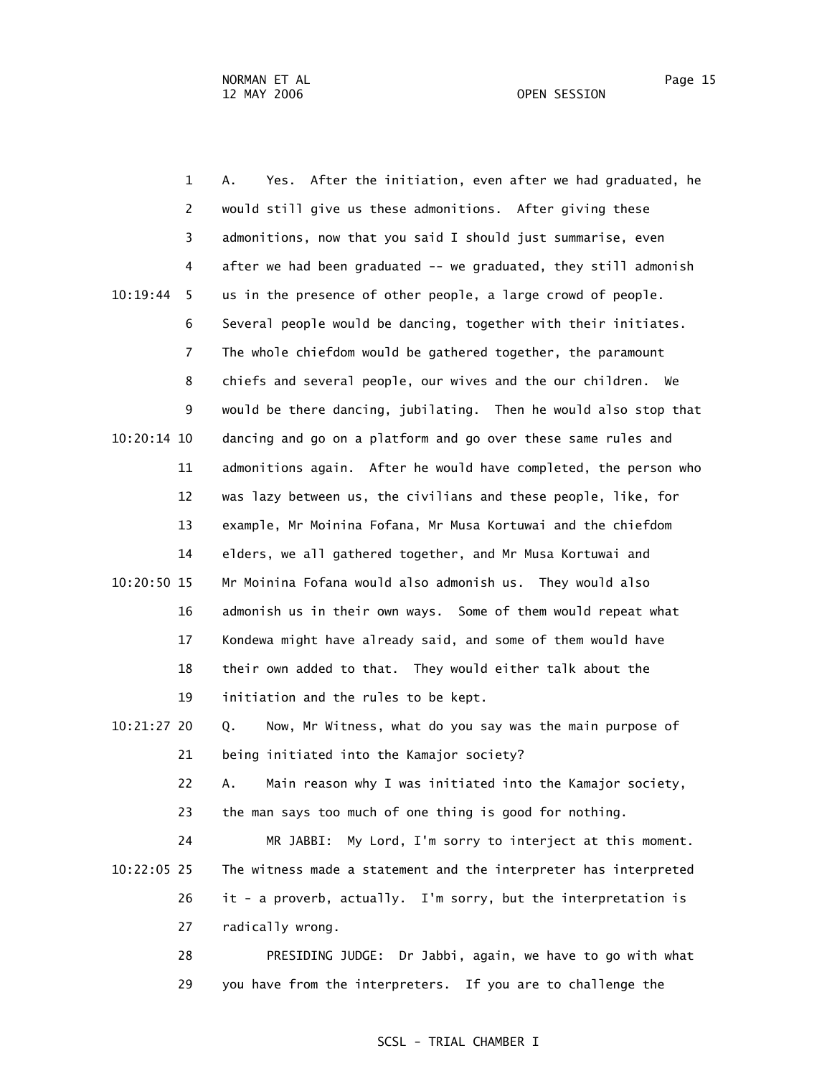1 A. Yes. After the initiation, even after we had graduated, he 2 would still give us these admonitions. After giving these 3 admonitions, now that you said I should just summarise, even 4 after we had been graduated -- we graduated, they still admonish 10:19:44 5 us in the presence of other people, a large crowd of people. 6 Several people would be dancing, together with their initiates. 7 The whole chiefdom would be gathered together, the paramount 8 chiefs and several people, our wives and the our children. We 9 would be there dancing, jubilating. Then he would also stop that 10:20:14 10 dancing and go on a platform and go over these same rules and 11 admonitions again. After he would have completed, the person who 12 was lazy between us, the civilians and these people, like, for 13 example, Mr Moinina Fofana, Mr Musa Kortuwai and the chiefdom 14 elders, we all gathered together, and Mr Musa Kortuwai and 10:20:50 15 Mr Moinina Fofana would also admonish us. They would also 16 admonish us in their own ways. Some of them would repeat what 17 Kondewa might have already said, and some of them would have 18 their own added to that. They would either talk about the 19 initiation and the rules to be kept. 10:21:27 20 Q. Now, Mr Witness, what do you say was the main purpose of 21 being initiated into the Kamajor society? 22 A. Main reason why I was initiated into the Kamajor society, 23 the man says too much of one thing is good for nothing. 24 MR JABBI: My Lord, I'm sorry to interject at this moment. 10:22:05 25 The witness made a statement and the interpreter has interpreted 26 it - a proverb, actually. I'm sorry, but the interpretation is 27 radically wrong. 28 PRESIDING JUDGE: Dr Jabbi, again, we have to go with what 29 you have from the interpreters. If you are to challenge the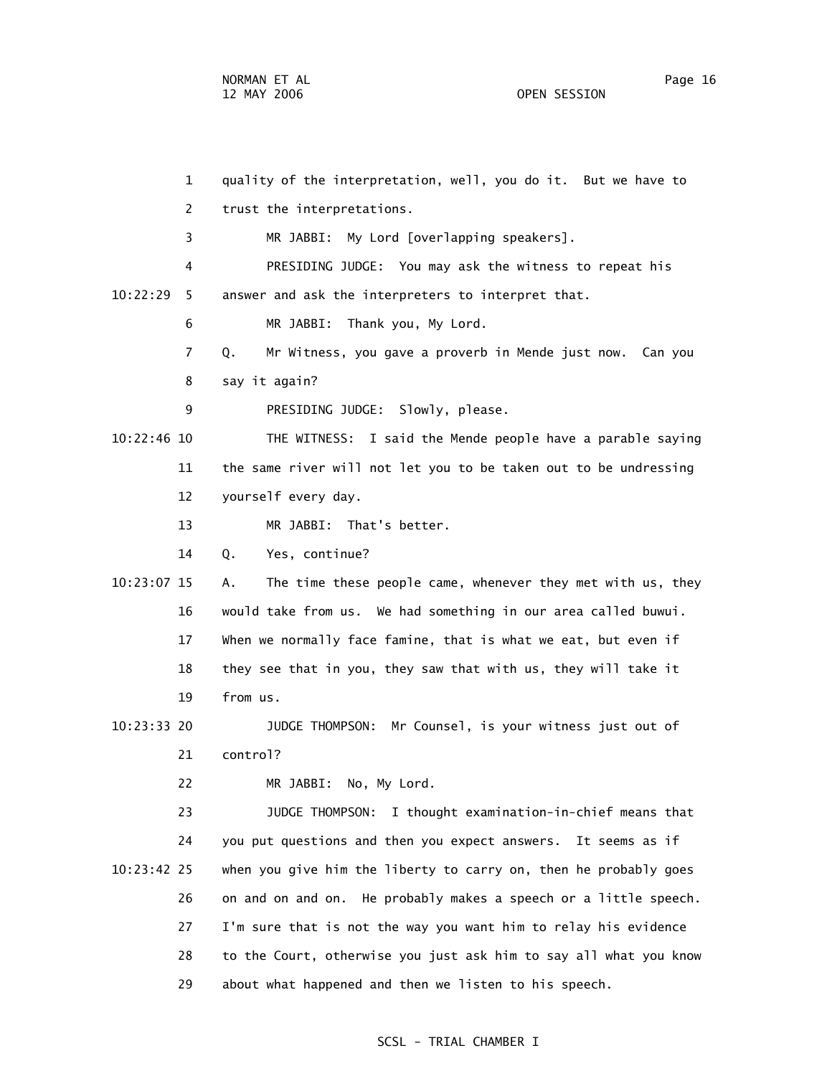1 quality of the interpretation, well, you do it. But we have to 2 trust the interpretations. 3 MR JABBI: My Lord [overlapping speakers]. 4 PRESIDING JUDGE: You may ask the witness to repeat his 10:22:29 5 answer and ask the interpreters to interpret that. 6 MR JABBI: Thank you, My Lord. 7 Q. Mr Witness, you gave a proverb in Mende just now. Can you 8 say it again? 9 PRESIDING JUDGE: Slowly, please. 10:22:46 10 THE WITNESS: I said the Mende people have a parable saying 11 the same river will not let you to be taken out to be undressing 12 yourself every day. 13 MR JABBI: That's better. 14 Q. Yes, continue? 10:23:07 15 A. The time these people came, whenever they met with us, they 16 would take from us. We had something in our area called buwui. 17 When we normally face famine, that is what we eat, but even if 18 they see that in you, they saw that with us, they will take it 19 from us. 10:23:33 20 JUDGE THOMPSON: Mr Counsel, is your witness just out of 21 control? 22 MR JABBI: No, My Lord. 23 JUDGE THOMPSON: I thought examination-in-chief means that 24 you put questions and then you expect answers. It seems as if 10:23:42 25 when you give him the liberty to carry on, then he probably goes 26 on and on and on. He probably makes a speech or a little speech. 27 I'm sure that is not the way you want him to relay his evidence 28 to the Court, otherwise you just ask him to say all what you know 29 about what happened and then we listen to his speech.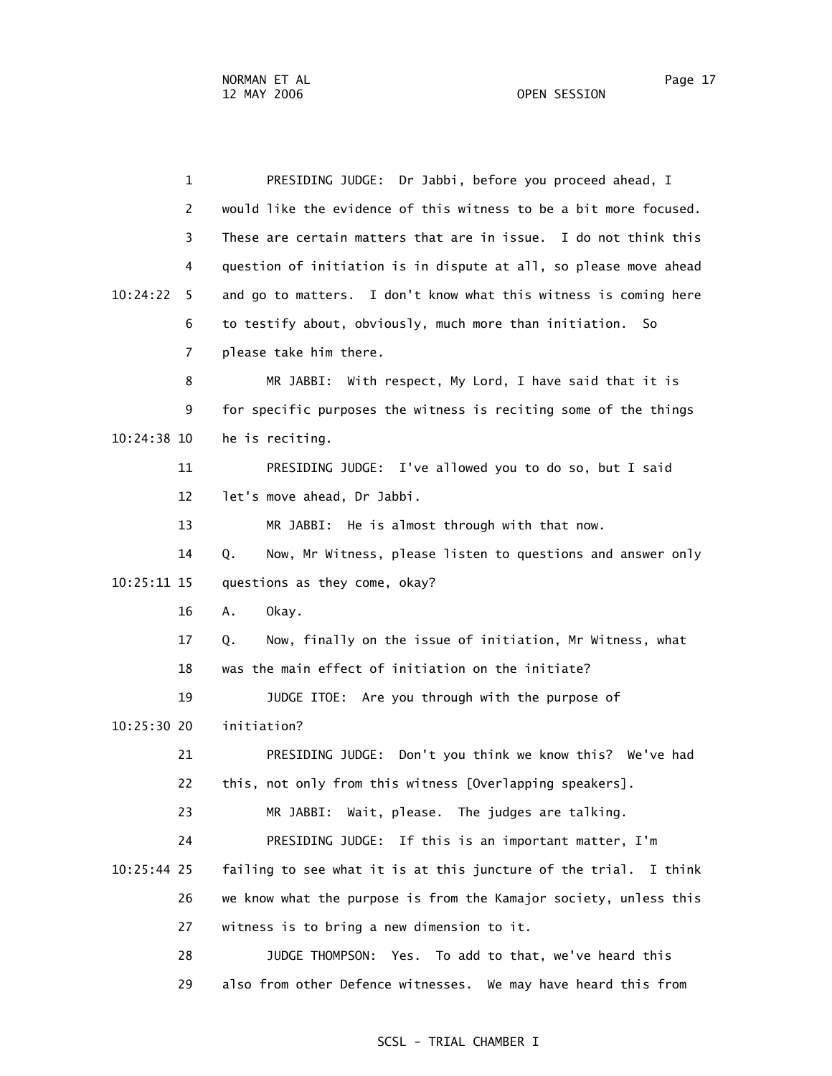1 PRESIDING JUDGE: Dr Jabbi, before you proceed ahead, I 2 would like the evidence of this witness to be a bit more focused. 3 These are certain matters that are in issue. I do not think this 4 question of initiation is in dispute at all, so please move ahead 10:24:22 5 and go to matters. I don't know what this witness is coming here 6 to testify about, obviously, much more than initiation. So 7 please take him there. 8 MR JABBI: With respect, My Lord, I have said that it is 9 for specific purposes the witness is reciting some of the things 10:24:38 10 he is reciting. 11 PRESIDING JUDGE: I've allowed you to do so, but I said 12 let's move ahead, Dr Jabbi. 13 MR JABBI: He is almost through with that now. 14 Q. Now, Mr Witness, please listen to questions and answer only 10:25:11 15 questions as they come, okay? 16 A. Okay. 17 Q. Now, finally on the issue of initiation, Mr Witness, what 18 was the main effect of initiation on the initiate? 19 JUDGE ITOE: Are you through with the purpose of 10:25:30 20 initiation? 21 PRESIDING JUDGE: Don't you think we know this? We've had 22 this, not only from this witness [Overlapping speakers]. 23 MR JABBI: Wait, please. The judges are talking. 24 PRESIDING JUDGE: If this is an important matter, I'm 10:25:44 25 failing to see what it is at this juncture of the trial. I think 26 we know what the purpose is from the Kamajor society, unless this 27 witness is to bring a new dimension to it. 28 JUDGE THOMPSON: Yes. To add to that, we've heard this 29 also from other Defence witnesses. We may have heard this from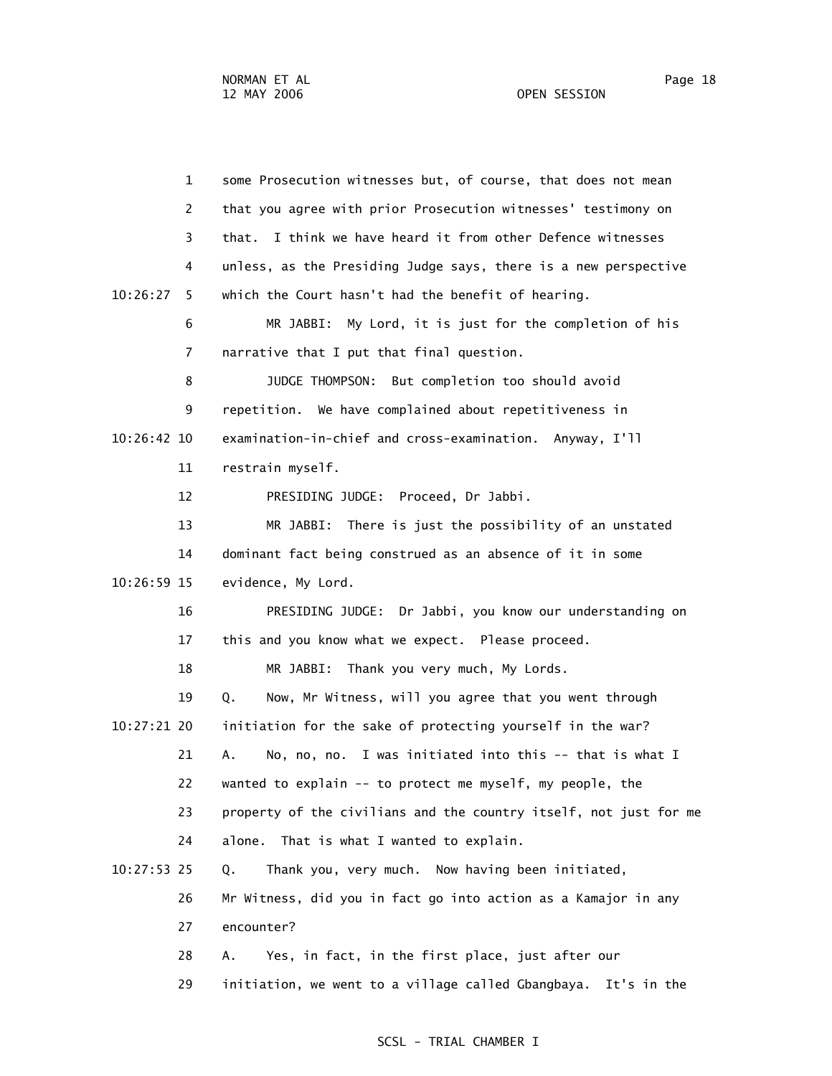1 some Prosecution witnesses but, of course, that does not mean 2 that you agree with prior Prosecution witnesses' testimony on 3 that. I think we have heard it from other Defence witnesses 4 unless, as the Presiding Judge says, there is a new perspective 10:26:27 5 which the Court hasn't had the benefit of hearing. 6 MR JABBI: My Lord, it is just for the completion of his 7 narrative that I put that final question. 8 JUDGE THOMPSON: But completion too should avoid 9 repetition. We have complained about repetitiveness in 10:26:42 10 examination-in-chief and cross-examination. Anyway, I'll 11 restrain myself. 12 PRESIDING JUDGE: Proceed, Dr Jabbi. 13 MR JABBI: There is just the possibility of an unstated 14 dominant fact being construed as an absence of it in some 10:26:59 15 evidence, My Lord. 16 PRESIDING JUDGE: Dr Jabbi, you know our understanding on 17 this and you know what we expect. Please proceed. 18 MR JABBI: Thank you very much, My Lords. 19 Q. Now, Mr Witness, will you agree that you went through 10:27:21 20 initiation for the sake of protecting yourself in the war? 21 A. No, no, no. I was initiated into this -- that is what I 22 wanted to explain -- to protect me myself, my people, the 23 property of the civilians and the country itself, not just for me 24 alone. That is what I wanted to explain. 10:27:53 25 Q. Thank you, very much. Now having been initiated, 26 Mr Witness, did you in fact go into action as a Kamajor in any 27 encounter? 28 A. Yes, in fact, in the first place, just after our

29 initiation, we went to a village called Gbangbaya. It's in the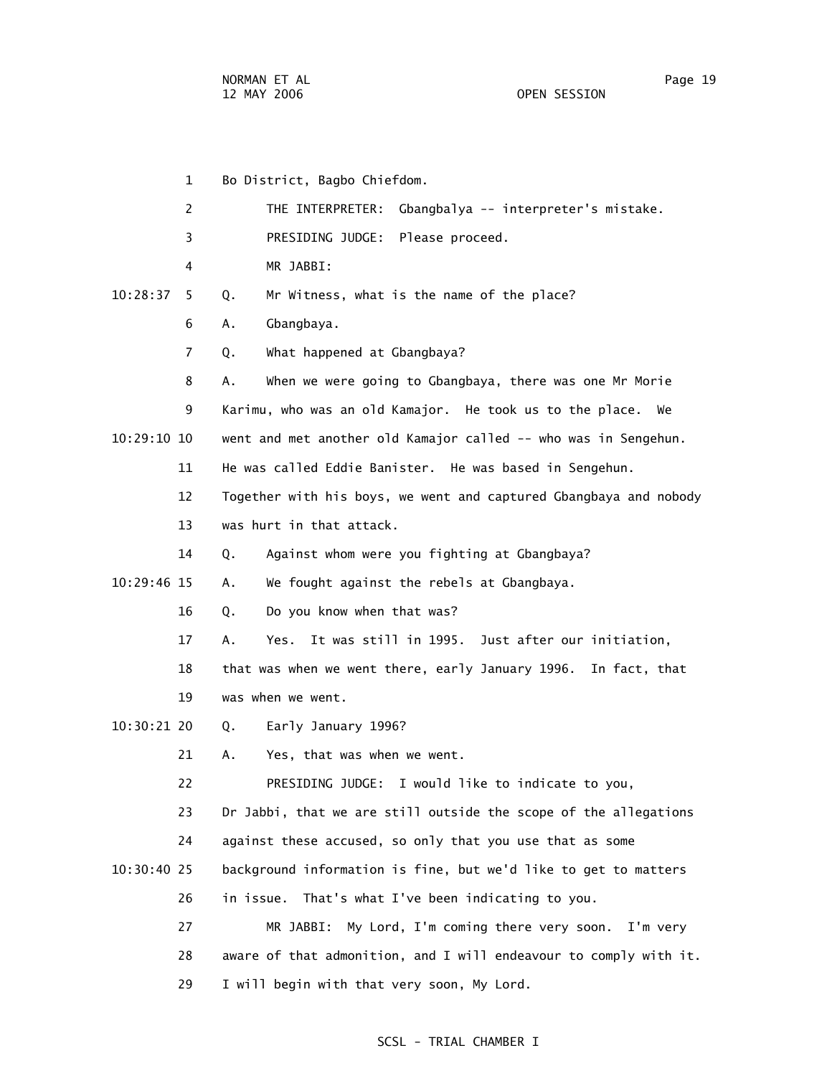1 Bo District, Bagbo Chiefdom. 2 THE INTERPRETER: Gbangbalya -- interpreter's mistake. 3 PRESIDING JUDGE: Please proceed. 4 MR JABBI: 10:28:37 5 Q. Mr Witness, what is the name of the place? 6 A. Gbangbaya. 7 Q. What happened at Gbangbaya? 8 A. When we were going to Gbangbaya, there was one Mr Morie 9 Karimu, who was an old Kamajor. He took us to the place. We 10:29:10 10 went and met another old Kamajor called -- who was in Sengehun. 11 He was called Eddie Banister. He was based in Sengehun. 12 Together with his boys, we went and captured Gbangbaya and nobody 13 was hurt in that attack. 14 Q. Against whom were you fighting at Gbangbaya? 10:29:46 15 A. We fought against the rebels at Gbangbaya. 16 Q. Do you know when that was? 17 A. Yes. It was still in 1995. Just after our initiation, 18 that was when we went there, early January 1996. In fact, that 19 was when we went. 10:30:21 20 Q. Early January 1996? 21 A. Yes, that was when we went. 22 PRESIDING JUDGE: I would like to indicate to you, 23 Dr Jabbi, that we are still outside the scope of the allegations 24 against these accused, so only that you use that as some 10:30:40 25 background information is fine, but we'd like to get to matters 26 in issue. That's what I've been indicating to you. 27 MR JABBI: My Lord, I'm coming there very soon. I'm very 28 aware of that admonition, and I will endeavour to comply with it. 29 I will begin with that very soon, My Lord.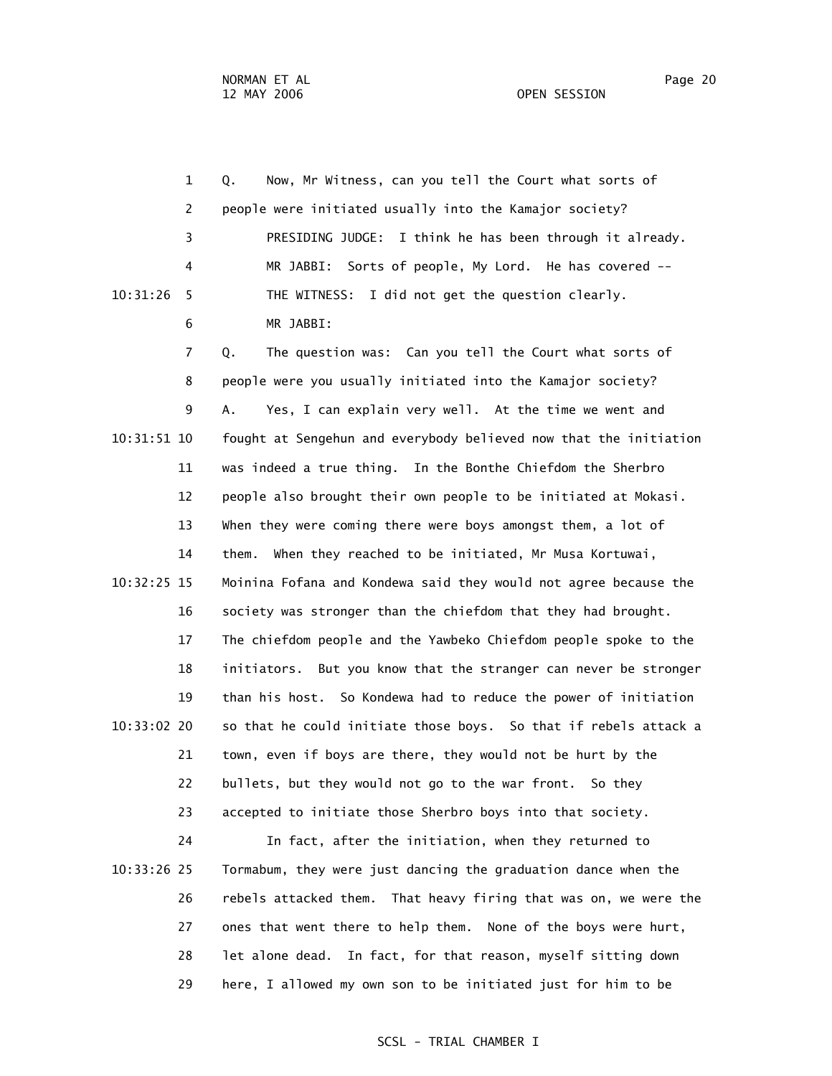|             | $\mathbf 1$    | Now, Mr Witness, can you tell the Court what sorts of<br>Q.       |
|-------------|----------------|-------------------------------------------------------------------|
|             | $\overline{c}$ | people were initiated usually into the Kamajor society?           |
|             | 3              | PRESIDING JUDGE: I think he has been through it already.          |
|             | 4              | MR JABBI: Sorts of people, My Lord. He has covered --             |
| 10:31:26    | 5              | I did not get the question clearly.<br>THE WITNESS:               |
|             | 6              | MR JABBI:                                                         |
|             | 7              | The question was: Can you tell the Court what sorts of<br>Q.      |
|             | 8              | people were you usually initiated into the Kamajor society?       |
|             | 9              | Yes, I can explain very well. At the time we went and<br>А.       |
| 10:31:51 10 |                | fought at Sengehun and everybody believed now that the initiation |
|             | 11             | was indeed a true thing. In the Bonthe Chiefdom the Sherbro       |
|             | 12             | people also brought their own people to be initiated at Mokasi.   |
|             | 13             | When they were coming there were boys amongst them, a lot of      |
|             | 14             | them. When they reached to be initiated, Mr Musa Kortuwai,        |
| 10:32:25 15 |                | Moinina Fofana and Kondewa said they would not agree because the  |
|             | 16             | society was stronger than the chiefdom that they had brought.     |
|             | 17             | The chiefdom people and the Yawbeko Chiefdom people spoke to the  |
|             | 18             | initiators. But you know that the stranger can never be stronger  |
|             | 19             | than his host. So Kondewa had to reduce the power of initiation   |
| 10:33:02 20 |                | so that he could initiate those boys. So that if rebels attack a  |
|             | 21             | town, even if boys are there, they would not be hurt by the       |
|             | 22             | bullets, but they would not go to the war front. So they          |
|             | 23             | accepted to initiate those Sherbro boys into that society.        |
|             |                |                                                                   |

 24 In fact, after the initiation, when they returned to 10:33:26 25 Tormabum, they were just dancing the graduation dance when the 26 rebels attacked them. That heavy firing that was on, we were the 27 ones that went there to help them. None of the boys were hurt, 28 let alone dead. In fact, for that reason, myself sitting down 29 here, I allowed my own son to be initiated just for him to be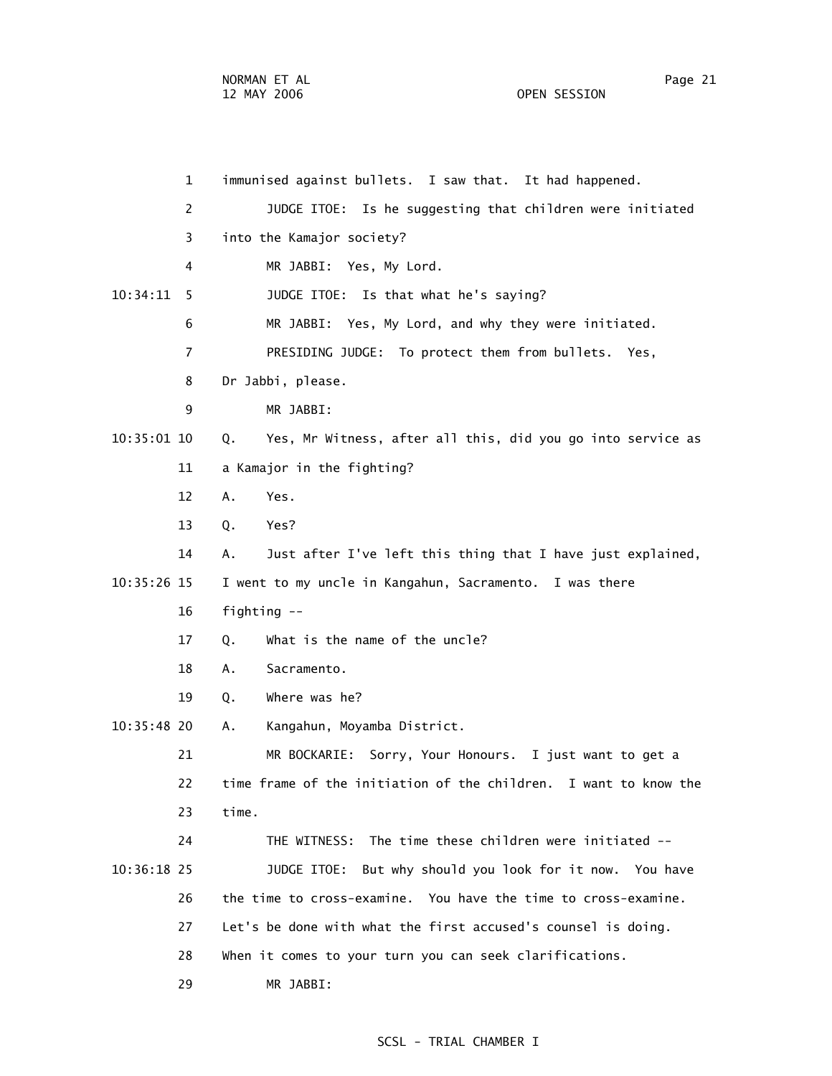1 immunised against bullets. I saw that. It had happened. 2 JUDGE ITOE: Is he suggesting that children were initiated 3 into the Kamajor society? 4 MR JABBI: Yes, My Lord. 10:34:11 5 JUDGE ITOE: Is that what he's saying? 6 MR JABBI: Yes, My Lord, and why they were initiated. 7 PRESIDING JUDGE: To protect them from bullets. Yes, 8 Dr Jabbi, please. 9 MR JABBI: 10:35:01 10 Q. Yes, Mr Witness, after all this, did you go into service as 11 a Kamajor in the fighting? 12 A. Yes. 13 Q. Yes? 14 A. Just after I've left this thing that I have just explained, 10:35:26 15 I went to my uncle in Kangahun, Sacramento. I was there 16 fighting -- 17 0. What is the name of the uncle? 18 A. Sacramento. 19 Q. Where was he? 10:35:48 20 A. Kangahun, Moyamba District. 21 MR BOCKARIE: Sorry, Your Honours. I just want to get a 22 time frame of the initiation of the children. I want to know the 23 time. 24 THE WITNESS: The time these children were initiated -- 10:36:18 25 JUDGE ITOE: But why should you look for it now. You have 26 the time to cross-examine. You have the time to cross-examine. 27 Let's be done with what the first accused's counsel is doing. 28 When it comes to your turn you can seek clarifications. 29 MR JABBI: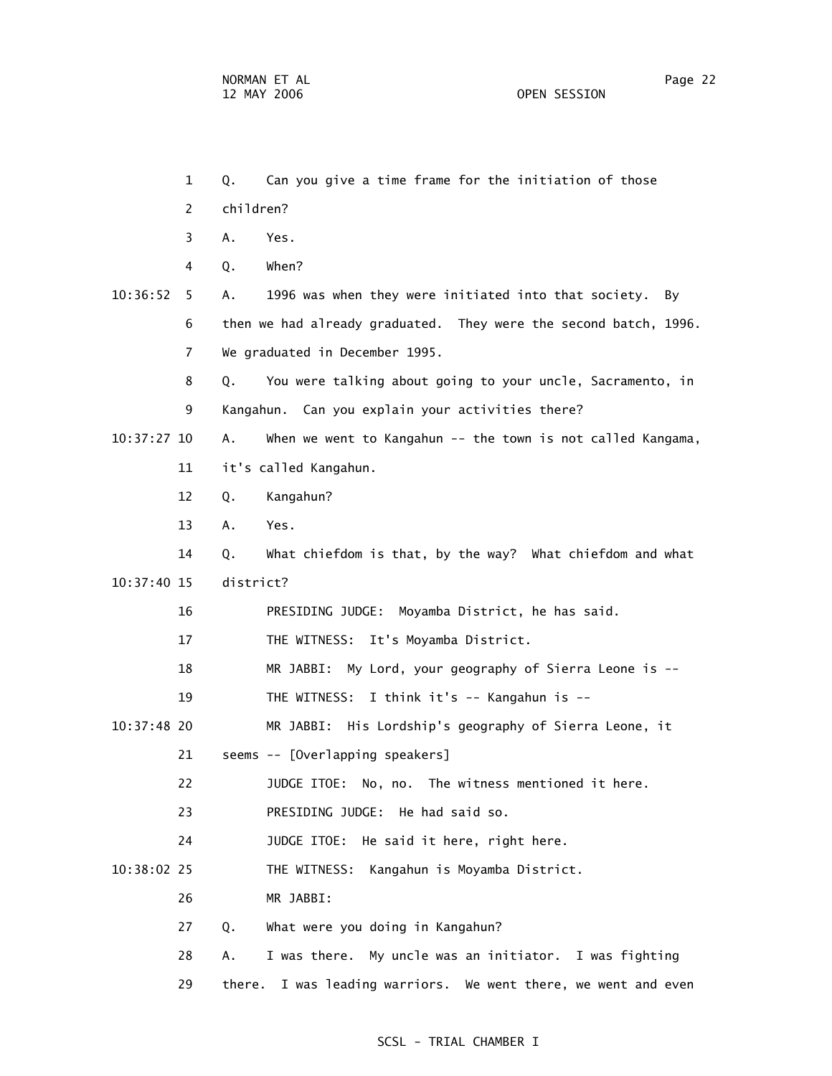1 Q. Can you give a time frame for the initiation of those 2 children? 3 A. Yes. 4 Q. When? 10:36:52 5 A. 1996 was when they were initiated into that society. By 6 then we had already graduated. They were the second batch, 1996. 7 We graduated in December 1995. 8 Q. You were talking about going to your uncle, Sacramento, in 9 Kangahun. Can you explain your activities there? 10:37:27 10 A. When we went to Kangahun -- the town is not called Kangama, 11 it's called Kangahun. 12 Q. Kangahun? 13 A. Yes. 14 Q. What chiefdom is that, by the way? What chiefdom and what 10:37:40 15 district? 16 PRESIDING JUDGE: Moyamba District, he has said. 17 THE WITNESS: It's Moyamba District. 18 MR JABBI: My Lord, your geography of Sierra Leone is -- 19 THE WITNESS: I think it's -- Kangahun is -- 10:37:48 20 MR JABBI: His Lordship's geography of Sierra Leone, it 21 seems -- [Overlapping speakers] 22 JUDGE ITOE: No, no. The witness mentioned it here. 23 PRESIDING JUDGE: He had said so. 24 JUDGE ITOE: He said it here, right here. 10:38:02 25 THE WITNESS: Kangahun is Moyamba District. 26 MR JABBI: 27 Q. What were you doing in Kangahun? 28 A. I was there. My uncle was an initiator. I was fighting 29 there. I was leading warriors. We went there, we went and even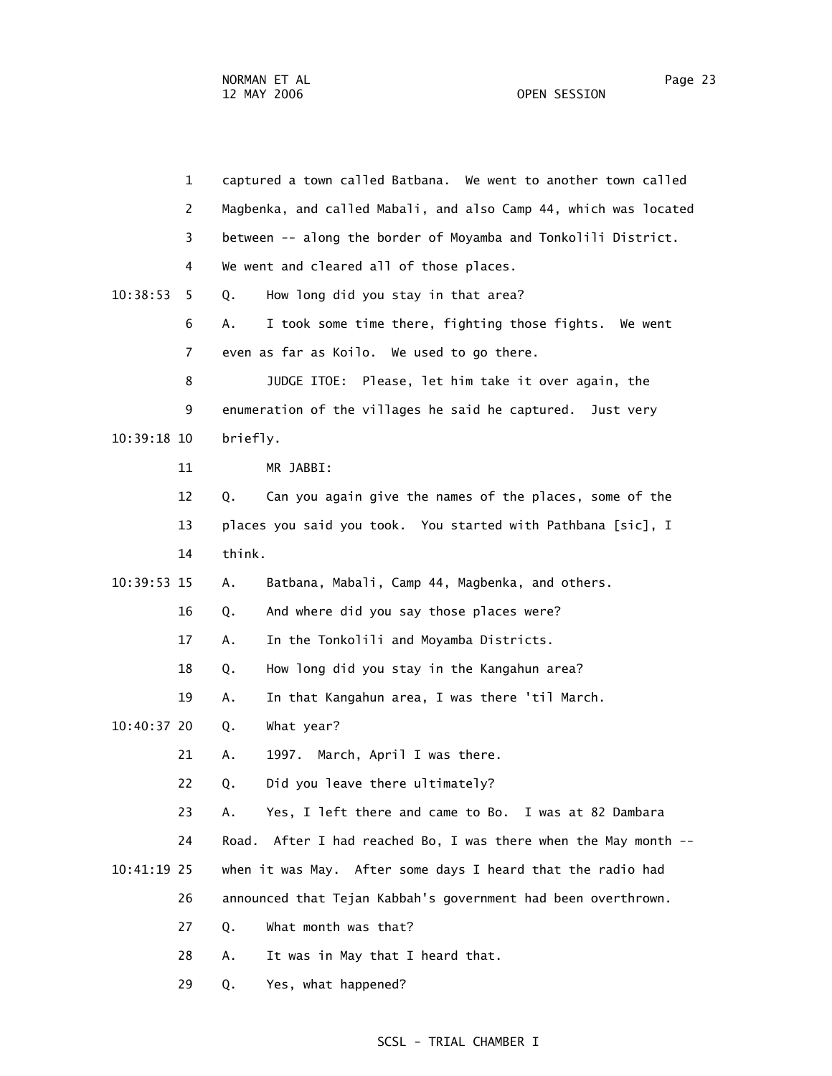1 captured a town called Batbana. We went to another town called 2 Magbenka, and called Mabali, and also Camp 44, which was located 3 between -- along the border of Moyamba and Tonkolili District. 4 We went and cleared all of those places. 10:38:53 5 Q. How long did you stay in that area? 6 A. I took some time there, fighting those fights. We went 7 even as far as Koilo. We used to go there. 8 JUDGE ITOE: Please, let him take it over again, the 9 enumeration of the villages he said he captured. Just very 10:39:18 10 briefly. 11 MR JABBI: 12 Q. Can you again give the names of the places, some of the 13 places you said you took. You started with Pathbana [sic], I 14 think. 10:39:53 15 A. Batbana, Mabali, Camp 44, Magbenka, and others. 16 Q. And where did you say those places were? 17 A. In the Tonkolili and Moyamba Districts. 18 Q. How long did you stay in the Kangahun area? 19 A. In that Kangahun area, I was there 'til March. 10:40:37 20 Q. What year? 21 A. 1997. March, April I was there. 22 Q. Did you leave there ultimately? 23 A. Yes, I left there and came to Bo. I was at 82 Dambara 24 Road. After I had reached Bo, I was there when the May month -- 10:41:19 25 when it was May. After some days I heard that the radio had 26 announced that Tejan Kabbah's government had been overthrown. 27 Q. What month was that? 28 A. It was in May that I heard that.

SCSL - TRIAL CHAMBER I

29 Q. Yes, what happened?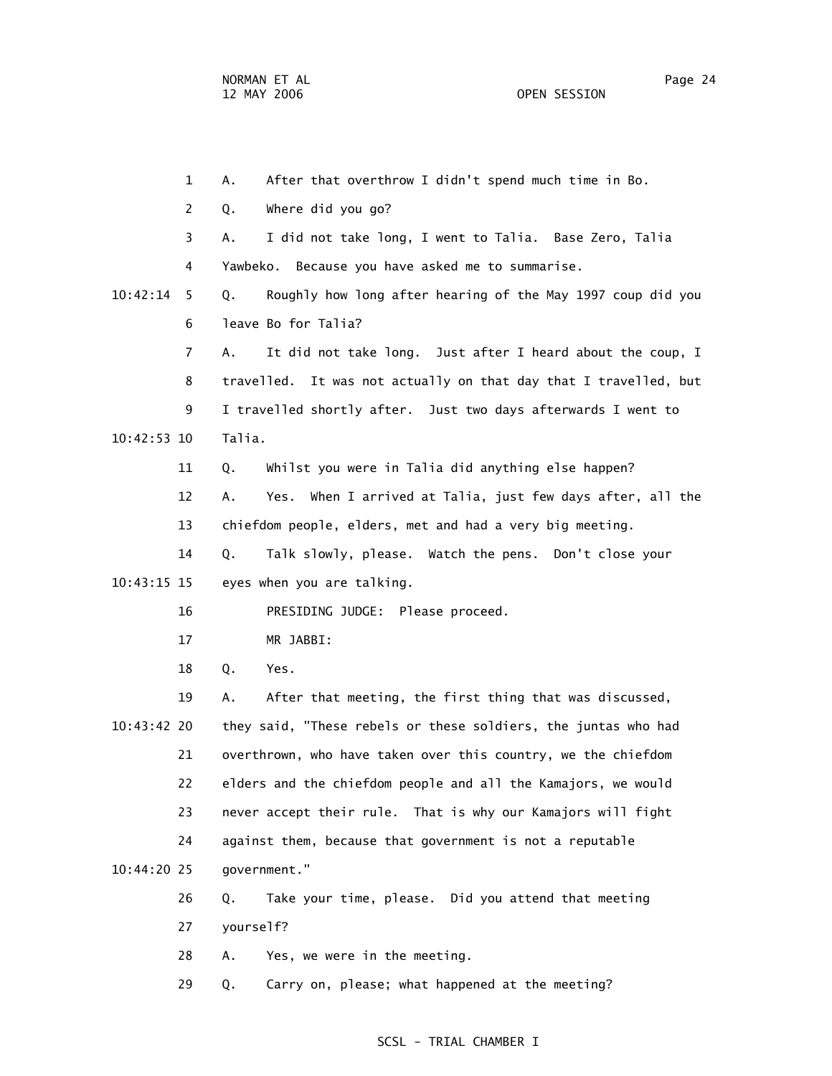1 A. After that overthrow I didn't spend much time in Bo. 2 Q. Where did you go? 3 A. I did not take long, I went to Talia. Base Zero, Talia 4 Yawbeko. Because you have asked me to summarise. 10:42:14 5 Q. Roughly how long after hearing of the May 1997 coup did you 6 leave Bo for Talia? 7 A. It did not take long. Just after I heard about the coup, I 8 travelled. It was not actually on that day that I travelled, but 9 I travelled shortly after. Just two days afterwards I went to 10:42:53 10 Talia. 11 Q. Whilst you were in Talia did anything else happen? 12 A. Yes. When I arrived at Talia, just few days after, all the 13 chiefdom people, elders, met and had a very big meeting. 14 Q. Talk slowly, please. Watch the pens. Don't close your 10:43:15 15 eyes when you are talking. 16 PRESIDING JUDGE: Please proceed. 17 MR JABBI: 18 Q. Yes. 19 A. After that meeting, the first thing that was discussed, 10:43:42 20 they said, "These rebels or these soldiers, the juntas who had 21 overthrown, who have taken over this country, we the chiefdom 22 elders and the chiefdom people and all the Kamajors, we would 23 never accept their rule. That is why our Kamajors will fight 24 against them, because that government is not a reputable 10:44:20 25 government." 26 Q. Take your time, please. Did you attend that meeting 27 yourself? 28 A. Yes, we were in the meeting.

29 Q. Carry on, please; what happened at the meeting?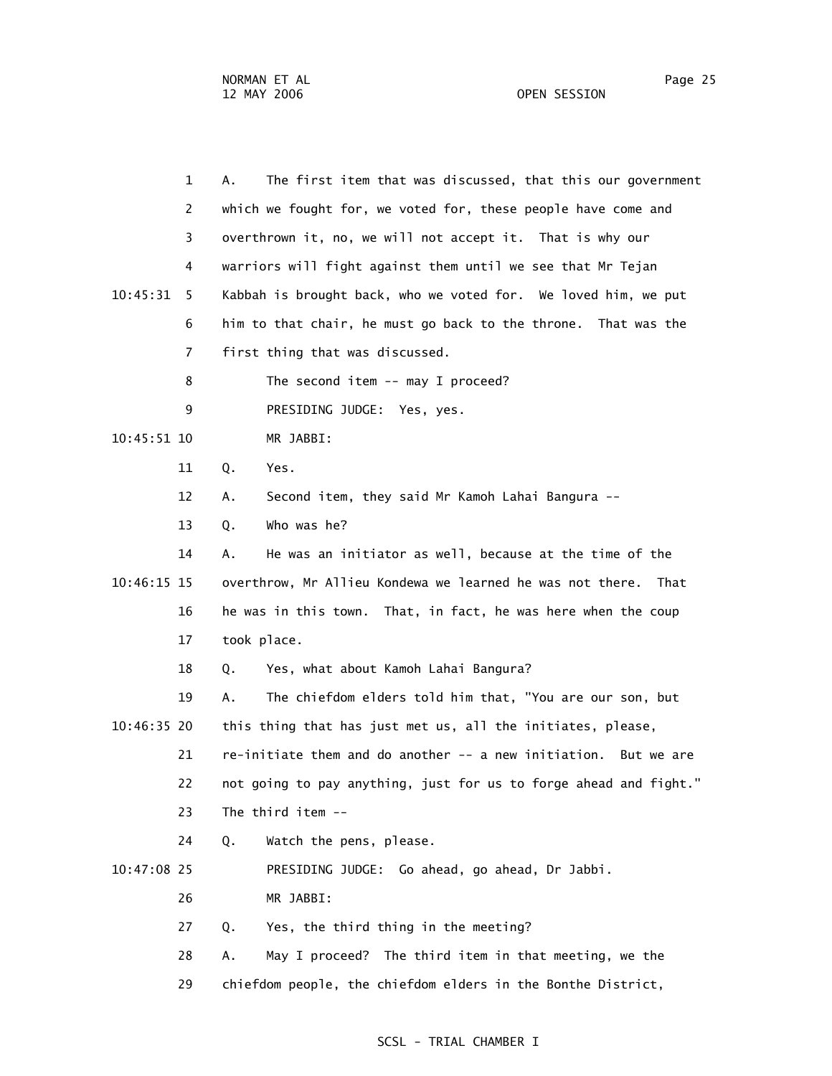|             | $\mathbf{1}$   | The first item that was discussed, that this our government<br>Α. |
|-------------|----------------|-------------------------------------------------------------------|
|             | 2              | which we fought for, we voted for, these people have come and     |
|             | 3              | overthrown it, no, we will not accept it. That is why our         |
|             | 4              | warriors will fight against them until we see that Mr Tejan       |
| 10:45:31    | 5.             | Kabbah is brought back, who we voted for. We loved him, we put    |
|             | 6              | him to that chair, he must go back to the throne. That was the    |
|             | $\overline{7}$ | first thing that was discussed.                                   |
|             | 8              | The second item $--$ may I proceed?                               |
|             | 9              | PRESIDING JUDGE: Yes, yes.                                        |
| 10:45:51 10 |                | MR JABBI:                                                         |
|             | 11             | Q.<br>Yes.                                                        |
|             | 12             | Second item, they said Mr Kamoh Lahai Bangura --<br>Α.            |
|             | 13             | Who was he?<br>Q.                                                 |
|             | 14             | He was an initiator as well, because at the time of the<br>Α.     |
| 10:46:15 15 |                | overthrow, Mr Allieu Kondewa we learned he was not there.<br>That |
|             | 16             | he was in this town. That, in fact, he was here when the coup     |
|             | 17             | took place.                                                       |
|             | 18             | Yes, what about Kamoh Lahai Bangura?<br>Q.                        |
|             | 19             | The chiefdom elders told him that, "You are our son, but<br>А.    |
| 10:46:35 20 |                | this thing that has just met us, all the initiates, please,       |
|             | 21             | re-initiate them and do another -- a new initiation. But we are   |
|             | 22             | not going to pay anything, just for us to forge ahead and fight." |
|             | 23             | The third item --                                                 |
|             | 24             | Watch the pens, please.<br>Q.                                     |
| 10:47:08 25 |                | PRESIDING JUDGE: Go ahead, go ahead, Dr Jabbi.                    |
|             | 26             | MR JABBI:                                                         |
|             | 27             | Yes, the third thing in the meeting?<br>Q.                        |
|             | 28             | May I proceed? The third item in that meeting, we the<br>А.       |
|             | 29             | chiefdom people, the chiefdom elders in the Bonthe District,      |
|             |                |                                                                   |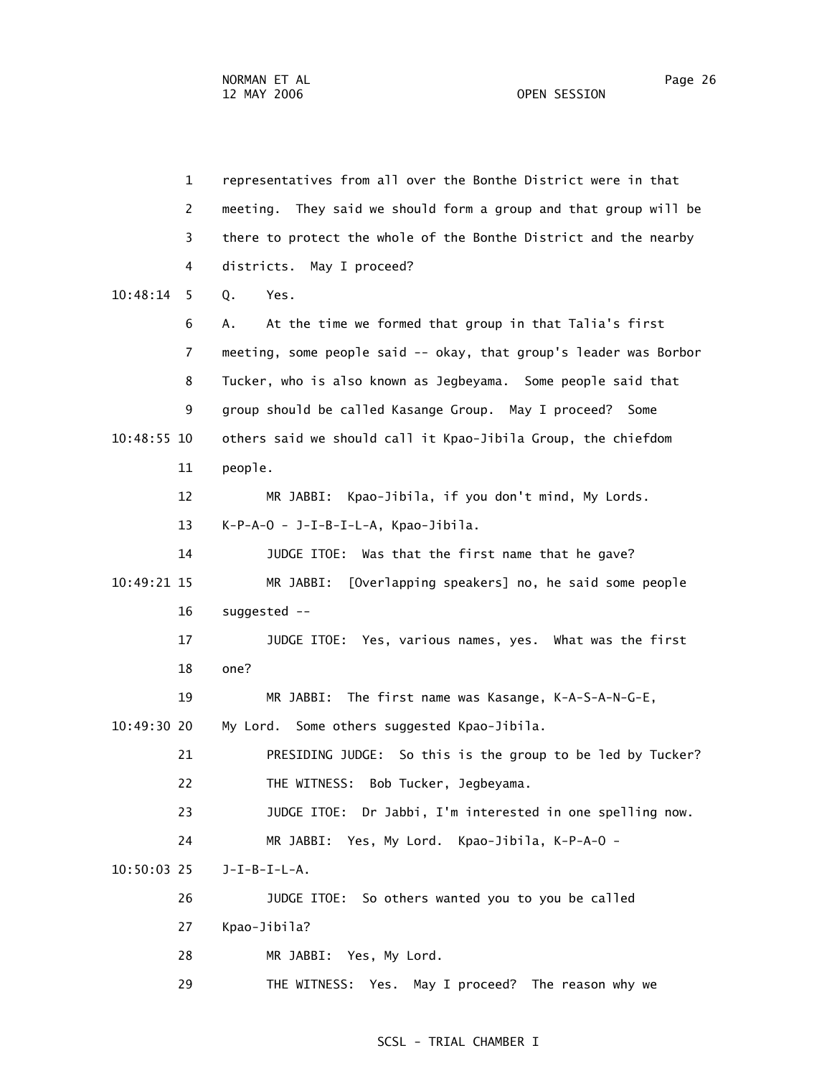| $\mathbf{1}$   | representatives from all over the Bonthe District were in that    |
|----------------|-------------------------------------------------------------------|
| $\overline{2}$ | meeting. They said we should form a group and that group will be  |
| 3              | there to protect the whole of the Bonthe District and the nearby  |
| 4              | districts. May I proceed?                                         |
| 10:48:14<br>5  | Yes.<br>Q.                                                        |
| 6              | At the time we formed that group in that Talia's first<br>Α.      |
| 7              | meeting, some people said -- okay, that group's leader was Borbor |
| 8              | Tucker, who is also known as Jegbeyama. Some people said that     |
| 9              | group should be called Kasange Group. May I proceed? Some         |
| $10:48:55$ 10  | others said we should call it Kpao-Jibila Group, the chiefdom     |
| 11             | people.                                                           |
| 12             | MR JABBI: Kpao-Jibila, if you don't mind, My Lords.               |
| 13             | K-P-A-O - J-I-B-I-L-A, Kpao-Jibila.                               |
| 14             | JUDGE ITOE: Was that the first name that he gave?                 |
| 10:49:21 15    | MR JABBI:<br>[Overlapping speakers] no, he said some people       |
| 16             | suggested --                                                      |
| 17             | JUDGE ITOE: Yes, various names, yes. What was the first           |
| 18             | one?                                                              |
| 19             | MR JABBI:<br>The first name was Kasange, K-A-S-A-N-G-E,           |
| 10:49:30 20    | My Lord. Some others suggested Kpao-Jibila.                       |
| 21             | PRESIDING JUDGE: So this is the group to be led by Tucker?        |
| 22             | Bob Tucker, Jegbeyama.<br>THE WITNESS:                            |
| 23             | JUDGE ITOE: Dr Jabbi, I'm interested in one spelling now.         |
| 24             | MR JABBI: Yes, My Lord. Kpao-Jibila, K-P-A-O -                    |
| $10:50:03$ 25  | $J-I-B-I-L-A.$                                                    |
| 26             | JUDGE ITOE: So others wanted you to you be called                 |
| 27             | Kpao-Jibila?                                                      |
| 28             | MR JABBI: Yes, My Lord.                                           |
| 29             | THE WITNESS: Yes. May I proceed? The reason why we                |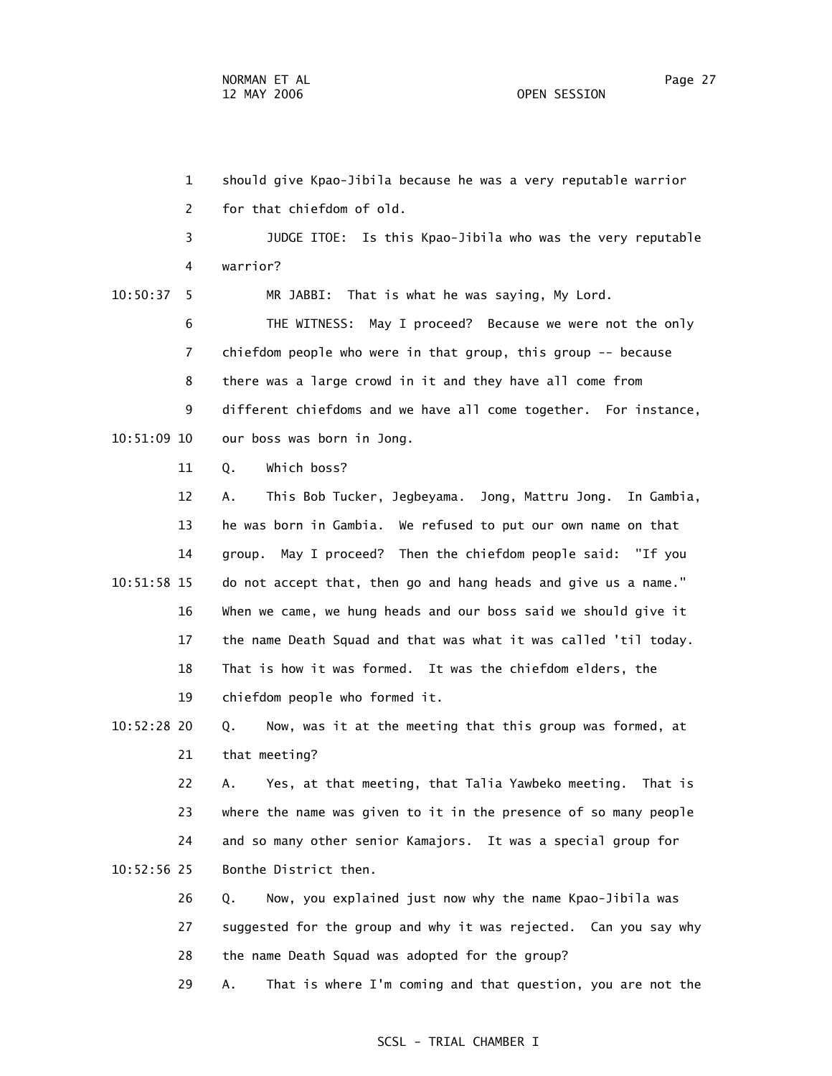1 should give Kpao-Jibila because he was a very reputable warrior 2 for that chiefdom of old. 3 JUDGE ITOE: Is this Kpao-Jibila who was the very reputable 4 warrior? 10:50:37 5 MR JABBI: That is what he was saying, My Lord. 6 THE WITNESS: May I proceed? Because we were not the only 7 chiefdom people who were in that group, this group -- because 8 there was a large crowd in it and they have all come from 9 different chiefdoms and we have all come together. For instance, 10:51:09 10 our boss was born in Jong. 11 Q. Which boss? 12 A. This Bob Tucker, Jegbeyama. Jong, Mattru Jong. In Gambia, 13 he was born in Gambia. We refused to put our own name on that 14 group. May I proceed? Then the chiefdom people said: "If you 10:51:58 15 do not accept that, then go and hang heads and give us a name." 16 When we came, we hung heads and our boss said we should give it 17 the name Death Squad and that was what it was called 'til today. 18 That is how it was formed. It was the chiefdom elders, the 19 chiefdom people who formed it. 10:52:28 20 Q. Now, was it at the meeting that this group was formed, at 21 that meeting? 22 A. Yes, at that meeting, that Talia Yawbeko meeting. That is 23 where the name was given to it in the presence of so many people 24 and so many other senior Kamajors. It was a special group for 10:52:56 25 Bonthe District then. 26 Q. Now, you explained just now why the name Kpao-Jibila was 27 suggested for the group and why it was rejected. Can you say why 28 the name Death Squad was adopted for the group?

29 A. That is where I'm coming and that question, you are not the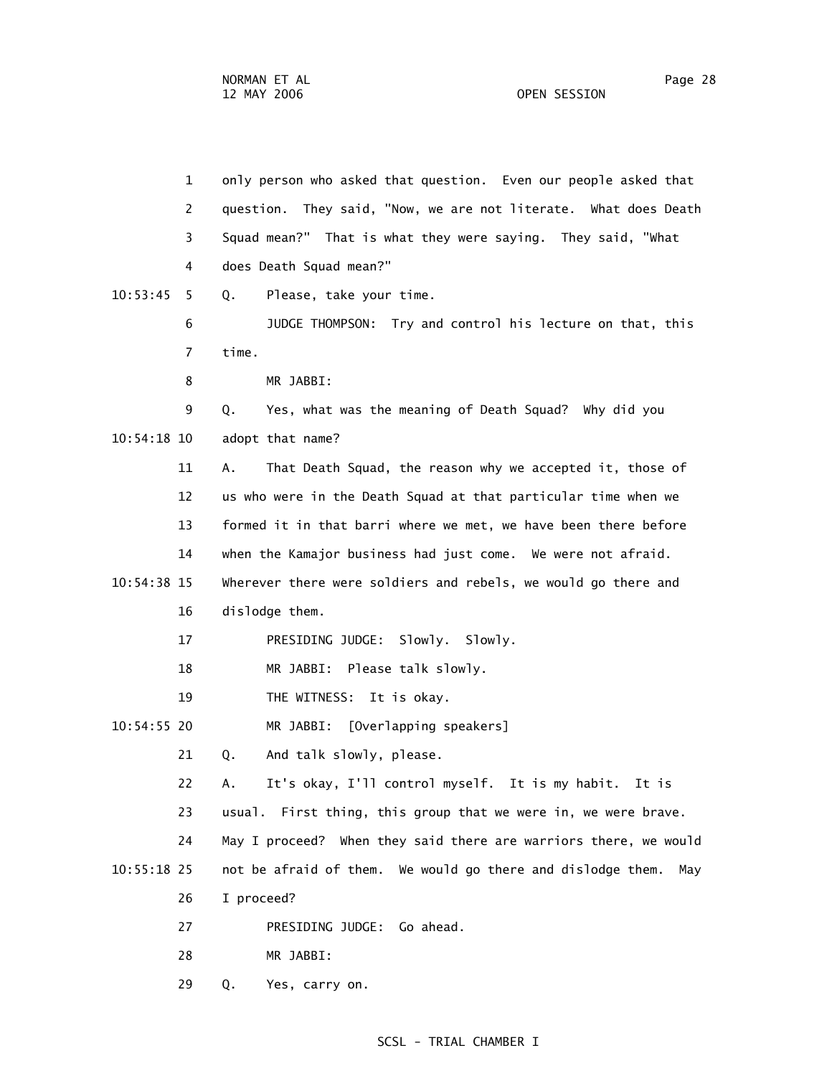1 only person who asked that question. Even our people asked that 2 question. They said, "Now, we are not literate. What does Death 3 Squad mean?" That is what they were saying. They said, "What 4 does Death Squad mean?" 10:53:45 5 Q. Please, take your time. 6 JUDGE THOMPSON: Try and control his lecture on that, this 7 time. 8 MR JABBI: 9 Q. Yes, what was the meaning of Death Squad? Why did you 10:54:18 10 adopt that name? 11 A. That Death Squad, the reason why we accepted it, those of 12 us who were in the Death Squad at that particular time when we 13 formed it in that barri where we met, we have been there before 14 when the Kamajor business had just come. We were not afraid. 10:54:38 15 Wherever there were soldiers and rebels, we would go there and 16 dislodge them. 17 PRESIDING JUDGE: Slowly. Slowly. 18 MR JABBI: Please talk slowly. 19 THE WITNESS: It is okay. 10:54:55 20 MR JABBI: [Overlapping speakers] 21 Q. And talk slowly, please. 22 A. It's okay, I'll control myself. It is my habit. It is 23 usual. First thing, this group that we were in, we were brave. 24 May I proceed? When they said there are warriors there, we would 10:55:18 25 not be afraid of them. We would go there and dislodge them. May 26 I proceed? 27 PRESIDING JUDGE: Go ahead. 28 MR JABBI: 29 Q. Yes, carry on.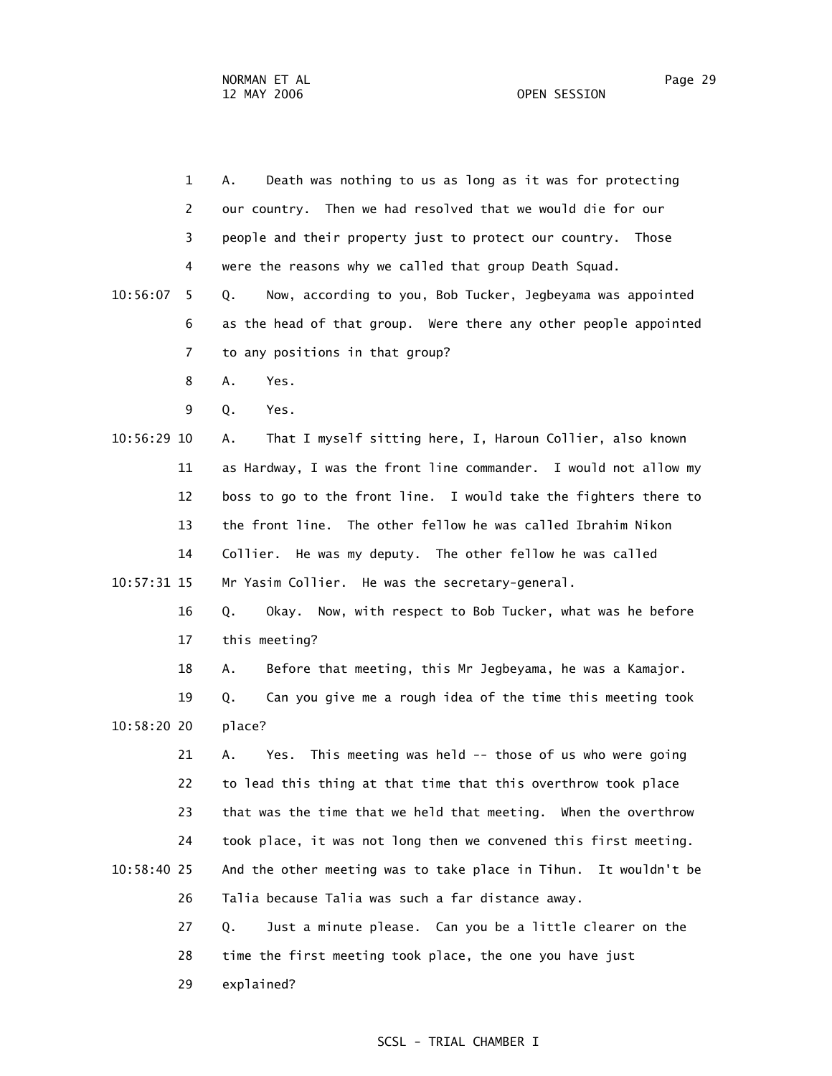1 A. Death was nothing to us as long as it was for protecting 2 our country. Then we had resolved that we would die for our 3 people and their property just to protect our country. Those 4 were the reasons why we called that group Death Squad. 10:56:07 5 Q. Now, according to you, Bob Tucker, Jegbeyama was appointed 6 as the head of that group. Were there any other people appointed 7 to any positions in that group? 8 A. Yes. 9 Q. Yes. 10:56:29 10 A. That I myself sitting here, I, Haroun Collier, also known 11 as Hardway, I was the front line commander. I would not allow my 12 boss to go to the front line. I would take the fighters there to 13 the front line. The other fellow he was called Ibrahim Nikon 14 Collier. He was my deputy. The other fellow he was called 10:57:31 15 Mr Yasim Collier. He was the secretary-general. 16 Q. Okay. Now, with respect to Bob Tucker, what was he before 17 this meeting? 18 A. Before that meeting, this Mr Jegbeyama, he was a Kamajor. 19 Q. Can you give me a rough idea of the time this meeting took 10:58:20 20 place? 21 A. Yes. This meeting was held -- those of us who were going 22 to lead this thing at that time that this overthrow took place 23 that was the time that we held that meeting. When the overthrow 24 took place, it was not long then we convened this first meeting. 10:58:40 25 And the other meeting was to take place in Tihun. It wouldn't be 26 Talia because Talia was such a far distance away. 27 Q. Just a minute please. Can you be a little clearer on the 28 time the first meeting took place, the one you have just

29 explained?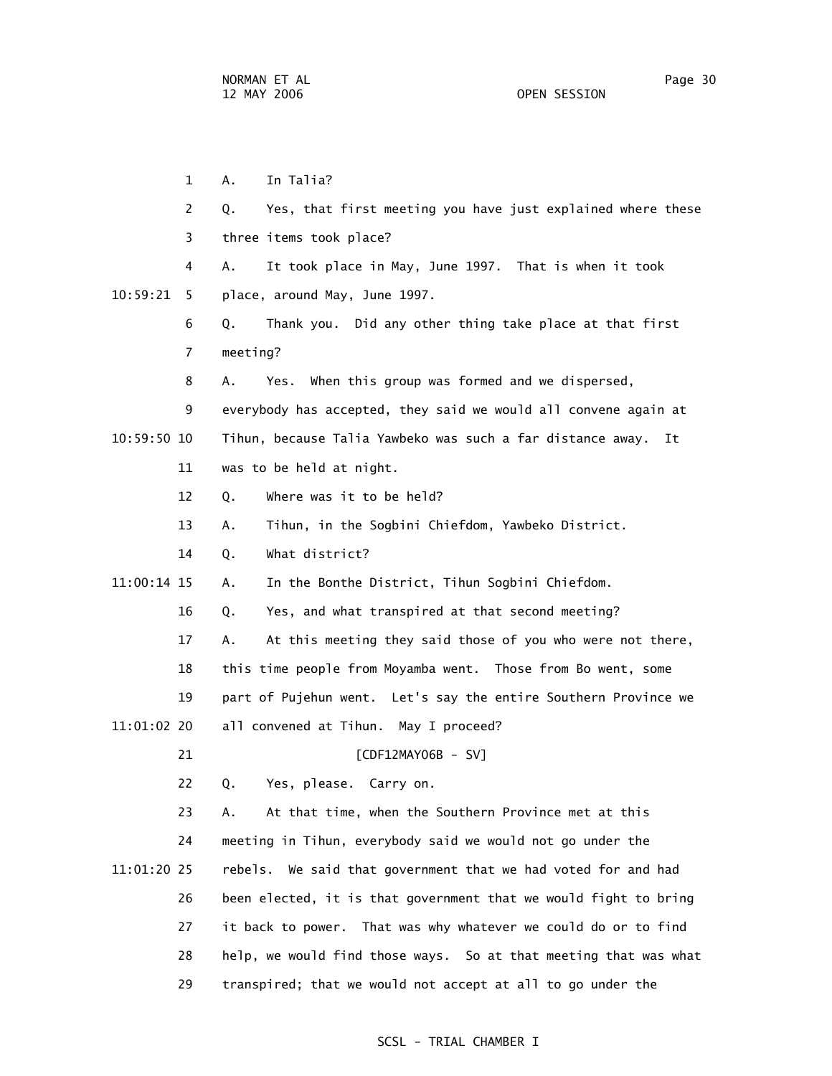1 A. In Talia? 2 Q. Yes, that first meeting you have just explained where these 3 three items took place? 4 A. It took place in May, June 1997. That is when it took 10:59:21 5 place, around May, June 1997. 6 Q. Thank you. Did any other thing take place at that first 7 meeting? 8 A. Yes. When this group was formed and we dispersed, 9 everybody has accepted, they said we would all convene again at 10:59:50 10 Tihun, because Talia Yawbeko was such a far distance away. It 11 was to be held at night. 12 Q. Where was it to be held? 13 A. Tihun, in the Sogbini Chiefdom, Yawbeko District. 14 Q. What district? 11:00:14 15 A. In the Bonthe District, Tihun Sogbini Chiefdom. 16 Q. Yes, and what transpired at that second meeting? 17 A. At this meeting they said those of you who were not there, 18 this time people from Moyamba went. Those from Bo went, some 19 part of Pujehun went. Let's say the entire Southern Province we 11:01:02 20 all convened at Tihun. May I proceed? 21 [CDF12MAY06B - SV] 22 Q. Yes, please. Carry on. 23 A. At that time, when the Southern Province met at this 24 meeting in Tihun, everybody said we would not go under the 11:01:20 25 rebels. We said that government that we had voted for and had 26 been elected, it is that government that we would fight to bring 27 it back to power. That was why whatever we could do or to find 28 help, we would find those ways. So at that meeting that was what 29 transpired; that we would not accept at all to go under the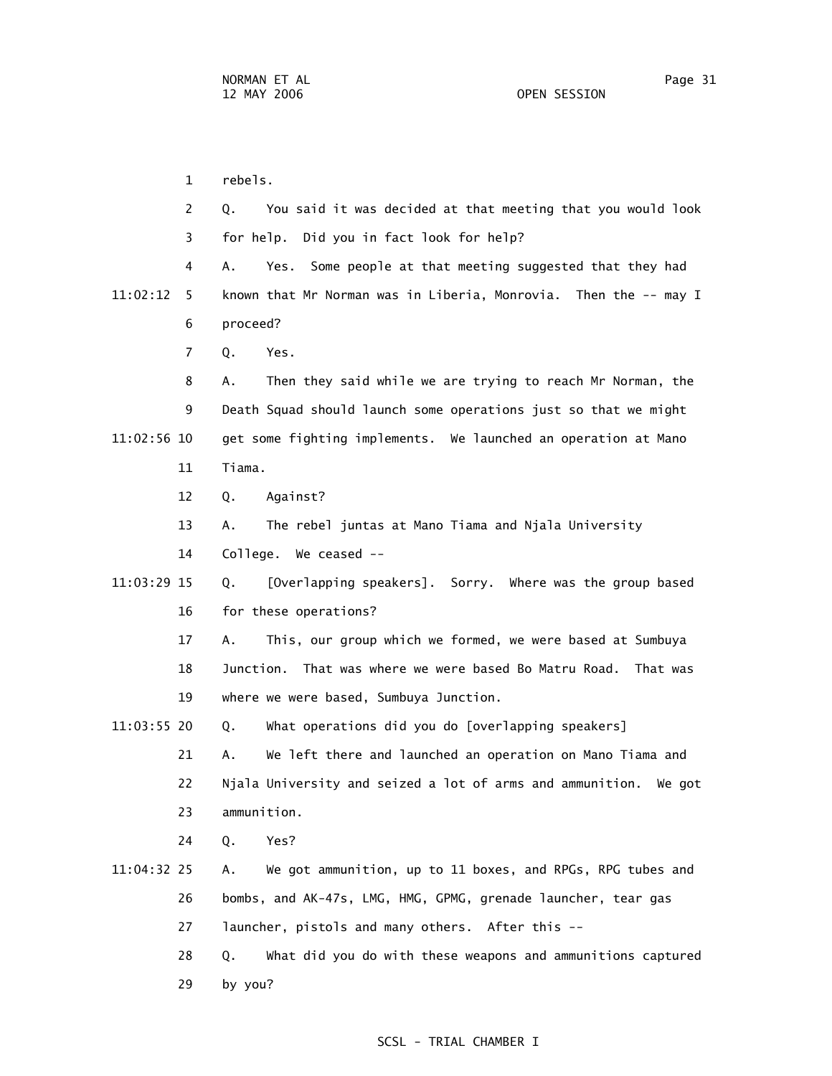1 rebels. 2 Q. You said it was decided at that meeting that you would look 3 for help. Did you in fact look for help? 4 A. Yes. Some people at that meeting suggested that they had 11:02:12 5 known that Mr Norman was in Liberia, Monrovia. Then the -- may I 6 proceed? 7 Q. Yes. 8 A. Then they said while we are trying to reach Mr Norman, the 9 Death Squad should launch some operations just so that we might 11:02:56 10 get some fighting implements. We launched an operation at Mano 11 Tiama. 12 Q. Against? 13 A. The rebel juntas at Mano Tiama and Njala University 14 College. We ceased -- 11:03:29 15 Q. [Overlapping speakers]. Sorry. Where was the group based 16 for these operations? 17 A. This, our group which we formed, we were based at Sumbuya 18 Junction. That was where we were based Bo Matru Road. That was 19 where we were based, Sumbuya Junction. 11:03:55 20 Q. What operations did you do [overlapping speakers] 21 A. We left there and launched an operation on Mano Tiama and 22 Njala University and seized a lot of arms and ammunition. We got 23 ammunition. 24 Q. Yes? 11:04:32 25 A. We got ammunition, up to 11 boxes, and RPGs, RPG tubes and 26 bombs, and AK-47s, LMG, HMG, GPMG, grenade launcher, tear gas 27 launcher, pistols and many others. After this -- 28 Q. What did you do with these weapons and ammunitions captured 29 by you?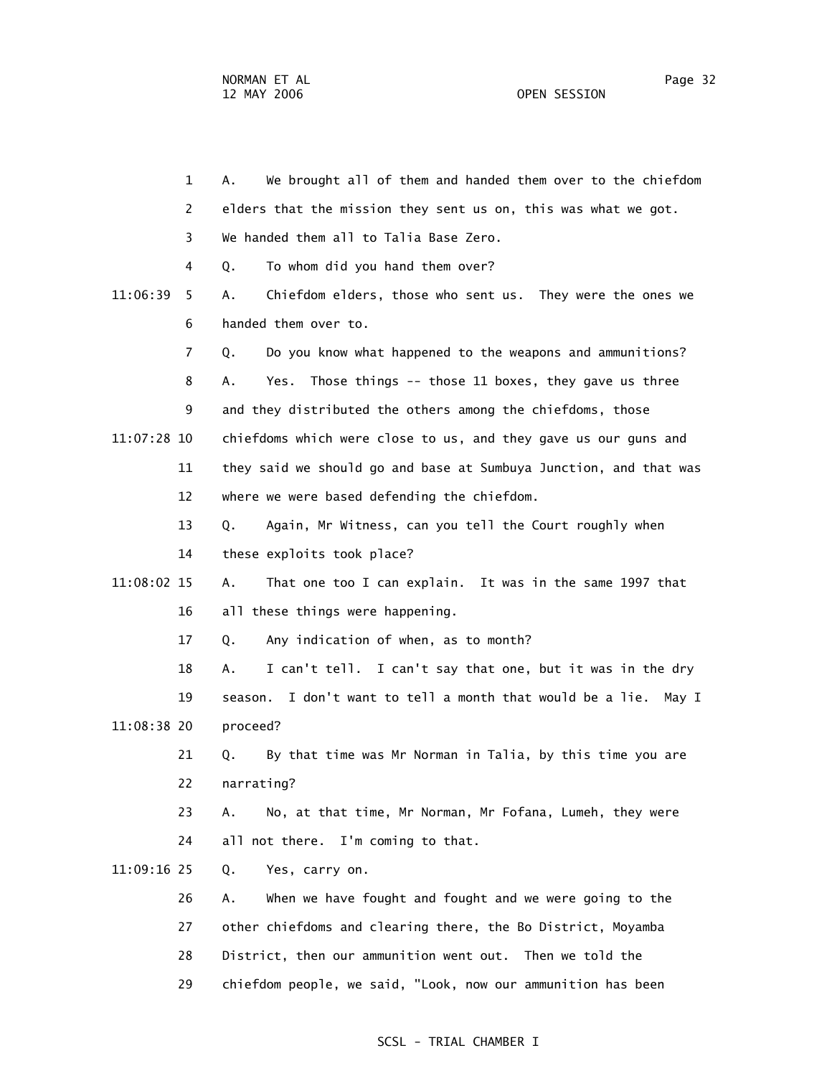|             | $\mathbf 1$ | We brought all of them and handed them over to the chiefdom<br>А.     |
|-------------|-------------|-----------------------------------------------------------------------|
|             | 2           | elders that the mission they sent us on, this was what we got.        |
|             | 3           | We handed them all to Talia Base Zero.                                |
|             | 4           | To whom did you hand them over?<br>Q.                                 |
| 11:06:39    | 5.          | Chiefdom elders, those who sent us. They were the ones we<br>Α.       |
|             | 6           | handed them over to.                                                  |
|             | 7           | Do you know what happened to the weapons and ammunitions?<br>Q.       |
|             | 8           | Those things -- those 11 boxes, they gave us three<br>Yes.<br>А.      |
|             | 9           | and they distributed the others among the chiefdoms, those            |
| 11:07:28 10 |             | chiefdoms which were close to us, and they gave us our guns and       |
|             | 11          | they said we should go and base at Sumbuya Junction, and that was     |
|             | 12          | where we were based defending the chiefdom.                           |
|             | 13          | Again, Mr Witness, can you tell the Court roughly when<br>Q.          |
|             | 14          | these exploits took place?                                            |
| 11:08:02 15 |             | That one too I can explain. It was in the same 1997 that<br>Α.        |
|             | 16          | all these things were happening.                                      |
|             | 17          | Any indication of when, as to month?<br>Q.                            |
|             | 18          | I can't tell. I can't say that one, but it was in the dry<br>А.       |
|             | 19          | I don't want to tell a month that would be a lie.<br>May I<br>season. |
| 11:08:38 20 |             | proceed?                                                              |
|             | 21          | By that time was Mr Norman in Talia, by this time you are<br>Q.       |
|             | 22          | narrating?                                                            |
|             | 23          | No, at that time, Mr Norman, Mr Fofana, Lumeh, they were<br>Α.        |
|             | 24          | all not there. I'm coming to that.                                    |
| 11:09:16 25 |             | Yes, carry on.<br>Q.                                                  |
|             | 26          | When we have fought and fought and we were going to the<br>Α.         |
|             | 27          | other chiefdoms and clearing there, the Bo District, Moyamba          |
|             | 28          | District, then our ammunition went out. Then we told the              |
|             | 29          | chiefdom people, we said, "Look, now our ammunition has been          |
|             |             |                                                                       |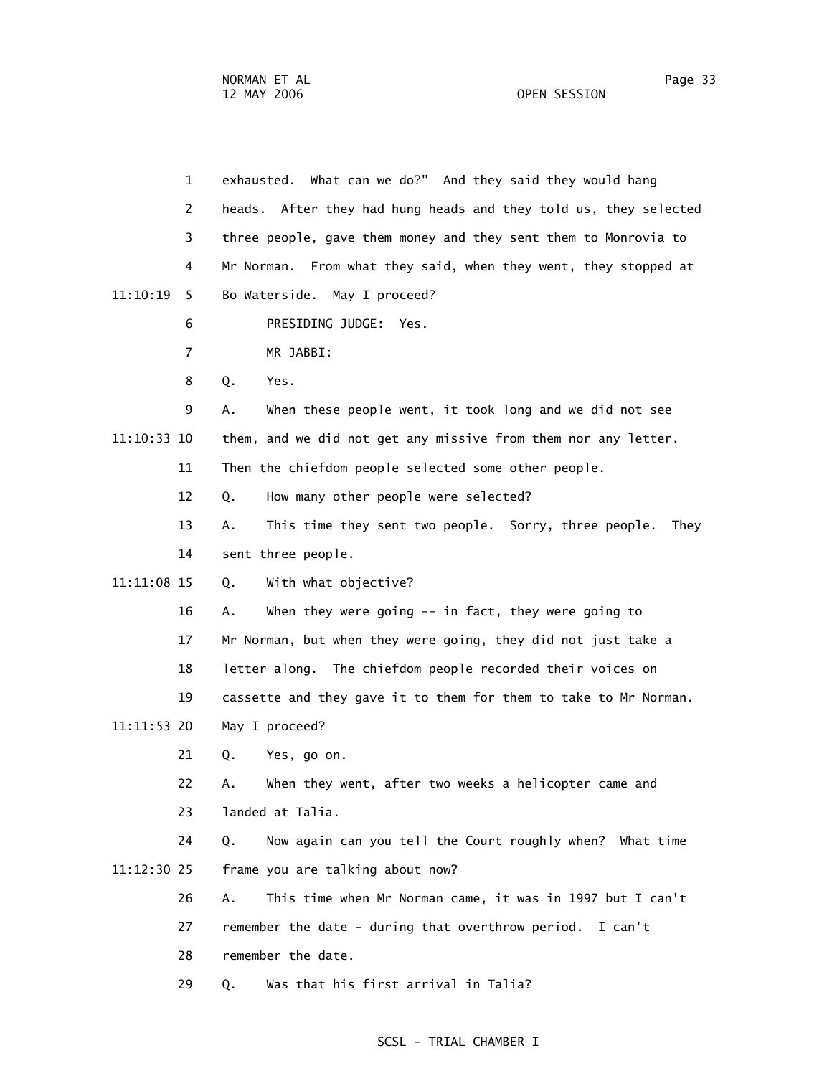|             | $\mathbf{1}$   | exhausted. What can we do?" And they said they would hang          |
|-------------|----------------|--------------------------------------------------------------------|
|             | 2              | heads. After they had hung heads and they told us, they selected   |
|             | 3              | three people, gave them money and they sent them to Monrovia to    |
|             | 4              | Mr Norman. From what they said, when they went, they stopped at    |
| 11:10:19    | 5.             | Bo Waterside. May I proceed?                                       |
|             | 6              | PRESIDING JUDGE: Yes.                                              |
|             | $\overline{7}$ | MR JABBI:                                                          |
|             | 8              | Q.<br>Yes.                                                         |
|             | 9              | When these people went, it took long and we did not see<br>А.      |
| 11:10:33 10 |                | them, and we did not get any missive from them nor any letter.     |
|             | 11             | Then the chiefdom people selected some other people.               |
|             | 12             | How many other people were selected?<br>Q.                         |
|             | 13             | This time they sent two people. Sorry, three people.<br>Α.<br>They |
|             | 14             | sent three people.                                                 |
| 11:11:08 15 |                | With what objective?<br>Q.                                         |
|             | 16             | When they were going $--$ in fact, they were going to<br>Α.        |
|             | 17             | Mr Norman, but when they were going, they did not just take a      |
|             | 18             | letter along. The chiefdom people recorded their voices on         |
|             | 19             | cassette and they gave it to them for them to take to Mr Norman.   |
| 11:11:53 20 |                | May I proceed?                                                     |
|             | 21             | Q.<br>Yes, go on.                                                  |
|             | 22             | When they went, after two weeks a helicopter came and<br>А.        |
|             | 23             | landed at Talia.                                                   |
|             | 24             | Now again can you tell the Court roughly when? What time<br>Q.     |
| 11:12:30 25 |                | frame you are talking about now?                                   |
|             | 26             | This time when Mr Norman came, it was in 1997 but I can't<br>Α.    |
|             | 27             | remember the date - during that overthrow period. I can't          |
|             | 28             | remember the date.                                                 |
|             | 29             | Was that his first arrival in Talia?<br>Q.                         |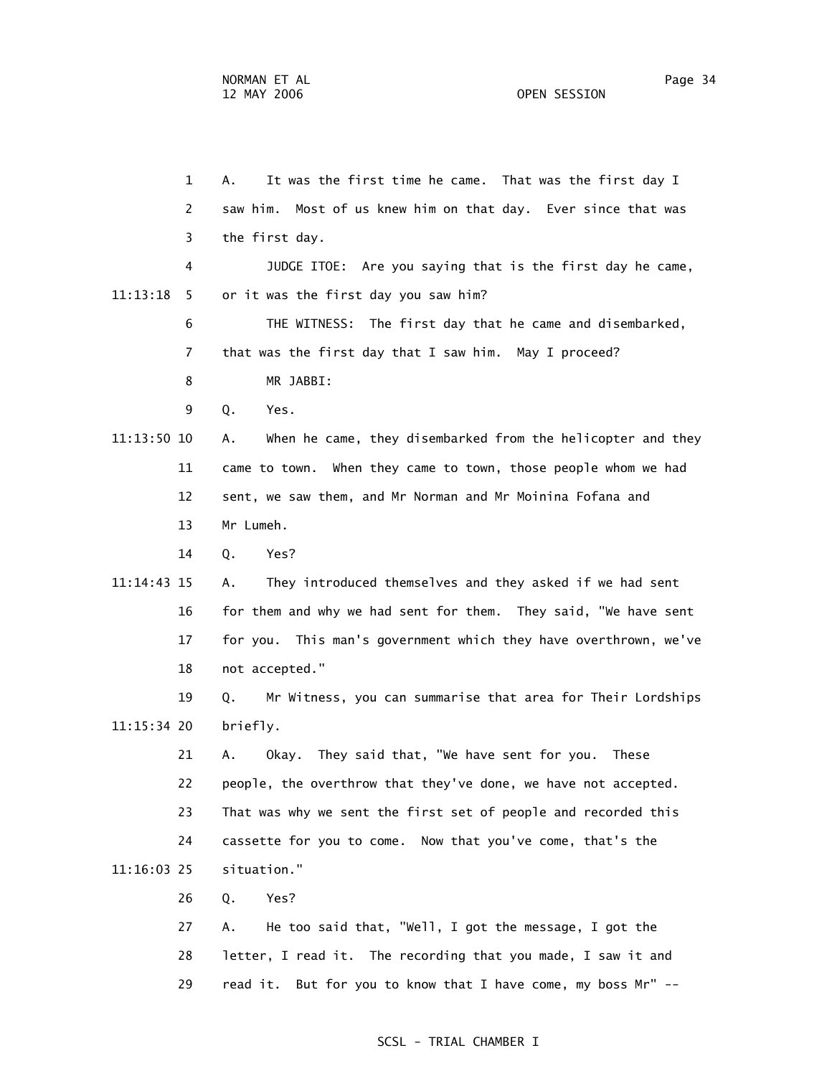1 A. It was the first time he came. That was the first day I 2 saw him. Most of us knew him on that day. Ever since that was 3 the first day. 4 JUDGE ITOE: Are you saying that is the first day he came, 11:13:18 5 or it was the first day you saw him? 6 THE WITNESS: The first day that he came and disembarked, 7 that was the first day that I saw him. May I proceed? 8 MR JABBI: 9 Q. Yes. 11:13:50 10 A. When he came, they disembarked from the helicopter and they 11 came to town. When they came to town, those people whom we had 12 sent, we saw them, and Mr Norman and Mr Moinina Fofana and 13 Mr Lumeh. 14 Q. Yes? 11:14:43 15 A. They introduced themselves and they asked if we had sent 16 for them and why we had sent for them. They said, "We have sent 17 for you. This man's government which they have overthrown, we've 18 not accepted." 19 Q. Mr Witness, you can summarise that area for Their Lordships 11:15:34 20 briefly. 21 A. Okay. They said that, "We have sent for you. These 22 people, the overthrow that they've done, we have not accepted. 23 That was why we sent the first set of people and recorded this 24 cassette for you to come. Now that you've come, that's the 11:16:03 25 situation." 26 Q. Yes? 27 A. He too said that, "Well, I got the message, I got the 28 letter, I read it. The recording that you made, I saw it and

29 read it. But for you to know that I have come, my boss Mr" --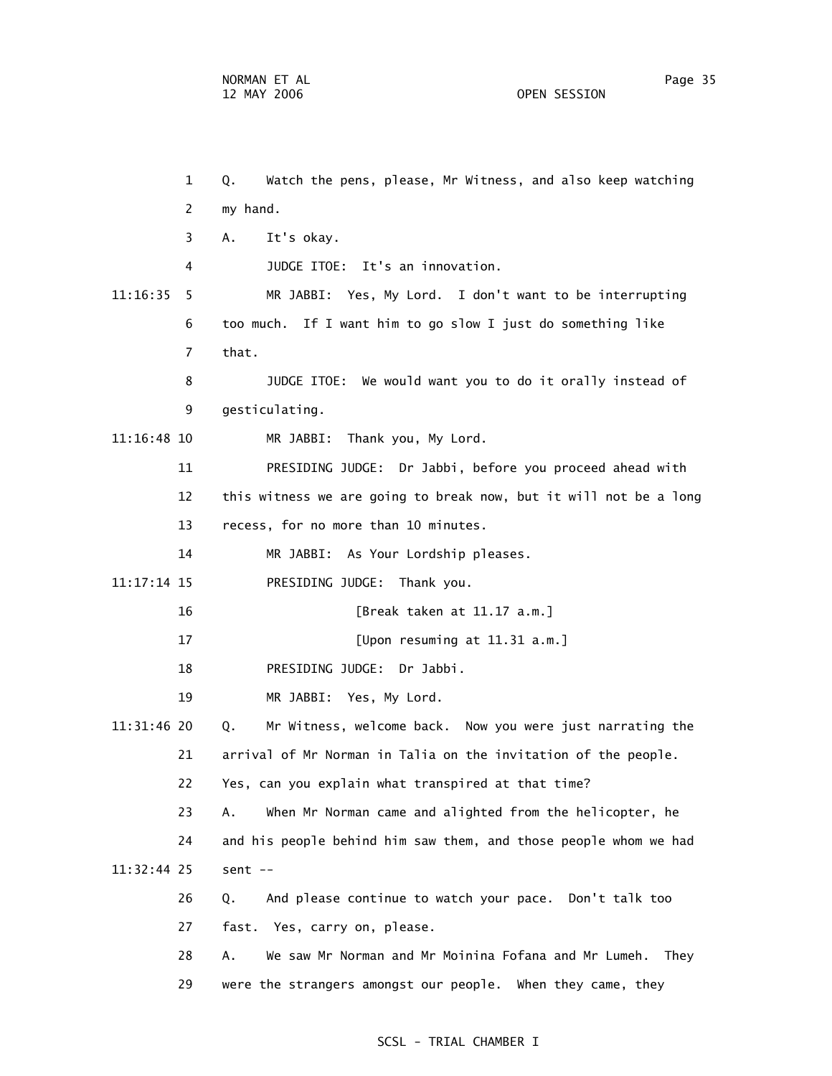1 Q. Watch the pens, please, Mr Witness, and also keep watching 2 my hand. 3 A. It's okay. 4 JUDGE ITOE: It's an innovation. 11:16:35 5 MR JABBI: Yes, My Lord. I don't want to be interrupting 6 too much. If I want him to go slow I just do something like 7 that. 8 JUDGE ITOE: We would want you to do it orally instead of 9 gesticulating. 11:16:48 10 MR JABBI: Thank you, My Lord. 11 PRESIDING JUDGE: Dr Jabbi, before you proceed ahead with 12 this witness we are going to break now, but it will not be a long 13 recess, for no more than 10 minutes. 14 MR JABBI: As Your Lordship pleases. 11:17:14 15 PRESIDING JUDGE: Thank you. 16 [Break taken at 11.17 a.m.] 17 [Upon resuming at 11.31 a.m.] 18 PRESIDING JUDGE: Dr Jabbi. 19 MR JABBI: Yes, My Lord. 11:31:46 20 Q. Mr Witness, welcome back. Now you were just narrating the 21 arrival of Mr Norman in Talia on the invitation of the people. 22 Yes, can you explain what transpired at that time? 23 A. When Mr Norman came and alighted from the helicopter, he 24 and his people behind him saw them, and those people whom we had 11:32:44 25 sent -- 26 Q. And please continue to watch your pace. Don't talk too 27 fast. Yes, carry on, please. 28 A. We saw Mr Norman and Mr Moinina Fofana and Mr Lumeh. They 29 were the strangers amongst our people. When they came, they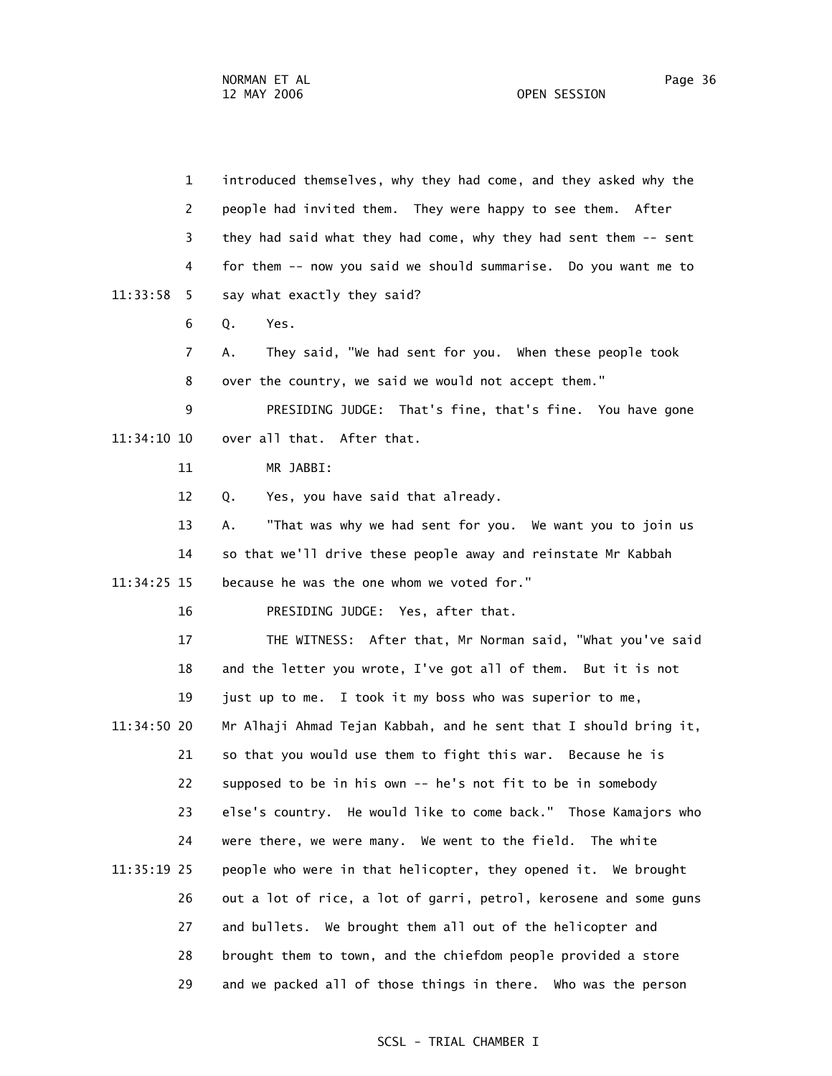1 introduced themselves, why they had come, and they asked why the 2 people had invited them. They were happy to see them. After 3 they had said what they had come, why they had sent them -- sent 4 for them -- now you said we should summarise. Do you want me to 11:33:58 5 say what exactly they said? 6 Q. Yes. 7 A. They said, "We had sent for you. When these people took 8 over the country, we said we would not accept them." 9 PRESIDING JUDGE: That's fine, that's fine. You have gone 11:34:10 10 over all that. After that. 11 MR JABBI: 12 Q. Yes, you have said that already. 13 A. "That was why we had sent for you. We want you to join us 14 so that we'll drive these people away and reinstate Mr Kabbah 11:34:25 15 because he was the one whom we voted for." 16 PRESIDING JUDGE: Yes, after that. 17 THE WITNESS: After that, Mr Norman said, "What you've said 18 and the letter you wrote, I've got all of them. But it is not 19 just up to me. I took it my boss who was superior to me, 11:34:50 20 Mr Alhaji Ahmad Tejan Kabbah, and he sent that I should bring it, 21 so that you would use them to fight this war. Because he is 22 supposed to be in his own -- he's not fit to be in somebody 23 else's country. He would like to come back." Those Kamajors who 24 were there, we were many. We went to the field. The white 11:35:19 25 people who were in that helicopter, they opened it. We brought 26 out a lot of rice, a lot of garri, petrol, kerosene and some guns 27 and bullets. We brought them all out of the helicopter and 28 brought them to town, and the chiefdom people provided a store 29 and we packed all of those things in there. Who was the person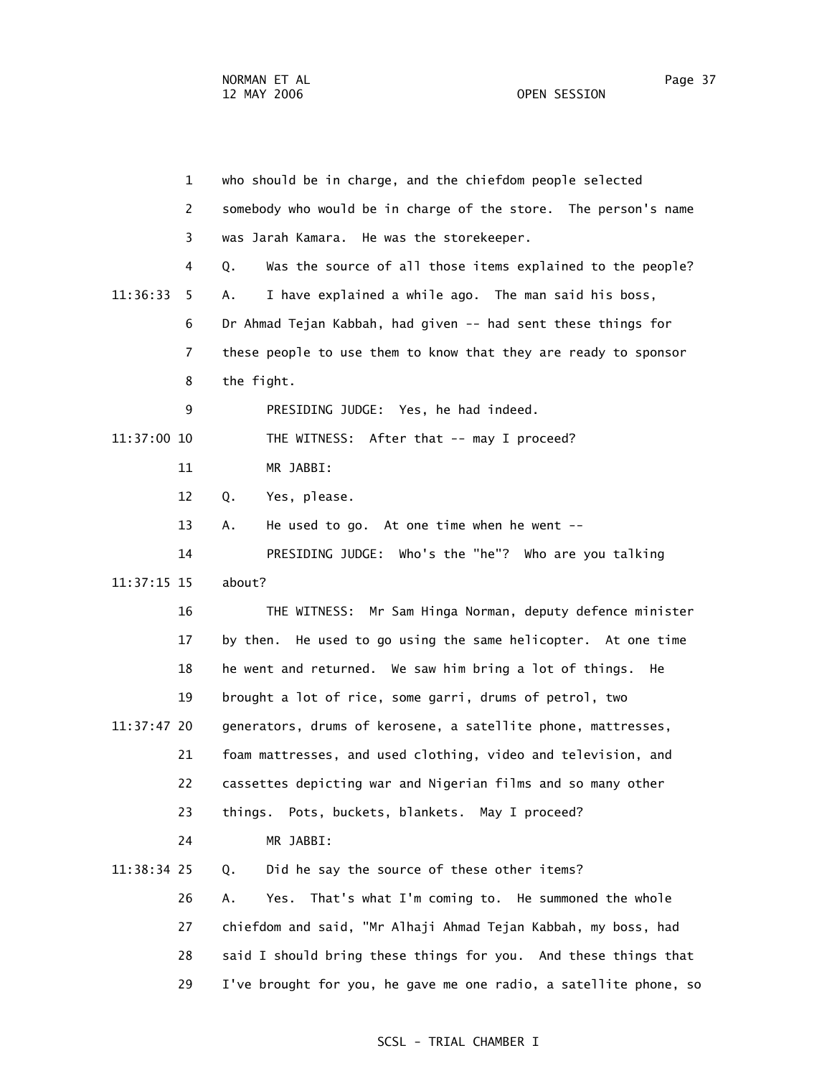1 who should be in charge, and the chiefdom people selected 2 somebody who would be in charge of the store. The person's name 3 was Jarah Kamara. He was the storekeeper. 4 Q. Was the source of all those items explained to the people? 11:36:33 5 A. I have explained a while ago. The man said his boss, 6 Dr Ahmad Tejan Kabbah, had given -- had sent these things for 7 these people to use them to know that they are ready to sponsor 8 the fight. 9 PRESIDING JUDGE: Yes, he had indeed. 11:37:00 10 THE WITNESS: After that -- may I proceed? 11 MR JABBI: 12 Q. Yes, please. 13 A. He used to go. At one time when he went -- 14 PRESIDING JUDGE: Who's the "he"? Who are you talking 11:37:15 15 about? 16 THE WITNESS: Mr Sam Hinga Norman, deputy defence minister 17 by then. He used to go using the same helicopter. At one time 18 he went and returned. We saw him bring a lot of things. He 19 brought a lot of rice, some garri, drums of petrol, two 11:37:47 20 generators, drums of kerosene, a satellite phone, mattresses, 21 foam mattresses, and used clothing, video and television, and 22 cassettes depicting war and Nigerian films and so many other 23 things. Pots, buckets, blankets. May I proceed? 24 MR JABBI: 11:38:34 25 Q. Did he say the source of these other items? 26 A. Yes. That's what I'm coming to. He summoned the whole 27 chiefdom and said, "Mr Alhaji Ahmad Tejan Kabbah, my boss, had 28 said I should bring these things for you. And these things that 29 I've brought for you, he gave me one radio, a satellite phone, so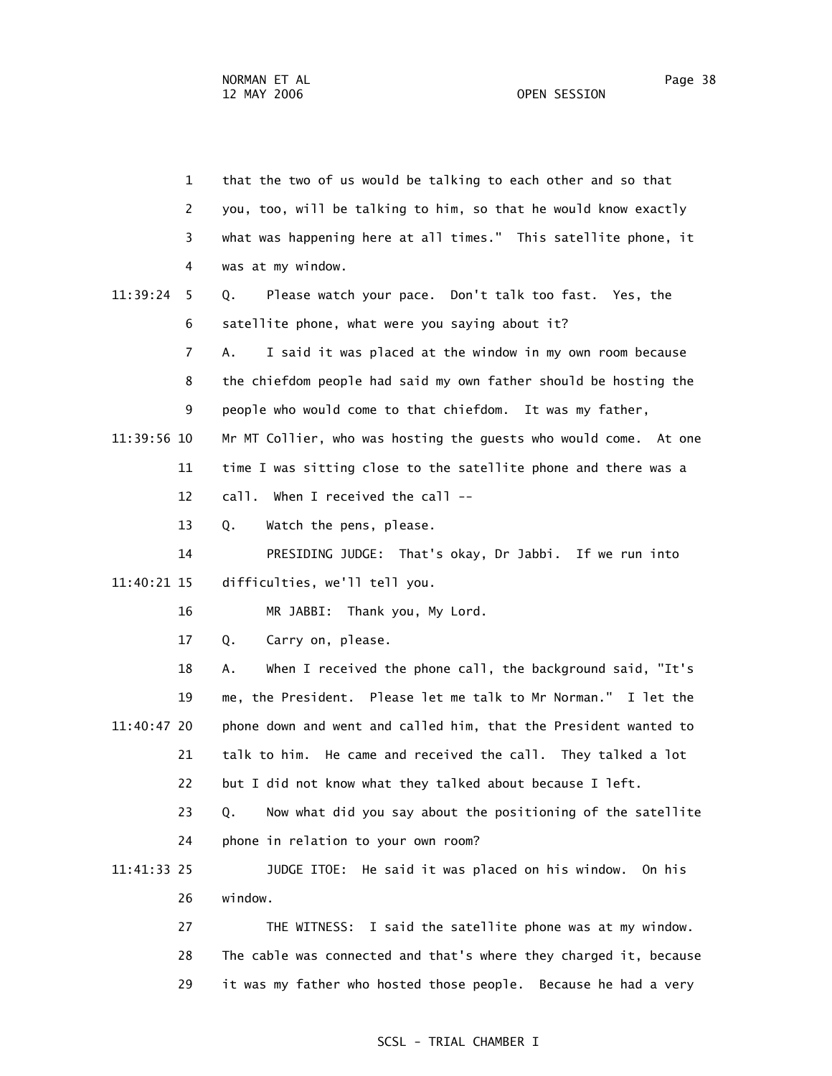|             | 1  | that the two of us would be talking to each other and so that     |
|-------------|----|-------------------------------------------------------------------|
|             | 2  | you, too, will be talking to him, so that he would know exactly   |
|             | 3  | what was happening here at all times." This satellite phone, it   |
|             | 4  | was at my window.                                                 |
| 11:39:24    | 5  | Please watch your pace. Don't talk too fast. Yes, the<br>Q.       |
|             | 6  | satellite phone, what were you saying about it?                   |
|             | 7  | I said it was placed at the window in my own room because<br>Α.   |
|             | 8  | the chiefdom people had said my own father should be hosting the  |
|             | 9  | people who would come to that chiefdom. It was my father,         |
| 11:39:56 10 |    | Mr MT Collier, who was hosting the guests who would come. At one  |
|             | 11 | time I was sitting close to the satellite phone and there was a   |
|             | 12 | call. When I received the call --                                 |
|             | 13 | Q.<br>Watch the pens, please.                                     |
|             | 14 | PRESIDING JUDGE: That's okay, Dr Jabbi. If we run into            |
| 11:40:21 15 |    | difficulties, we'll tell you.                                     |
|             | 16 | MR JABBI:<br>Thank you, My Lord.                                  |
|             | 17 | Carry on, please.<br>Q.                                           |
|             | 18 | When I received the phone call, the background said, "It's<br>Α.  |
|             | 19 | me, the President. Please let me talk to Mr Norman." I let the    |
| 11:40:47 20 |    | phone down and went and called him, that the President wanted to  |
|             | 21 | talk to him. He came and received the call. They talked a lot     |
|             | 22 | but I did not know what they talked about because I left.         |
|             | 23 | Now what did you say about the positioning of the satellite<br>Q. |
|             | 24 | phone in relation to your own room?                               |
| 11:41:33 25 |    | JUDGE ITOE: He said it was placed on his window. On his           |
|             | 26 | window.                                                           |
|             | 27 | THE WITNESS: I said the satellite phone was at my window.         |
|             | 28 | The cable was connected and that's where they charged it, because |
|             | 29 | it was my father who hosted those people. Because he had a very   |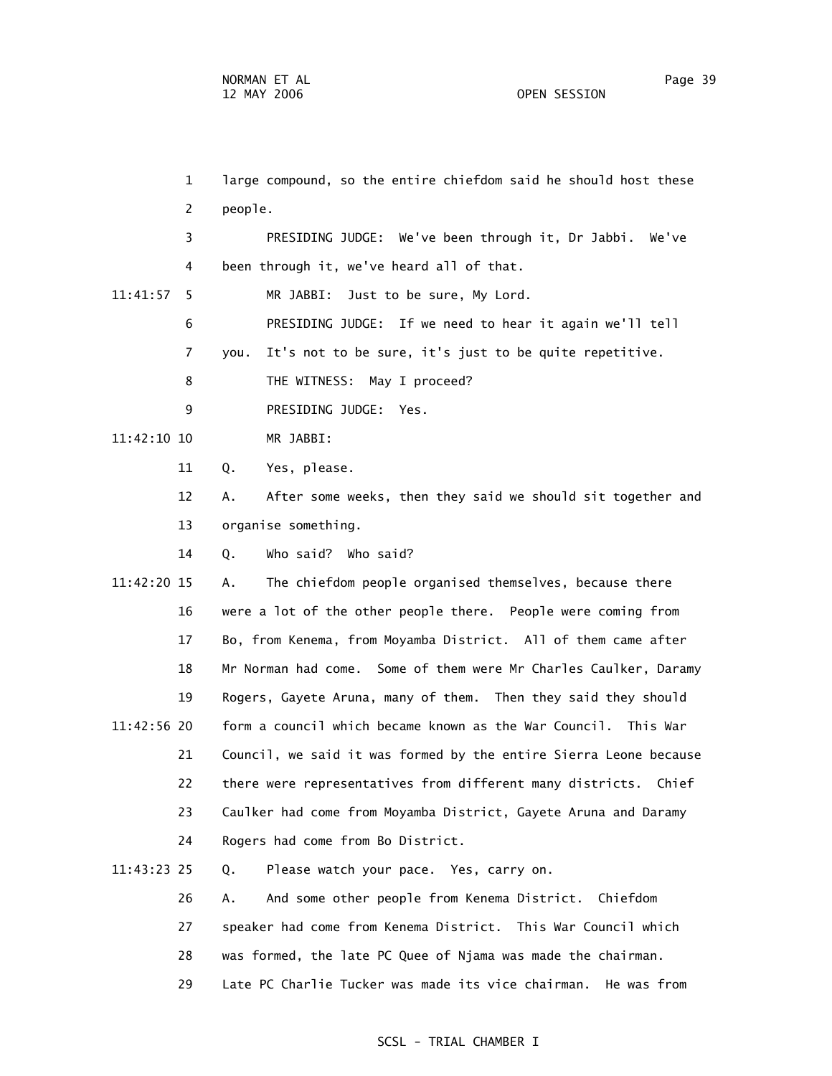1 large compound, so the entire chiefdom said he should host these 2 people. 3 PRESIDING JUDGE: We've been through it, Dr Jabbi. We've 4 been through it, we've heard all of that. 11:41:57 5 MR JABBI: Just to be sure, My Lord. 6 PRESIDING JUDGE: If we need to hear it again we'll tell 7 you. It's not to be sure, it's just to be quite repetitive. 8 THE WITNESS: May I proceed? 9 PRESIDING JUDGE: Yes. 11:42:10 10 MR JABBI: 11 Q. Yes, please. 12 A. After some weeks, then they said we should sit together and 13 organise something. 14 Q. Who said? Who said? 11:42:20 15 A. The chiefdom people organised themselves, because there 16 were a lot of the other people there. People were coming from 17 Bo, from Kenema, from Moyamba District. All of them came after 18 Mr Norman had come. Some of them were Mr Charles Caulker, Daramy 19 Rogers, Gayete Aruna, many of them. Then they said they should 11:42:56 20 form a council which became known as the War Council. This War 21 Council, we said it was formed by the entire Sierra Leone because 22 there were representatives from different many districts. Chief 23 Caulker had come from Moyamba District, Gayete Aruna and Daramy 24 Rogers had come from Bo District. 11:43:23 25 Q. Please watch your pace. Yes, carry on. 26 A. And some other people from Kenema District. Chiefdom

- 27 speaker had come from Kenema District. This War Council which
- 28 was formed, the late PC Quee of Njama was made the chairman.
- 29 Late PC Charlie Tucker was made its vice chairman. He was from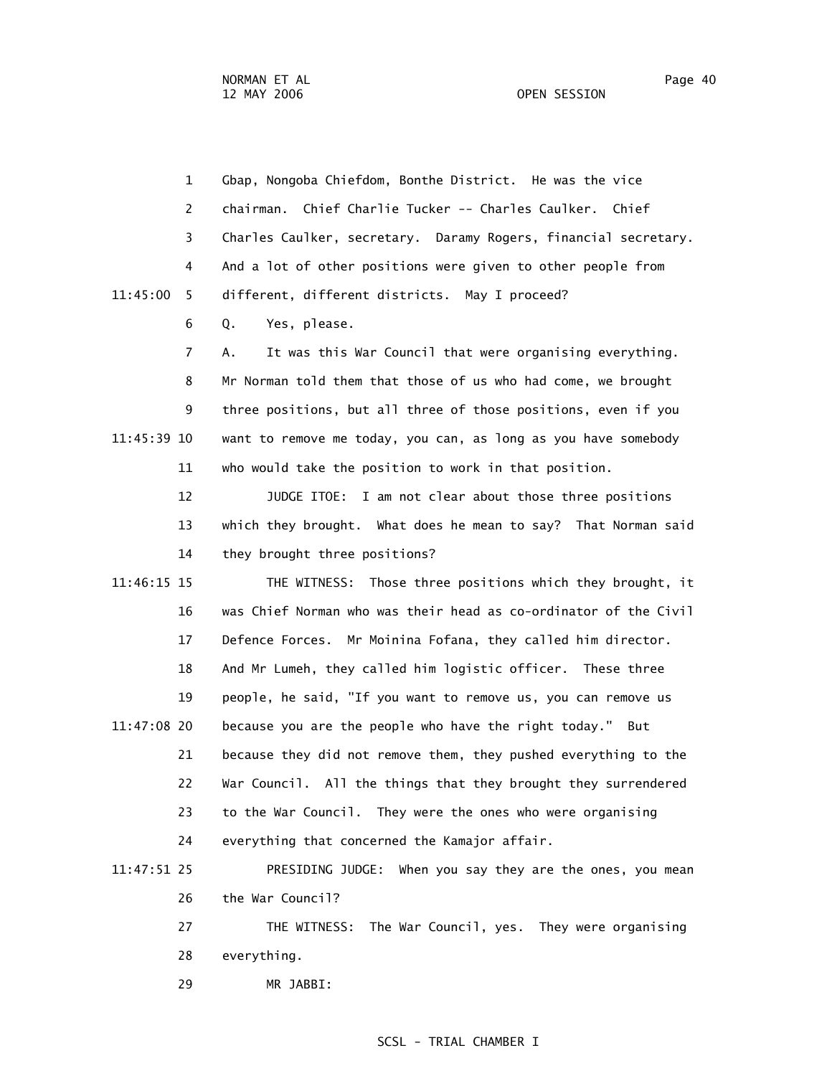|             | 1              | Gbap, Nongoba Chiefdom, Bonthe District. He was the vice         |
|-------------|----------------|------------------------------------------------------------------|
|             | $\overline{c}$ | chairman. Chief Charlie Tucker -- Charles Caulker. Chief         |
|             | 3              | Charles Caulker, secretary. Daramy Rogers, financial secretary.  |
|             | 4              | And a lot of other positions were given to other people from     |
| 11:45:00    | 5.             | different, different districts. May I proceed?                   |
|             | 6              | Q.<br>Yes, please.                                               |
|             | 7              | It was this War Council that were organising everything.<br>А.   |
|             | 8              | Mr Norman told them that those of us who had come, we brought    |
|             | 9              | three positions, but all three of those positions, even if you   |
| 11:45:39 10 |                | want to remove me today, you can, as long as you have somebody   |
|             | 11             | who would take the position to work in that position.            |
|             | 12             | JUDGE ITOE: I am not clear about those three positions           |
|             | 13             | which they brought. What does he mean to say? That Norman said   |
|             | 14             | they brought three positions?                                    |
| 11:46:15 15 |                | THE WITNESS: Those three positions which they brought, it        |
|             | 16             | was Chief Norman who was their head as co-ordinator of the Civil |
|             | 17             | Defence Forces. Mr Moinina Fofana, they called him director.     |
|             | 18             | And Mr Lumeh, they called him logistic officer. These three      |
|             | 19             | people, he said, "If you want to remove us, you can remove us    |
| 11:47:08 20 |                | because you are the people who have the right today." But        |
|             | 21             | because they did not remove them, they pushed everything to the  |
|             | 22             | War Council. All the things that they brought they surrendered   |
|             | 23             | to the War Council. They were the ones who were organising       |
|             | 24             | everything that concerned the Kamajor affair.                    |
|             |                |                                                                  |

 11:47:51 25 PRESIDING JUDGE: When you say they are the ones, you mean 26 the War Council?

> 27 THE WITNESS: The War Council, yes. They were organising 28 everything.

29 MR JABBI: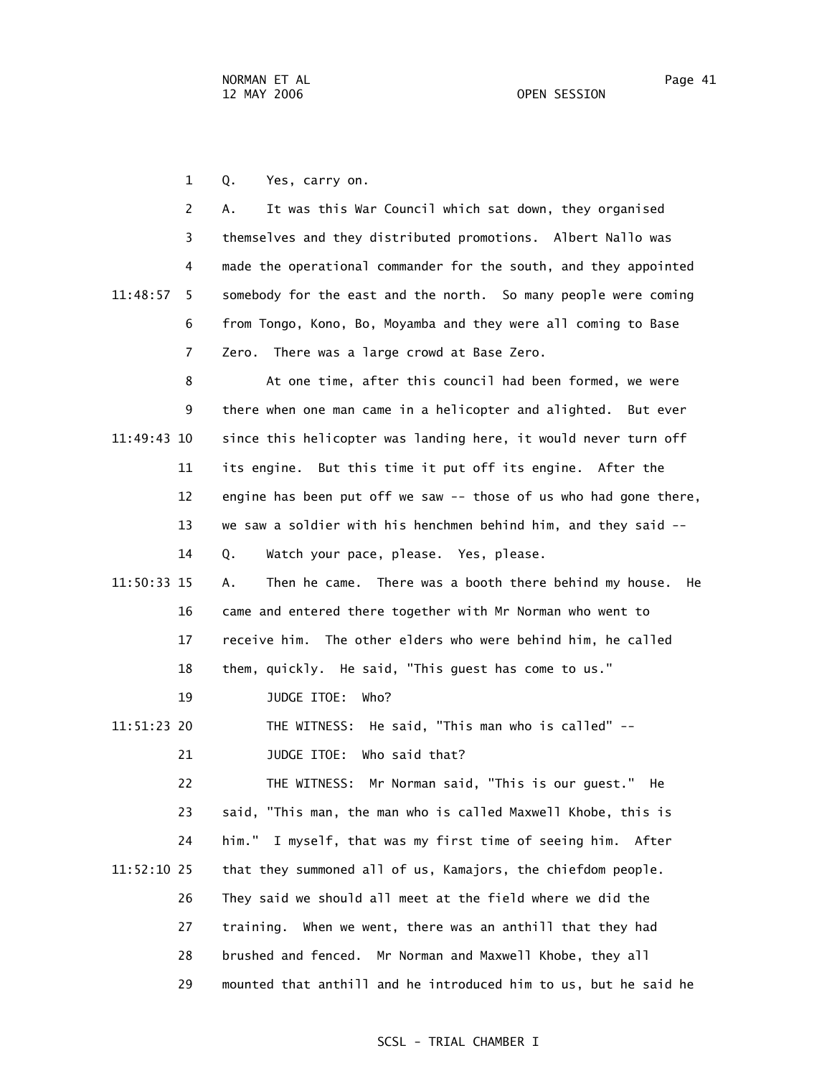1 Q. Yes, carry on.

 2 A. It was this War Council which sat down, they organised 3 themselves and they distributed promotions. Albert Nallo was 4 made the operational commander for the south, and they appointed 11:48:57 5 somebody for the east and the north. So many people were coming 6 from Tongo, Kono, Bo, Moyamba and they were all coming to Base 7 Zero. There was a large crowd at Base Zero.

 8 At one time, after this council had been formed, we were 9 there when one man came in a helicopter and alighted. But ever 11:49:43 10 since this helicopter was landing here, it would never turn off 11 its engine. But this time it put off its engine. After the 12 engine has been put off we saw -- those of us who had gone there, 13 we saw a soldier with his henchmen behind him, and they said -- 14 Q. Watch your pace, please. Yes, please.

- 11:50:33 15 A. Then he came. There was a booth there behind my house. He 16 came and entered there together with Mr Norman who went to 17 receive him. The other elders who were behind him, he called 18 them, quickly. He said, "This guest has come to us."
	- 19 JUDGE ITOE: Who?

 11:51:23 20 THE WITNESS: He said, "This man who is called" -- 21 JUDGE ITOE: Who said that?

 22 THE WITNESS: Mr Norman said, "This is our guest." He 23 said, "This man, the man who is called Maxwell Khobe, this is 24 him." I myself, that was my first time of seeing him. After 11:52:10 25 that they summoned all of us, Kamajors, the chiefdom people. 26 They said we should all meet at the field where we did the 27 training. When we went, there was an anthill that they had 28 brushed and fenced. Mr Norman and Maxwell Khobe, they all 29 mounted that anthill and he introduced him to us, but he said he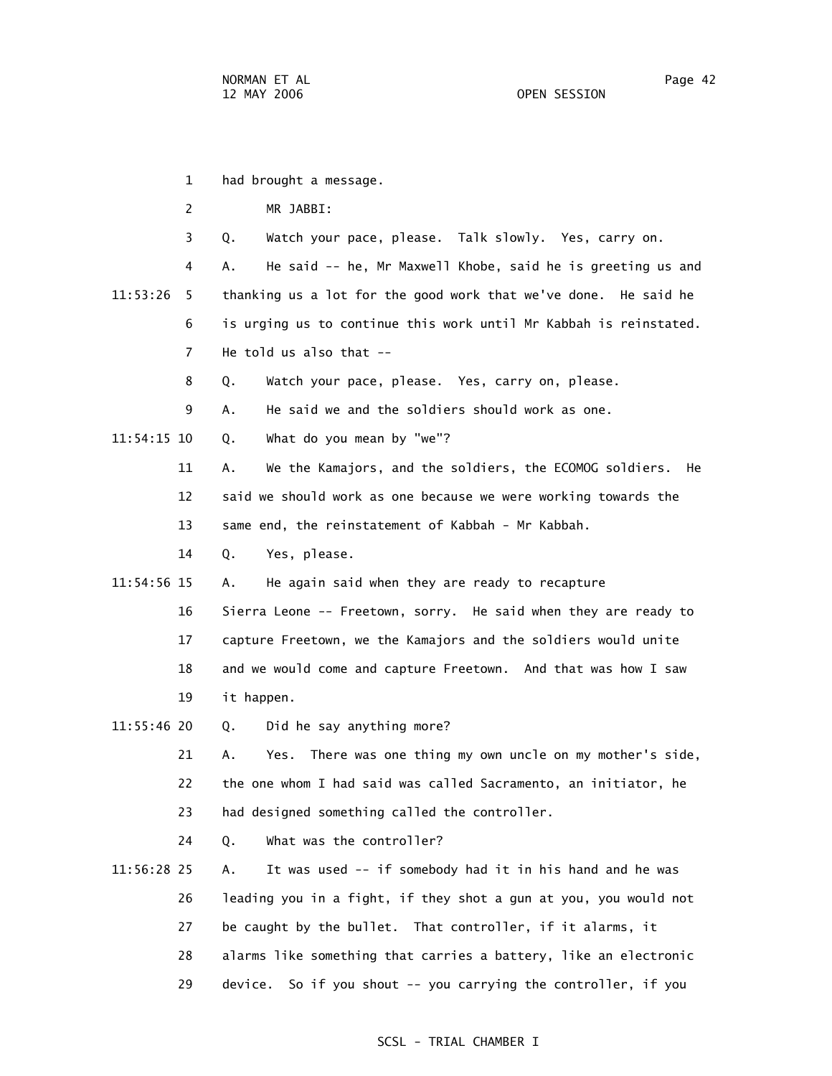- 1 had brought a message.
	- 2 MR JABBI:
	- 3 Q. Watch your pace, please. Talk slowly. Yes, carry on.
- 4 A. He said -- he, Mr Maxwell Khobe, said he is greeting us and 11:53:26 5 thanking us a lot for the good work that we've done. He said he 6 is urging us to continue this work until Mr Kabbah is reinstated. 7 He told us also that --
	- 8 Q. Watch your pace, please. Yes, carry on, please.
	- 9 A. He said we and the soldiers should work as one.
- 11:54:15 10 Q. What do you mean by "we"?
	- 11 A. We the Kamajors, and the soldiers, the ECOMOG soldiers. He
	- 12 said we should work as one because we were working towards the
	- 13 same end, the reinstatement of Kabbah Mr Kabbah.
	- 14 Q. Yes, please.
- 11:54:56 15 A. He again said when they are ready to recapture
	- 16 Sierra Leone -- Freetown, sorry. He said when they are ready to 17 capture Freetown, we the Kamajors and the soldiers would unite 18 and we would come and capture Freetown. And that was how I saw
	- 19 it happen.
- 11:55:46 20 Q. Did he say anything more?
	- 21 A. Yes. There was one thing my own uncle on my mother's side, 22 the one whom I had said was called Sacramento, an initiator, he 23 had designed something called the controller.
	- 24 Q. What was the controller?
- 11:56:28 25 A. It was used -- if somebody had it in his hand and he was 26 leading you in a fight, if they shot a gun at you, you would not 27 be caught by the bullet. That controller, if it alarms, it 28 alarms like something that carries a battery, like an electronic 29 device. So if you shout -- you carrying the controller, if you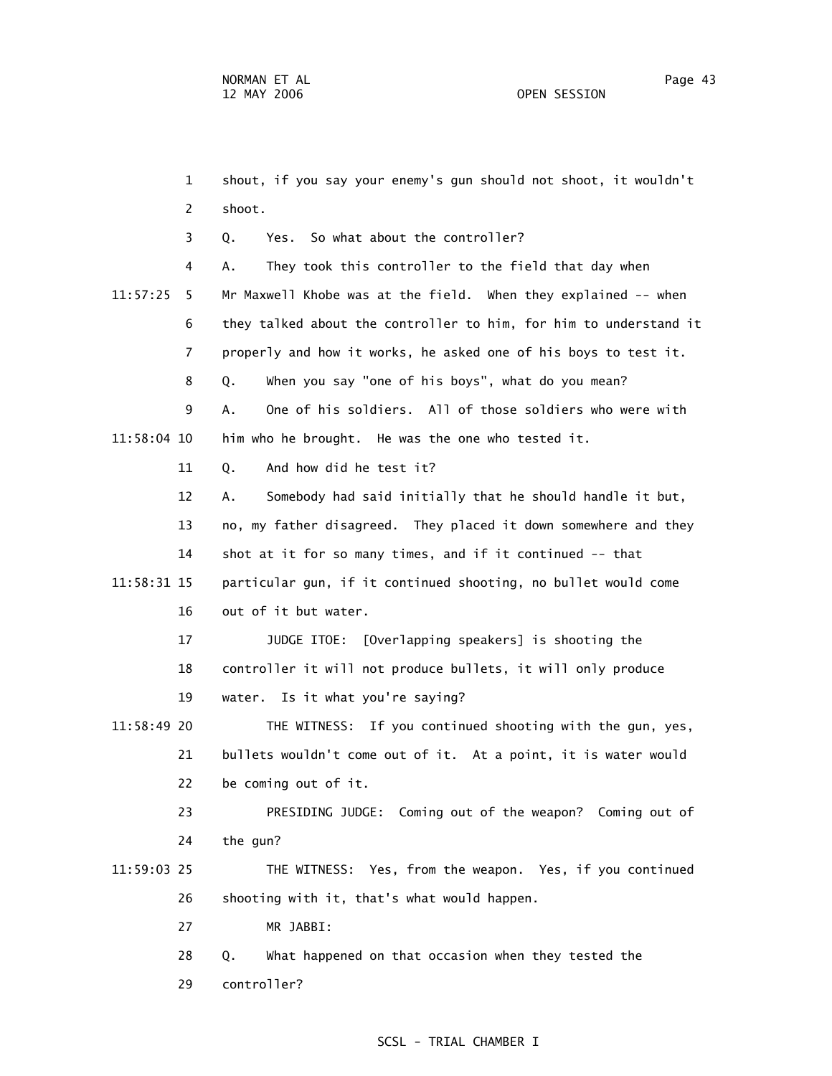29 controller?

 1 shout, if you say your enemy's gun should not shoot, it wouldn't 2 shoot. 3 Q. Yes. So what about the controller? 4 A. They took this controller to the field that day when 11:57:25 5 Mr Maxwell Khobe was at the field. When they explained -- when 6 they talked about the controller to him, for him to understand it 7 properly and how it works, he asked one of his boys to test it. 8 Q. When you say "one of his boys", what do you mean? 9 A. One of his soldiers. All of those soldiers who were with 11:58:04 10 him who he brought. He was the one who tested it. 11 Q. And how did he test it? 12 A. Somebody had said initially that he should handle it but, 13 no, my father disagreed. They placed it down somewhere and they 14 shot at it for so many times, and if it continued -- that 11:58:31 15 particular gun, if it continued shooting, no bullet would come 16 out of it but water. 17 JUDGE ITOE: [Overlapping speakers] is shooting the 18 controller it will not produce bullets, it will only produce 19 water. Is it what you're saying? 11:58:49 20 THE WITNESS: If you continued shooting with the gun, yes, 21 bullets wouldn't come out of it. At a point, it is water would 22 be coming out of it. 23 PRESIDING JUDGE: Coming out of the weapon? Coming out of 24 the gun? 11:59:03 25 THE WITNESS: Yes, from the weapon. Yes, if you continued 26 shooting with it, that's what would happen. 27 MR JABBI: 28 Q. What happened on that occasion when they tested the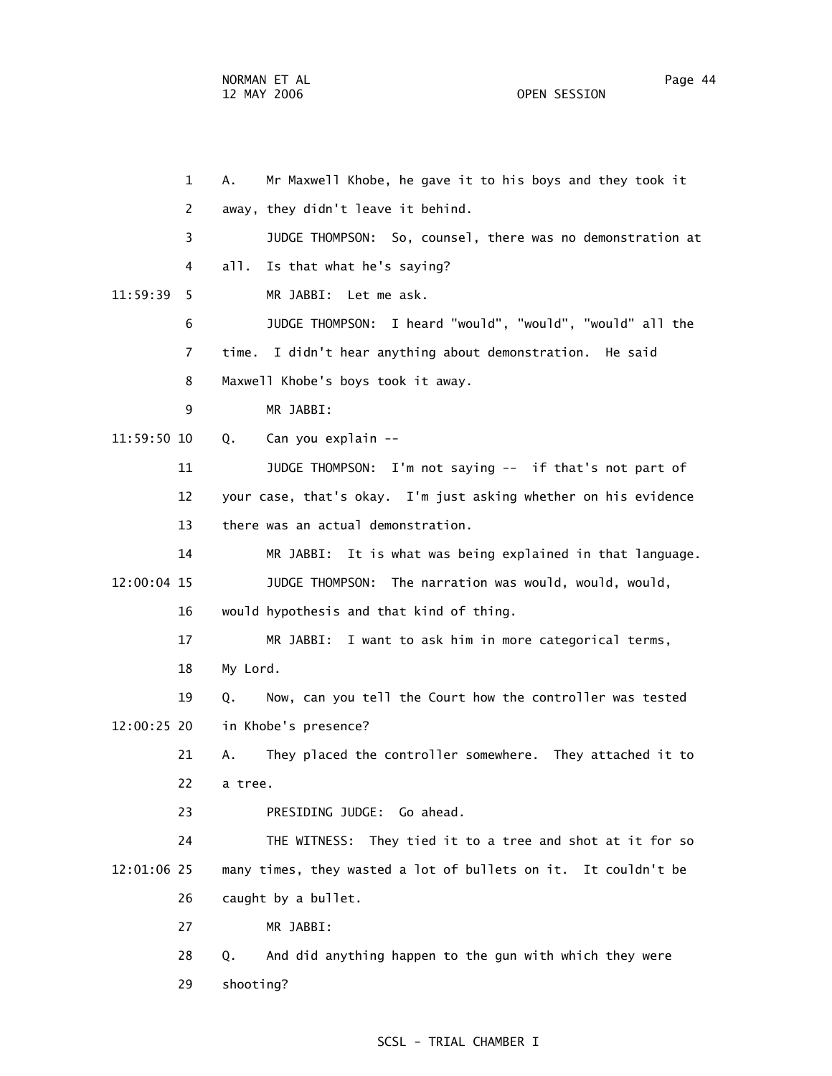1 A. Mr Maxwell Khobe, he gave it to his boys and they took it 2 away, they didn't leave it behind. 3 JUDGE THOMPSON: So, counsel, there was no demonstration at 4 all. Is that what he's saying? 11:59:39 5 MR JABBI: Let me ask. 6 JUDGE THOMPSON: I heard "would", "would", "would" all the 7 time. I didn't hear anything about demonstration. He said 8 Maxwell Khobe's boys took it away. 9 MR JABBI: 11:59:50 10 Q. Can you explain -- 11 JUDGE THOMPSON: I'm not saying -- if that's not part of 12 your case, that's okay. I'm just asking whether on his evidence 13 there was an actual demonstration. 14 MR JABBI: It is what was being explained in that language. 12:00:04 15 JUDGE THOMPSON: The narration was would, would, would, 16 would hypothesis and that kind of thing. 17 MR JABBI: I want to ask him in more categorical terms, 18 My Lord. 19 Q. Now, can you tell the Court how the controller was tested 12:00:25 20 in Khobe's presence? 21 A. They placed the controller somewhere. They attached it to 22 a tree. 23 PRESIDING JUDGE: Go ahead. 24 THE WITNESS: They tied it to a tree and shot at it for so 12:01:06 25 many times, they wasted a lot of bullets on it. It couldn't be 26 caught by a bullet.

27 MR JABBI:

 28 Q. And did anything happen to the gun with which they were 29 shooting?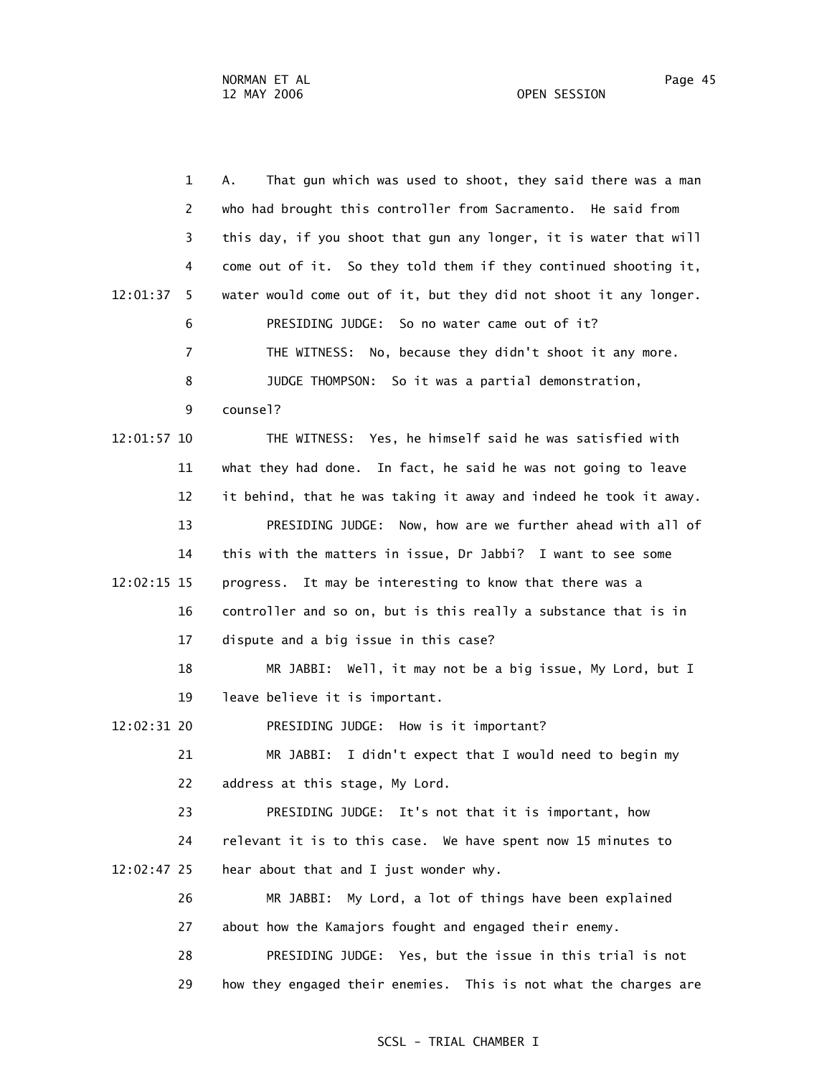1 A. That gun which was used to shoot, they said there was a man 2 who had brought this controller from Sacramento. He said from 3 this day, if you shoot that gun any longer, it is water that will 4 come out of it. So they told them if they continued shooting it, 12:01:37 5 water would come out of it, but they did not shoot it any longer. 6 PRESIDING JUDGE: So no water came out of it? 7 THE WITNESS: No, because they didn't shoot it any more. 8 JUDGE THOMPSON: So it was a partial demonstration, 9 counsel? 12:01:57 10 THE WITNESS: Yes, he himself said he was satisfied with 11 what they had done. In fact, he said he was not going to leave 12 it behind, that he was taking it away and indeed he took it away. 13 PRESIDING JUDGE: Now, how are we further ahead with all of 14 this with the matters in issue, Dr Jabbi? I want to see some 12:02:15 15 progress. It may be interesting to know that there was a 16 controller and so on, but is this really a substance that is in 17 dispute and a big issue in this case? 18 MR JABBI: Well, it may not be a big issue, My Lord, but I 19 leave believe it is important. 12:02:31 20 PRESIDING JUDGE: How is it important? 21 MR JABBI: I didn't expect that I would need to begin my 22 address at this stage, My Lord. 23 PRESIDING JUDGE: It's not that it is important, how 24 relevant it is to this case. We have spent now 15 minutes to 12:02:47 25 hear about that and I just wonder why. 26 MR JABBI: My Lord, a lot of things have been explained 27 about how the Kamajors fought and engaged their enemy. 28 PRESIDING JUDGE: Yes, but the issue in this trial is not 29 how they engaged their enemies. This is not what the charges are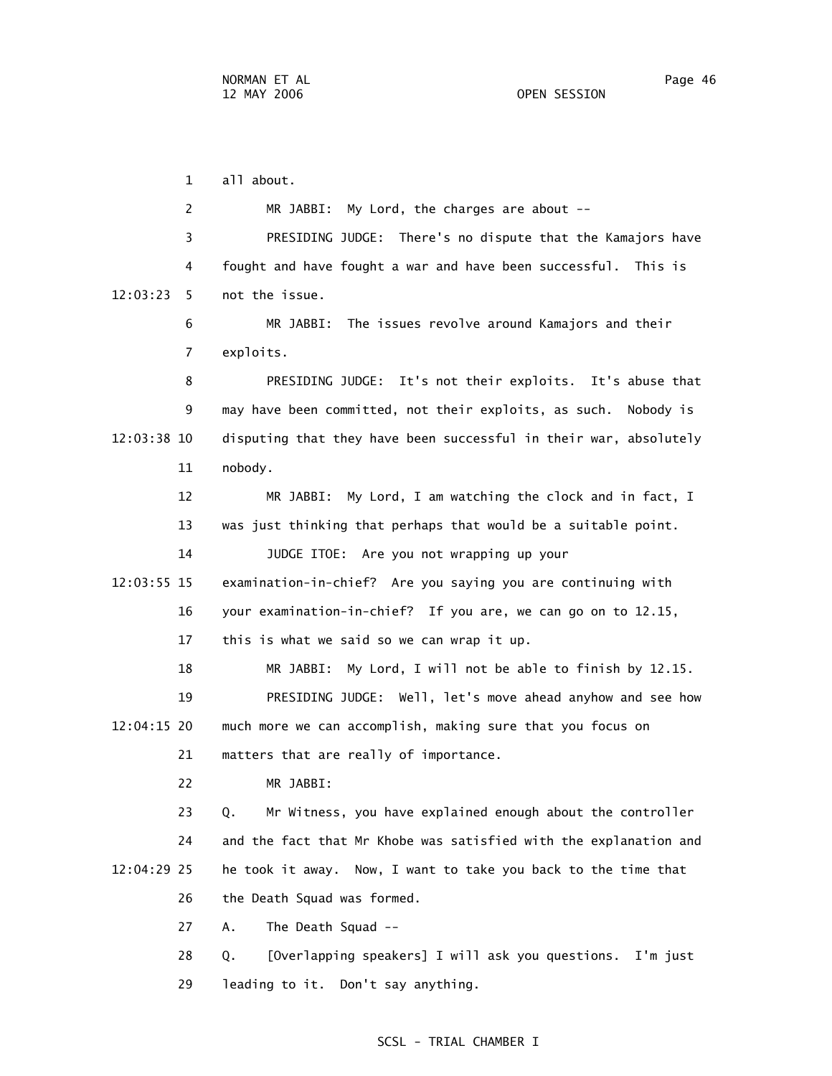1 all about. 2 MR JABBI: My Lord, the charges are about -- 3 PRESIDING JUDGE: There's no dispute that the Kamajors have 4 fought and have fought a war and have been successful. This is 12:03:23 5 not the issue. 6 MR JABBI: The issues revolve around Kamajors and their 7 exploits. 8 PRESIDING JUDGE: It's not their exploits. It's abuse that 9 may have been committed, not their exploits, as such. Nobody is 12:03:38 10 disputing that they have been successful in their war, absolutely 11 nobody. 12 MR JABBI: My Lord, I am watching the clock and in fact, I 13 was just thinking that perhaps that would be a suitable point. 14 JUDGE ITOE: Are you not wrapping up your 12:03:55 15 examination-in-chief? Are you saying you are continuing with 16 your examination-in-chief? If you are, we can go on to 12.15, 17 this is what we said so we can wrap it up. 18 MR JABBI: My Lord, I will not be able to finish by 12.15. 19 PRESIDING JUDGE: Well, let's move ahead anyhow and see how 12:04:15 20 much more we can accomplish, making sure that you focus on 21 matters that are really of importance. 22 MR JABBI: 23 Q. Mr Witness, you have explained enough about the controller 24 and the fact that Mr Khobe was satisfied with the explanation and 12:04:29 25 he took it away. Now, I want to take you back to the time that 26 the Death Squad was formed. 27 A. The Death Squad -- 28 Q. [Overlapping speakers] I will ask you questions. I'm just 29 leading to it. Don't say anything.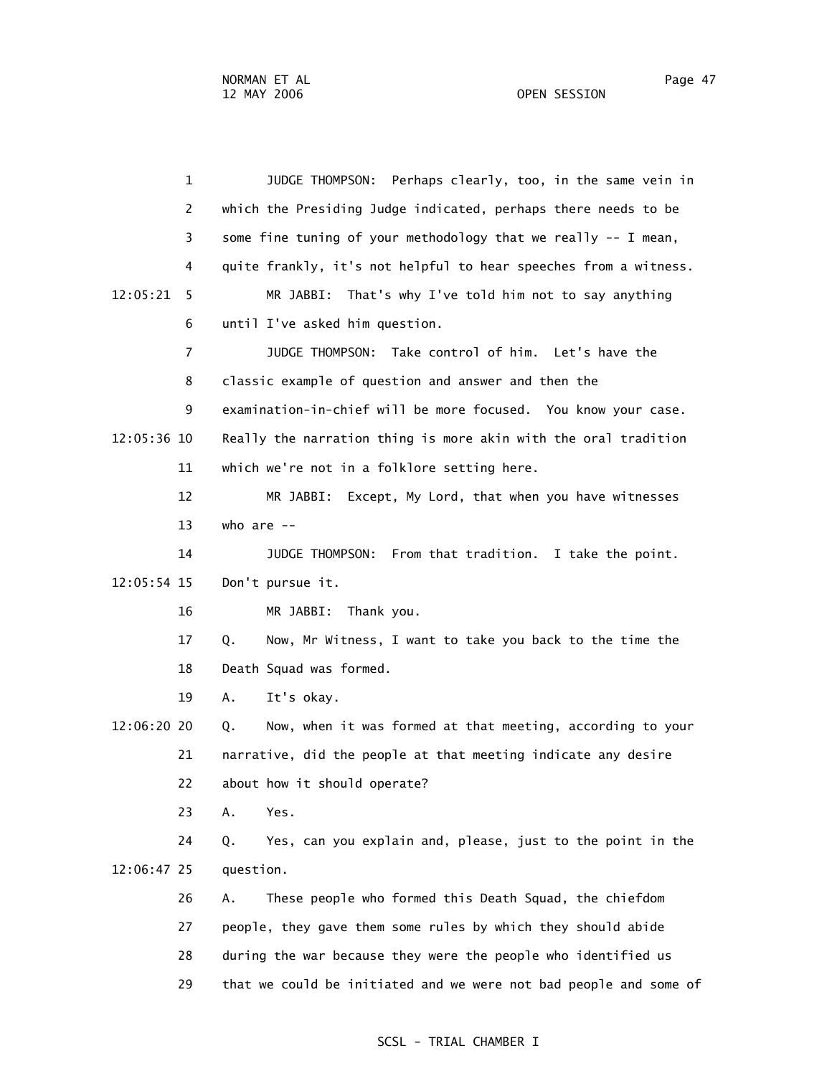1 JUDGE THOMPSON: Perhaps clearly, too, in the same vein in 2 which the Presiding Judge indicated, perhaps there needs to be 3 some fine tuning of your methodology that we really -- I mean, 4 quite frankly, it's not helpful to hear speeches from a witness. 12:05:21 5 MR JABBI: That's why I've told him not to say anything 6 until I've asked him question. 7 JUDGE THOMPSON: Take control of him. Let's have the 8 classic example of question and answer and then the 9 examination-in-chief will be more focused. You know your case. 12:05:36 10 Really the narration thing is more akin with the oral tradition 11 which we're not in a folklore setting here. 12 MR JABBI: Except, My Lord, that when you have witnesses 13 who are -- 14 JUDGE THOMPSON: From that tradition. I take the point. 12:05:54 15 Don't pursue it. 16 MR JABBI: Thank you. 17 Q. Now, Mr Witness, I want to take you back to the time the 18 Death Squad was formed. 19 A. It's okay. 12:06:20 20 Q. Now, when it was formed at that meeting, according to your 21 narrative, did the people at that meeting indicate any desire 22 about how it should operate? 23 A. Yes. 24 Q. Yes, can you explain and, please, just to the point in the 12:06:47 25 question. 26 A. These people who formed this Death Squad, the chiefdom 27 people, they gave them some rules by which they should abide 28 during the war because they were the people who identified us 29 that we could be initiated and we were not bad people and some of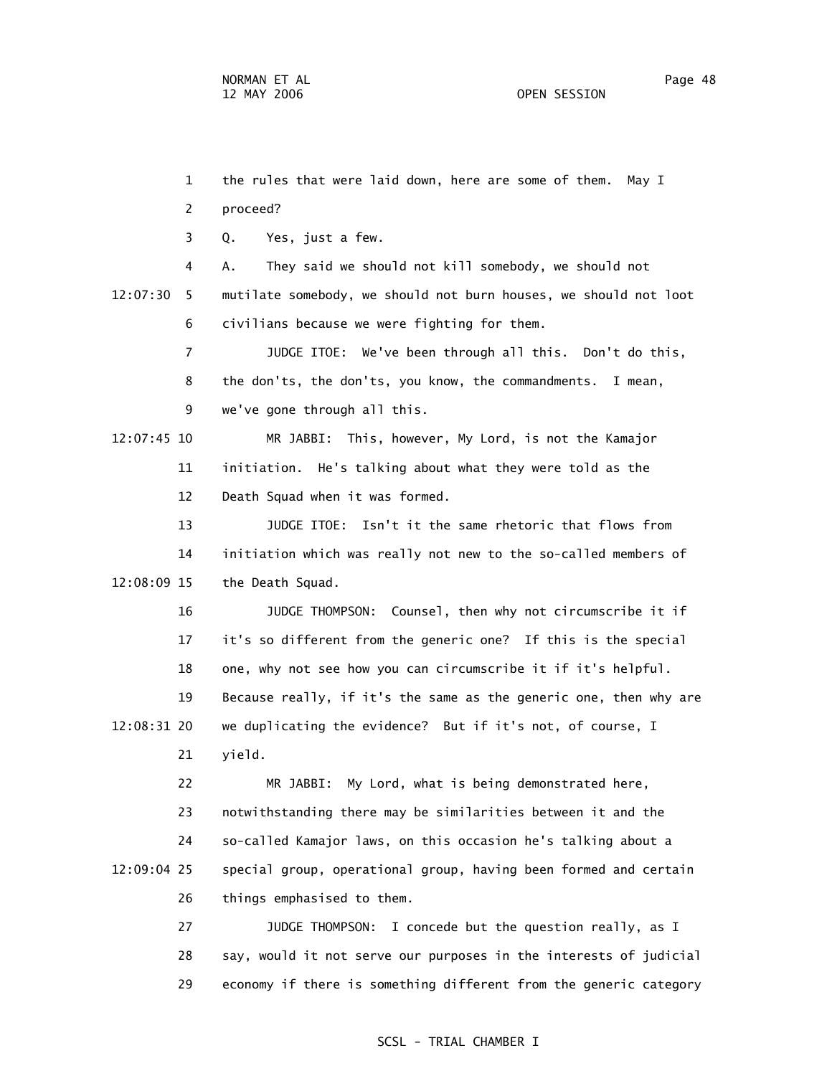1 the rules that were laid down, here are some of them. May I 2 proceed? 3 Q. Yes, just a few. 4 A. They said we should not kill somebody, we should not 12:07:30 5 mutilate somebody, we should not burn houses, we should not loot 6 civilians because we were fighting for them. 7 JUDGE ITOE: We've been through all this. Don't do this, 8 the don'ts, the don'ts, you know, the commandments. I mean, 9 we've gone through all this. 12:07:45 10 MR JABBI: This, however, My Lord, is not the Kamajor 11 initiation. He's talking about what they were told as the 12 Death Squad when it was formed. 13 JUDGE ITOE: Isn't it the same rhetoric that flows from 14 initiation which was really not new to the so-called members of 12:08:09 15 the Death Squad. 16 JUDGE THOMPSON: Counsel, then why not circumscribe it if 17 it's so different from the generic one? If this is the special 18 one, why not see how you can circumscribe it if it's helpful. 19 Because really, if it's the same as the generic one, then why are 12:08:31 20 we duplicating the evidence? But if it's not, of course, I 21 yield. 22 MR JABBI: My Lord, what is being demonstrated here, 23 notwithstanding there may be similarities between it and the 24 so-called Kamajor laws, on this occasion he's talking about a 12:09:04 25 special group, operational group, having been formed and certain 26 things emphasised to them. 27 JUDGE THOMPSON: I concede but the question really, as I 28 say, would it not serve our purposes in the interests of judicial

29 economy if there is something different from the generic category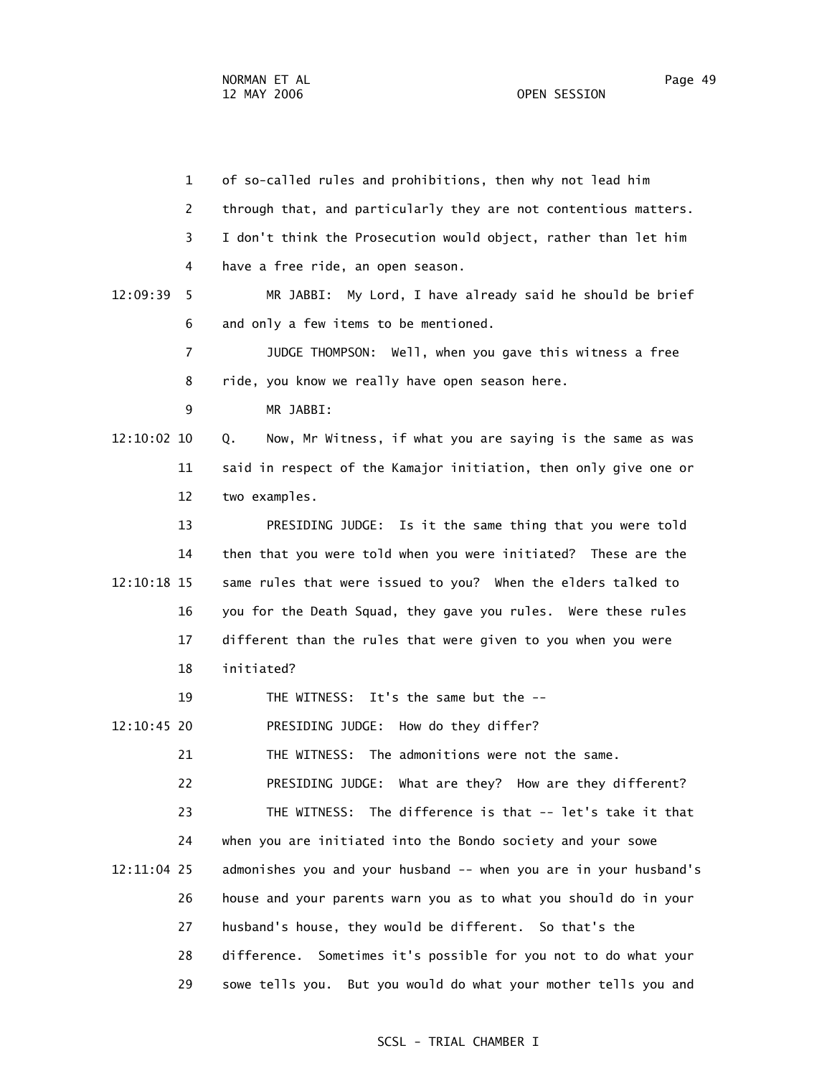1 of so-called rules and prohibitions, then why not lead him 2 through that, and particularly they are not contentious matters. 3 I don't think the Prosecution would object, rather than let him 4 have a free ride, an open season. 12:09:39 5 MR JABBI: My Lord, I have already said he should be brief 6 and only a few items to be mentioned. 7 JUDGE THOMPSON: Well, when you gave this witness a free 8 ride, you know we really have open season here. 9 MR JABBI: 12:10:02 10 Q. Now, Mr Witness, if what you are saying is the same as was 11 said in respect of the Kamajor initiation, then only give one or 12 two examples. 13 PRESIDING JUDGE: Is it the same thing that you were told 14 then that you were told when you were initiated? These are the 12:10:18 15 same rules that were issued to you? When the elders talked to 16 you for the Death Squad, they gave you rules. Were these rules 17 different than the rules that were given to you when you were 18 initiated? 19 THE WITNESS: It's the same but the -- 12:10:45 20 PRESIDING JUDGE: How do they differ? 21 THE WITNESS: The admonitions were not the same. 22 PRESIDING JUDGE: What are they? How are they different? 23 THE WITNESS: The difference is that -- let's take it that 24 when you are initiated into the Bondo society and your sowe 12:11:04 25 admonishes you and your husband -- when you are in your husband's 26 house and your parents warn you as to what you should do in your 27 husband's house, they would be different. So that's the 28 difference. Sometimes it's possible for you not to do what your 29 sowe tells you. But you would do what your mother tells you and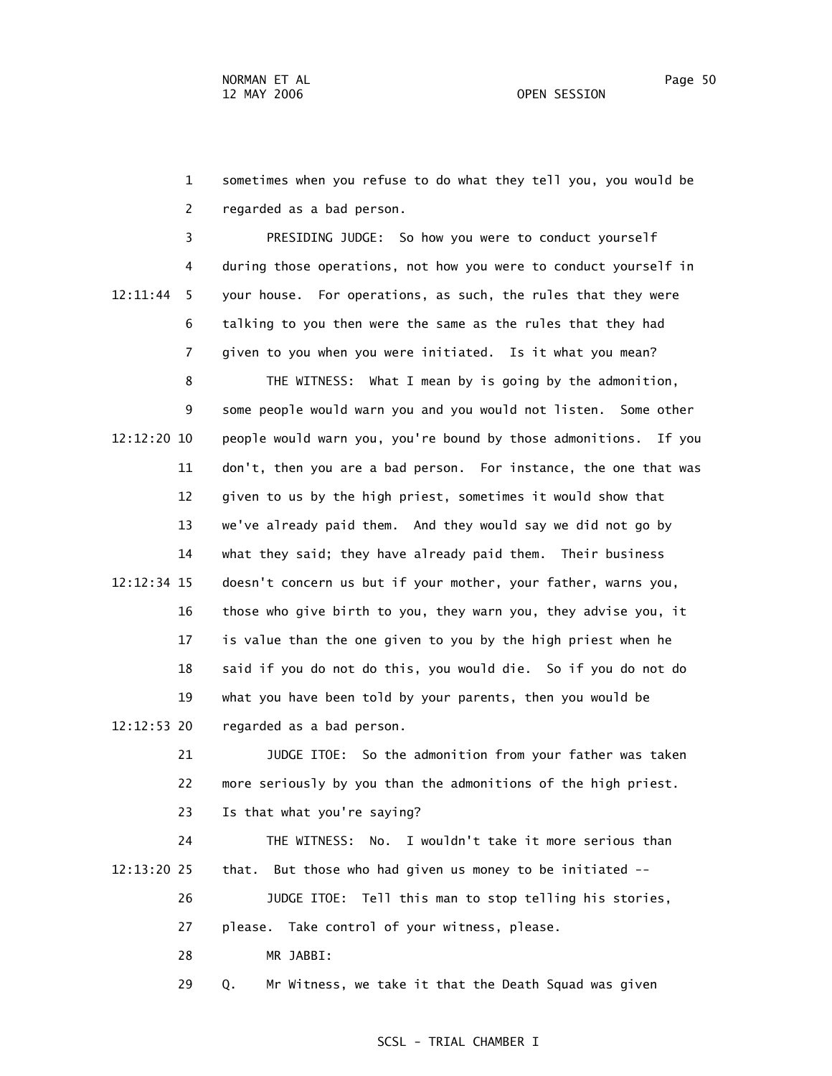1 sometimes when you refuse to do what they tell you, you would be 2 regarded as a bad person.

 3 PRESIDING JUDGE: So how you were to conduct yourself 4 during those operations, not how you were to conduct yourself in 12:11:44 5 your house. For operations, as such, the rules that they were 6 talking to you then were the same as the rules that they had 7 given to you when you were initiated. Is it what you mean?

 8 THE WITNESS: What I mean by is going by the admonition, 9 some people would warn you and you would not listen. Some other 12:12:20 10 people would warn you, you're bound by those admonitions. If you 11 don't, then you are a bad person. For instance, the one that was 12 given to us by the high priest, sometimes it would show that 13 we've already paid them. And they would say we did not go by 14 what they said; they have already paid them. Their business 12:12:34 15 doesn't concern us but if your mother, your father, warns you, 16 those who give birth to you, they warn you, they advise you, it 17 is value than the one given to you by the high priest when he 18 said if you do not do this, you would die. So if you do not do 19 what you have been told by your parents, then you would be 12:12:53 20 regarded as a bad person.

> 21 JUDGE ITOE: So the admonition from your father was taken 22 more seriously by you than the admonitions of the high priest. 23 Is that what you're saying?

 24 THE WITNESS: No. I wouldn't take it more serious than 12:13:20 25 that. But those who had given us money to be initiated --

 26 JUDGE ITOE: Tell this man to stop telling his stories, 27 please. Take control of your witness, please.

28 MR JABBI:

29 Q. Mr Witness, we take it that the Death Squad was given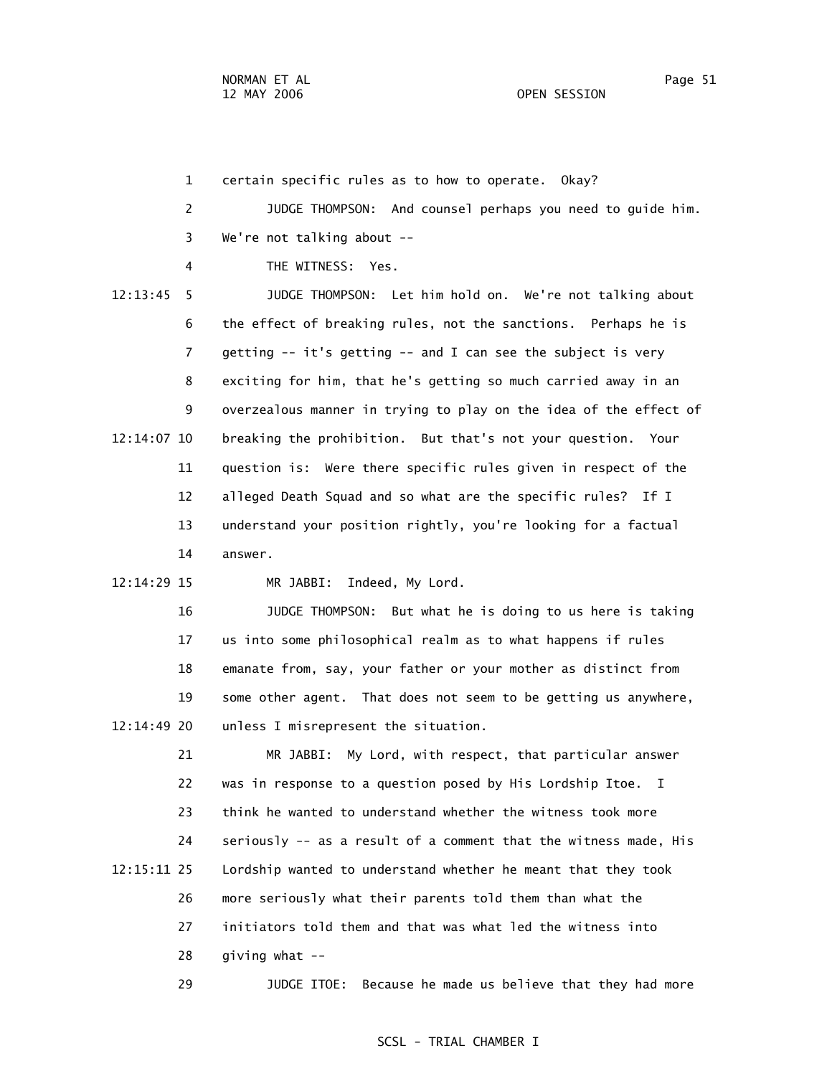1 certain specific rules as to how to operate. Okay? 2 JUDGE THOMPSON: And counsel perhaps you need to guide him. 3 We're not talking about -- 4 THE WITNESS: Yes. 12:13:45 5 JUDGE THOMPSON: Let him hold on. We're not talking about 6 the effect of breaking rules, not the sanctions. Perhaps he is 7 getting -- it's getting -- and I can see the subject is very 8 exciting for him, that he's getting so much carried away in an 9 overzealous manner in trying to play on the idea of the effect of 12:14:07 10 breaking the prohibition. But that's not your question. Your 11 question is: Were there specific rules given in respect of the 12 alleged Death Squad and so what are the specific rules? If I 13 understand your position rightly, you're looking for a factual 14 answer. 12:14:29 15 MR JABBI: Indeed, My Lord.

 16 JUDGE THOMPSON: But what he is doing to us here is taking 17 us into some philosophical realm as to what happens if rules 18 emanate from, say, your father or your mother as distinct from 19 some other agent. That does not seem to be getting us anywhere, 12:14:49 20 unless I misrepresent the situation.

 21 MR JABBI: My Lord, with respect, that particular answer 22 was in response to a question posed by His Lordship Itoe. I 23 think he wanted to understand whether the witness took more 24 seriously -- as a result of a comment that the witness made, His 12:15:11 25 Lordship wanted to understand whether he meant that they took 26 more seriously what their parents told them than what the 27 initiators told them and that was what led the witness into 28 giving what --

29 JUDGE ITOE: Because he made us believe that they had more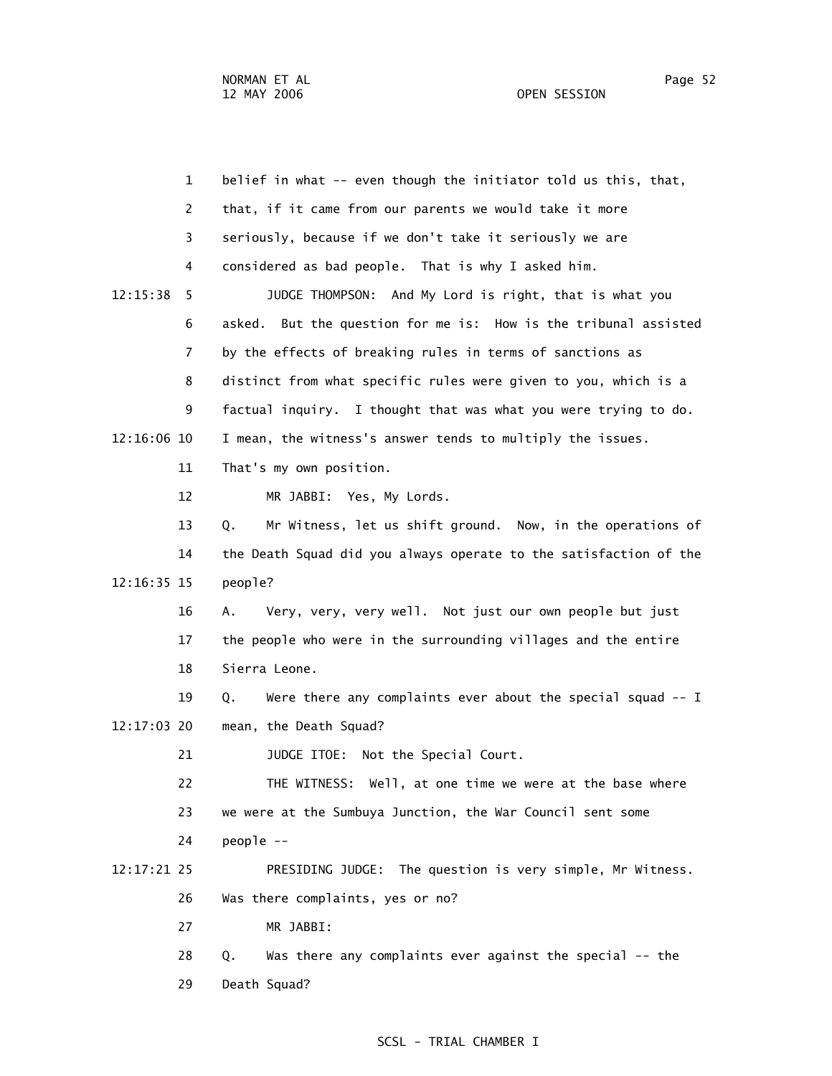1 belief in what -- even though the initiator told us this, that, 2 that, if it came from our parents we would take it more 3 seriously, because if we don't take it seriously we are 4 considered as bad people. That is why I asked him. 12:15:38 5 JUDGE THOMPSON: And My Lord is right, that is what you 6 asked. But the question for me is: How is the tribunal assisted 7 by the effects of breaking rules in terms of sanctions as 8 distinct from what specific rules were given to you, which is a 9 factual inquiry. I thought that was what you were trying to do. 12:16:06 10 I mean, the witness's answer tends to multiply the issues. 11 That's my own position. 12 MR JABBI: Yes, My Lords. 13 Q. Mr Witness, let us shift ground. Now, in the operations of 14 the Death Squad did you always operate to the satisfaction of the 12:16:35 15 people? 16 A. Very, very, very well. Not just our own people but just 17 the people who were in the surrounding villages and the entire 18 Sierra Leone. 19 Q. Were there any complaints ever about the special squad -- I 12:17:03 20 mean, the Death Squad? 21 JUDGE ITOE: Not the Special Court. 22 THE WITNESS: Well, at one time we were at the base where 23 we were at the Sumbuya Junction, the War Council sent some 24 people -- 12:17:21 25 PRESIDING JUDGE: The question is very simple, Mr Witness. 26 Was there complaints, yes or no? 27 MR JABBI: 28 Q. Was there any complaints ever against the special -- the

29 Death Squad?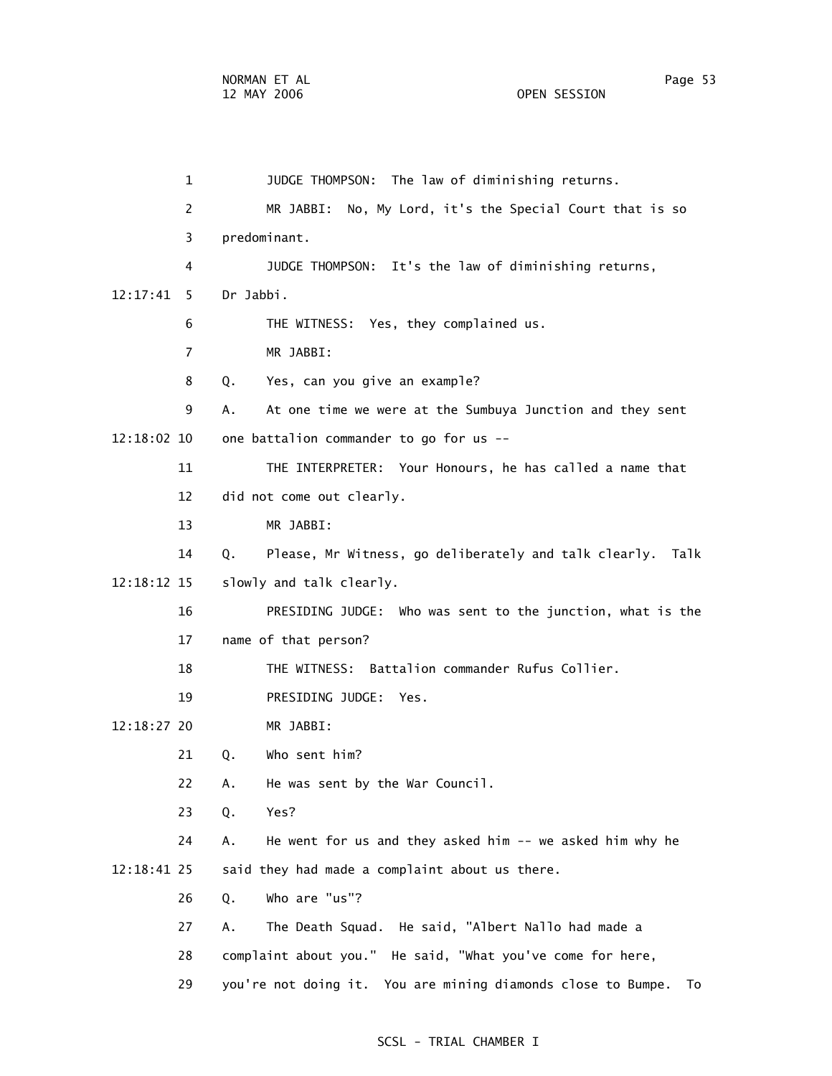1 JUDGE THOMPSON: The law of diminishing returns. 2 MR JABBI: No, My Lord, it's the Special Court that is so 3 predominant. 4 JUDGE THOMPSON: It's the law of diminishing returns, 12:17:41 5 Dr Jabbi. 6 THE WITNESS: Yes, they complained us. 7 MR JABBI: 8 Q. Yes, can you give an example? 9 A. At one time we were at the Sumbuya Junction and they sent 12:18:02 10 one battalion commander to go for us -- 11 THE INTERPRETER: Your Honours, he has called a name that 12 did not come out clearly. 13 MR JABBI: 14 Q. Please, Mr Witness, go deliberately and talk clearly. Talk 12:18:12 15 slowly and talk clearly. 16 PRESIDING JUDGE: Who was sent to the junction, what is the 17 name of that person? 18 THE WITNESS: Battalion commander Rufus Collier. 19 PRESIDING JUDGE: Yes. 12:18:27 20 MR JABBI: 21 Q. Who sent him? 22 A. He was sent by the War Council. 23 Q. Yes? 24 A. He went for us and they asked him -- we asked him why he 12:18:41 25 said they had made a complaint about us there. 26 Q. Who are "us"? 27 A. The Death Squad. He said, "Albert Nallo had made a 28 complaint about you." He said, "What you've come for here, 29 you're not doing it. You are mining diamonds close to Bumpe. To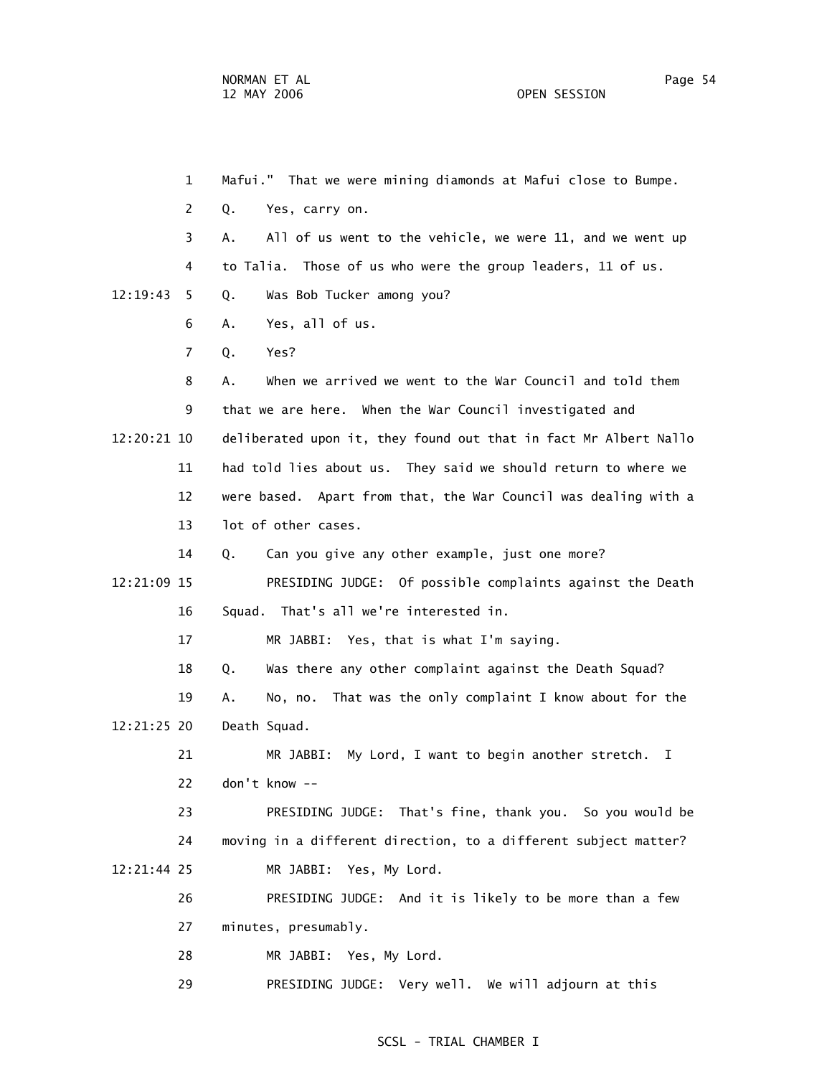1 Mafui." That we were mining diamonds at Mafui close to Bumpe. 2 Q. Yes, carry on. 3 A. All of us went to the vehicle, we were 11, and we went up 4 to Talia. Those of us who were the group leaders, 11 of us. 12:19:43 5 Q. Was Bob Tucker among you? 6 A. Yes, all of us. 7 Q. Yes? 8 A. When we arrived we went to the War Council and told them 9 that we are here. When the War Council investigated and 12:20:21 10 deliberated upon it, they found out that in fact Mr Albert Nallo 11 had told lies about us. They said we should return to where we 12 were based. Apart from that, the War Council was dealing with a 13 lot of other cases. 14 Q. Can you give any other example, just one more? 12:21:09 15 PRESIDING JUDGE: Of possible complaints against the Death 16 Squad. That's all we're interested in. 17 MR JABBI: Yes, that is what I'm saying. 18 Q. Was there any other complaint against the Death Squad? 19 A. No, no. That was the only complaint I know about for the 12:21:25 20 Death Squad. 21 MR JABBI: My Lord, I want to begin another stretch. I 22 don't know -- 23 PRESIDING JUDGE: That's fine, thank you. So you would be 24 moving in a different direction, to a different subject matter? 12:21:44 25 MR JABBI: Yes, My Lord. 26 PRESIDING JUDGE: And it is likely to be more than a few 27 minutes, presumably. 28 MR JABBI: Yes, My Lord.

29 PRESIDING JUDGE: Very well. We will adjourn at this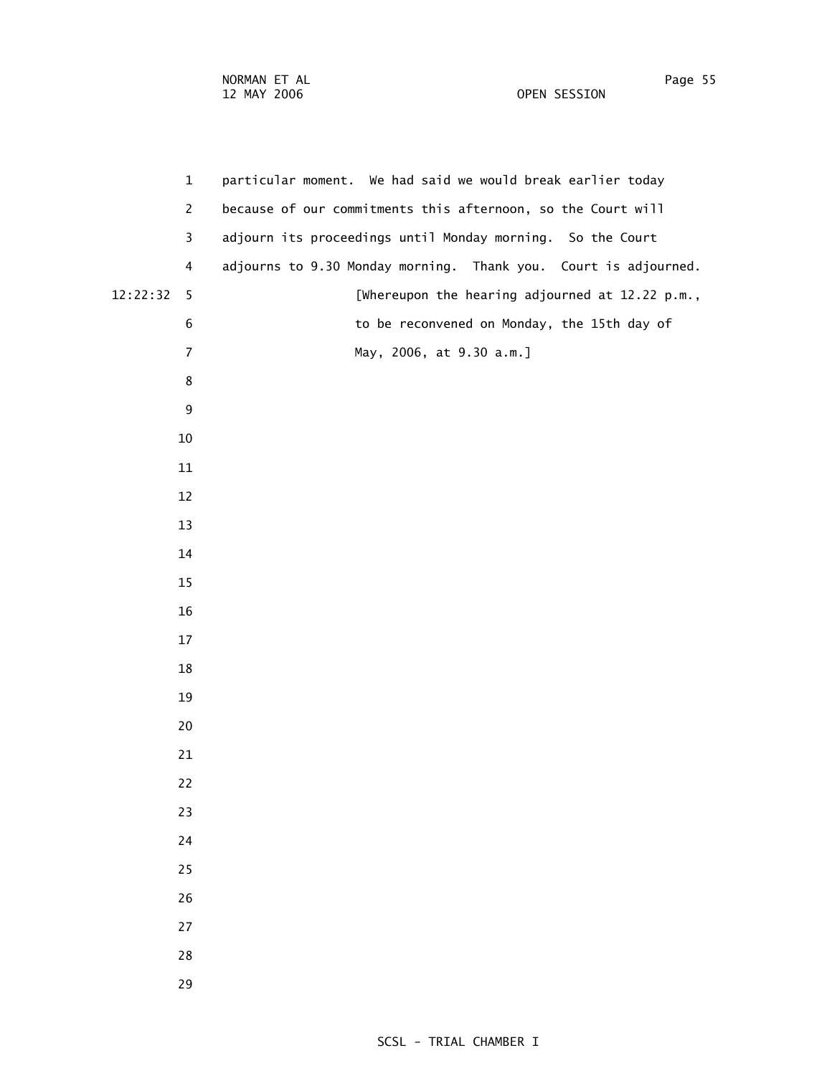|          | $\mathbf{1}$   | particular moment. We had said we would break earlier today     |
|----------|----------------|-----------------------------------------------------------------|
|          | $\mathbf{2}$   | because of our commitments this afternoon, so the Court will    |
|          | 3              | adjourn its proceedings until Monday morning. So the Court      |
|          | $\overline{4}$ | adjourns to 9.30 Monday morning. Thank you. Court is adjourned. |
| 12:22:32 | 5              | [Whereupon the hearing adjourned at 12.22 p.m.,                 |
|          | 6              | to be reconvened on Monday, the 15th day of                     |
|          | $\overline{7}$ | May, 2006, at 9.30 a.m.]                                        |
|          | 8              |                                                                 |
|          | 9              |                                                                 |
|          | 10             |                                                                 |
|          | 11             |                                                                 |
|          | 12             |                                                                 |
|          | 13             |                                                                 |
|          | 14             |                                                                 |
|          | 15             |                                                                 |
|          | 16             |                                                                 |
|          | 17             |                                                                 |
|          | 18             |                                                                 |
|          | 19             |                                                                 |
|          | 20             |                                                                 |
|          | 21             |                                                                 |
|          | 22             |                                                                 |
|          | 23             |                                                                 |
|          | 24             |                                                                 |
|          | 25             |                                                                 |
|          | 26             |                                                                 |
|          | 27             |                                                                 |
|          | 28             |                                                                 |
|          | 29             |                                                                 |